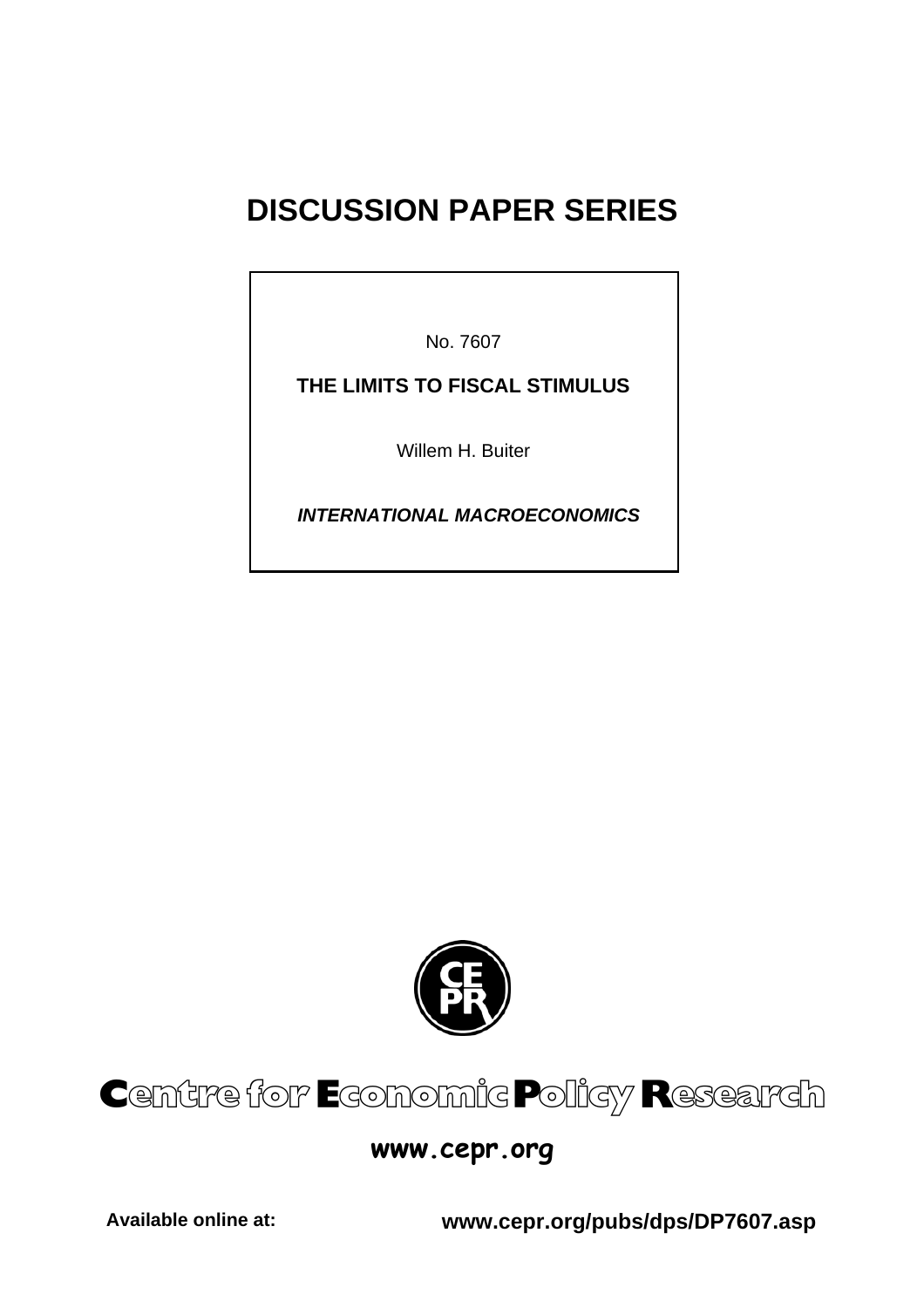# **DISCUSSION PAPER SERIES**

No. 7607

## **THE LIMITS TO FISCAL STIMULUS**

Willem H. Buiter

 *INTERNATIONAL MACROECONOMICS* 



# Centre for Economic Policy Research

# **www.cepr.org**

**Available online at: www.cepr.org/pubs/dps/DP7607.asp**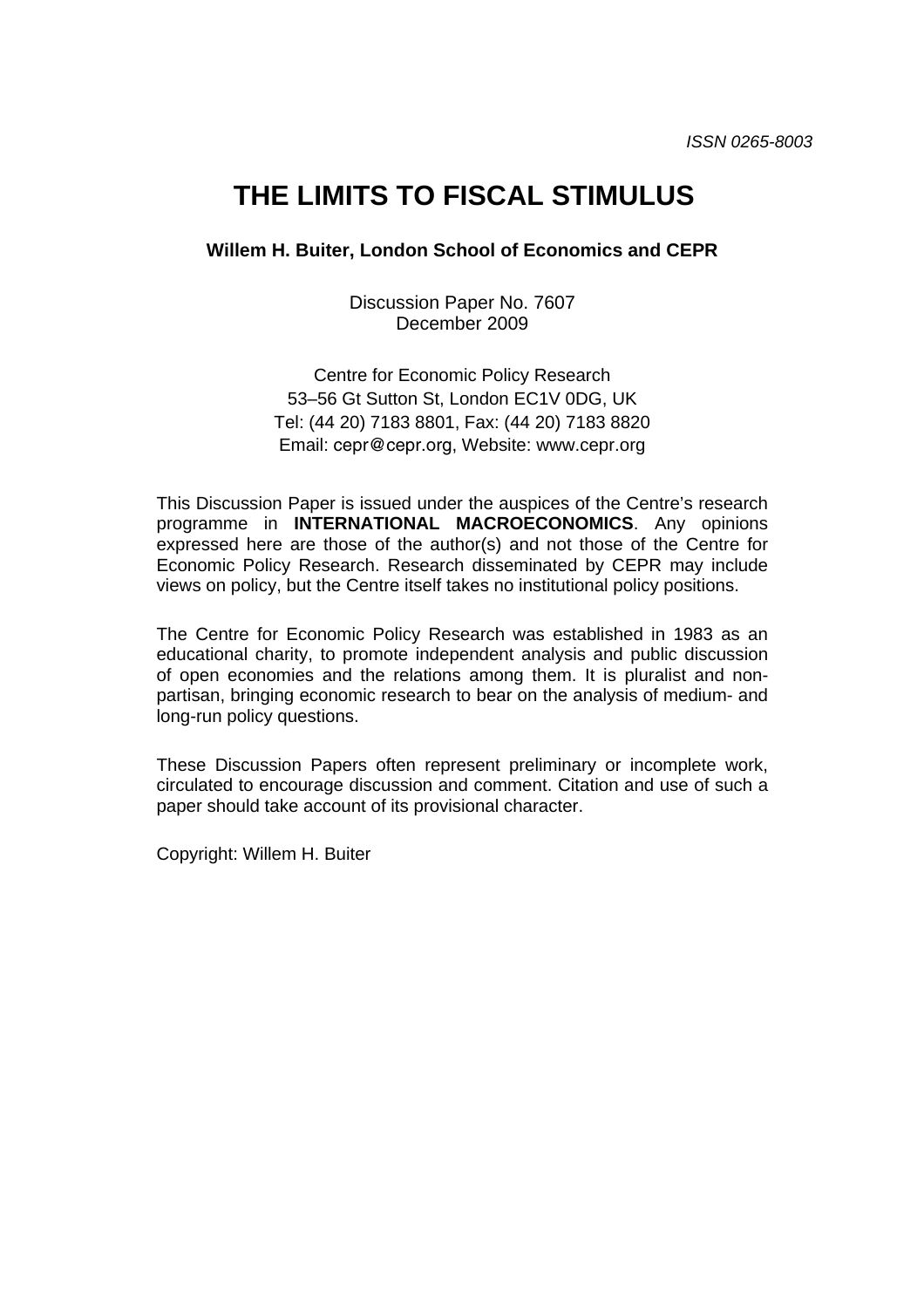# **THE LIMITS TO FISCAL STIMULUS**

#### **Willem H. Buiter, London School of Economics and CEPR**

Discussion Paper No. 7607 December 2009

Centre for Economic Policy Research 53–56 Gt Sutton St, London EC1V 0DG, UK Tel: (44 20) 7183 8801, Fax: (44 20) 7183 8820 Email: cepr@cepr.org, Website: www.cepr.org

This Discussion Paper is issued under the auspices of the Centre's research programme in **INTERNATIONAL MACROECONOMICS**. Any opinions expressed here are those of the author(s) and not those of the Centre for Economic Policy Research. Research disseminated by CEPR may include views on policy, but the Centre itself takes no institutional policy positions.

The Centre for Economic Policy Research was established in 1983 as an educational charity, to promote independent analysis and public discussion of open economies and the relations among them. It is pluralist and nonpartisan, bringing economic research to bear on the analysis of medium- and long-run policy questions.

These Discussion Papers often represent preliminary or incomplete work, circulated to encourage discussion and comment. Citation and use of such a paper should take account of its provisional character.

Copyright: Willem H. Buiter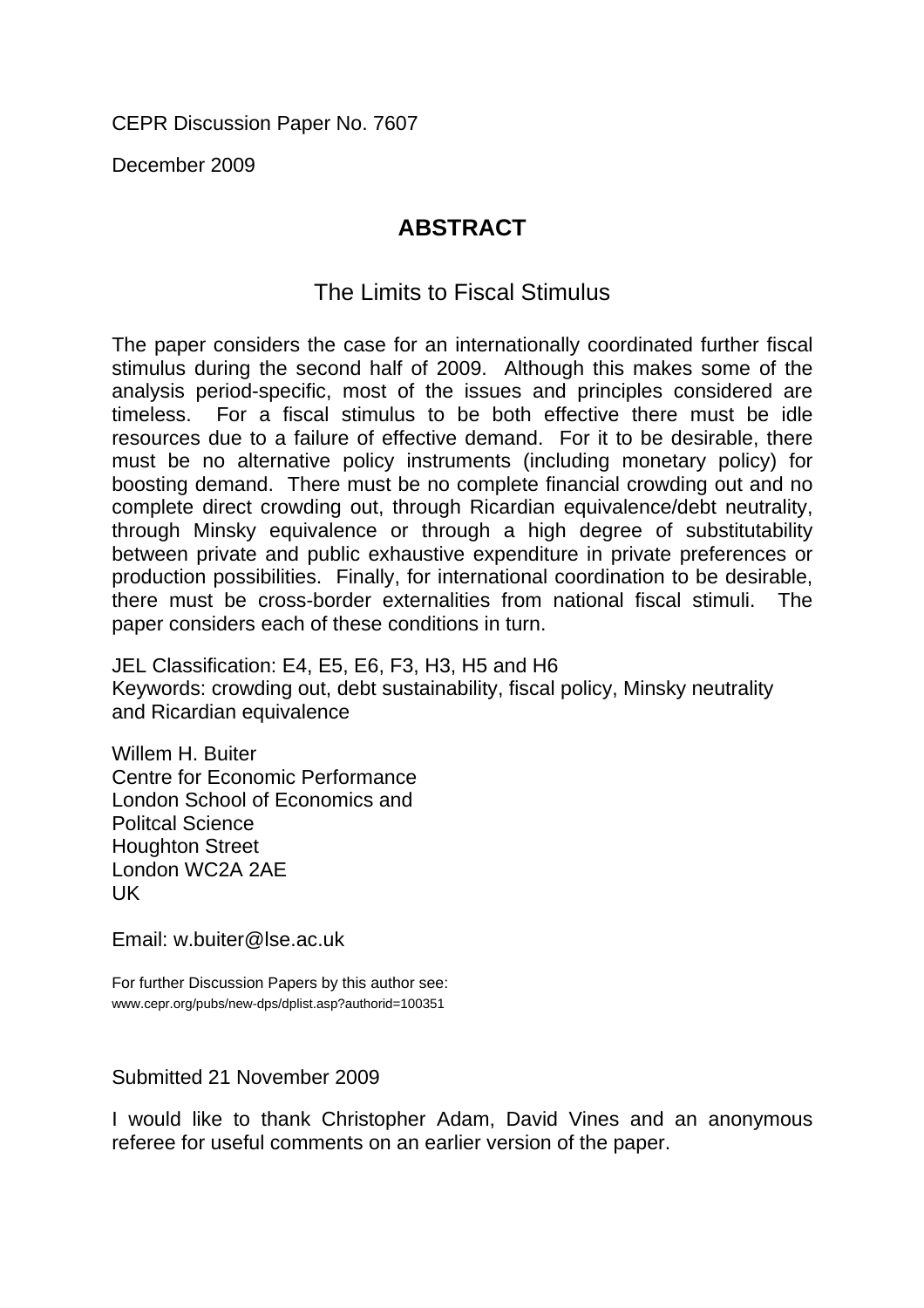CEPR Discussion Paper No. 7607

December 2009

# **ABSTRACT**

# The Limits to Fiscal Stimulus

The paper considers the case for an internationally coordinated further fiscal stimulus during the second half of 2009. Although this makes some of the analysis period-specific, most of the issues and principles considered are timeless. For a fiscal stimulus to be both effective there must be idle resources due to a failure of effective demand. For it to be desirable, there must be no alternative policy instruments (including monetary policy) for boosting demand. There must be no complete financial crowding out and no complete direct crowding out, through Ricardian equivalence/debt neutrality, through Minsky equivalence or through a high degree of substitutability between private and public exhaustive expenditure in private preferences or production possibilities. Finally, for international coordination to be desirable, there must be cross-border externalities from national fiscal stimuli. The paper considers each of these conditions in turn.

JEL Classification: E4, E5, E6, F3, H3, H5 and H6 Keywords: crowding out, debt sustainability, fiscal policy, Minsky neutrality and Ricardian equivalence

Willem H. Buiter Centre for Economic Performance London School of Economics and Politcal Science Houghton Street London WC2A 2AE UK

Email: w.buiter@lse.ac.uk

For further Discussion Papers by this author see: www.cepr.org/pubs/new-dps/dplist.asp?authorid=100351

### Submitted 21 November 2009

I would like to thank Christopher Adam, David Vines and an anonymous referee for useful comments on an earlier version of the paper.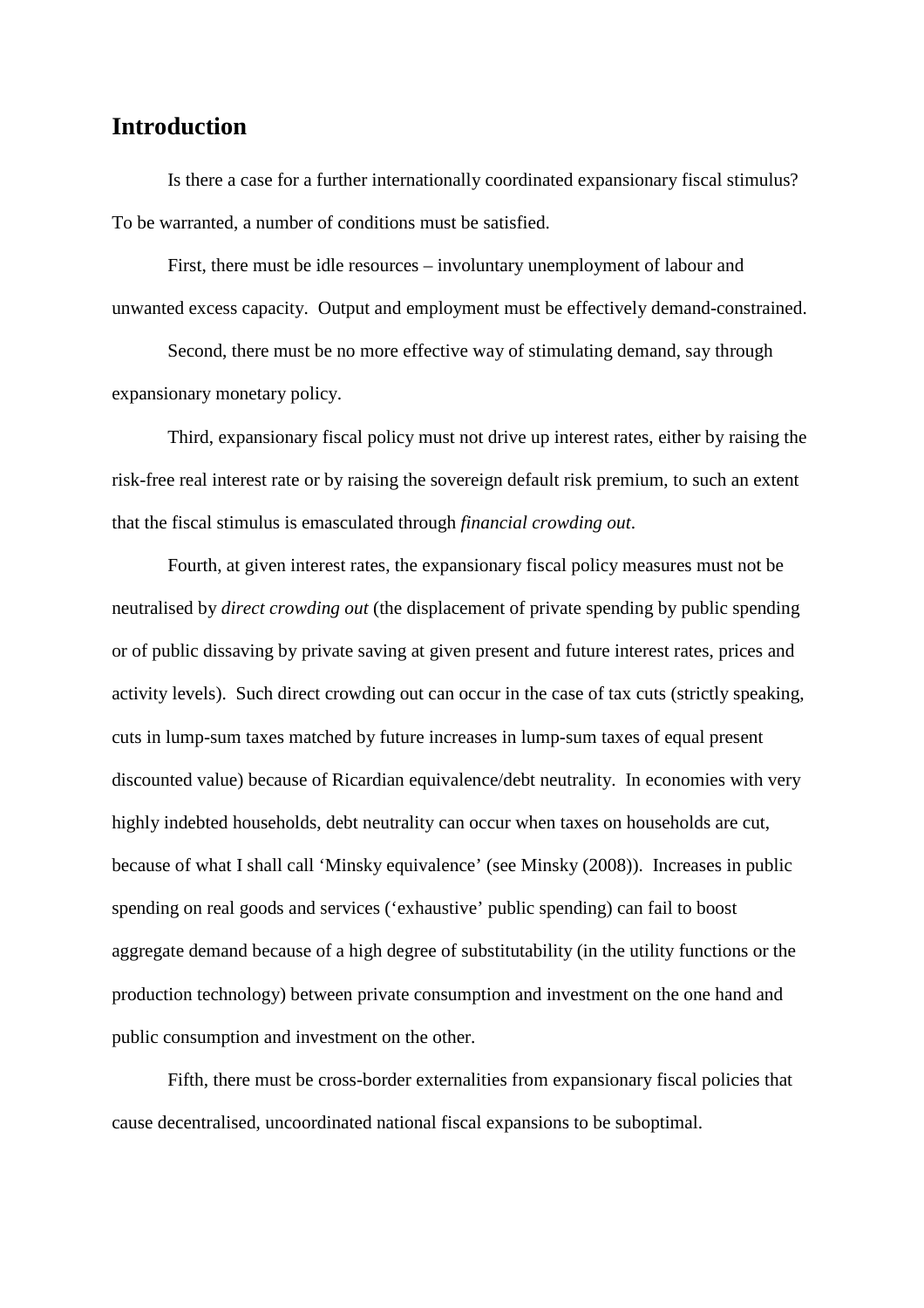### **Introduction**

Is there a case for a further internationally coordinated expansionary fiscal stimulus? To be warranted, a number of conditions must be satisfied.

First, there must be idle resources – involuntary unemployment of labour and unwanted excess capacity. Output and employment must be effectively demand-constrained.

Second, there must be no more effective way of stimulating demand, say through expansionary monetary policy.

Third, expansionary fiscal policy must not drive up interest rates, either by raising the risk-free real interest rate or by raising the sovereign default risk premium, to such an extent that the fiscal stimulus is emasculated through *financial crowding out*.

Fourth, at given interest rates, the expansionary fiscal policy measures must not be neutralised by *direct crowding out* (the displacement of private spending by public spending or of public dissaving by private saving at given present and future interest rates, prices and activity levels). Such direct crowding out can occur in the case of tax cuts (strictly speaking, cuts in lump-sum taxes matched by future increases in lump-sum taxes of equal present discounted value) because of Ricardian equivalence/debt neutrality. In economies with very highly indebted households, debt neutrality can occur when taxes on households are cut, because of what I shall call 'Minsky equivalence' (see Minsky (2008)). Increases in public spending on real goods and services ('exhaustive' public spending) can fail to boost aggregate demand because of a high degree of substitutability (in the utility functions or the production technology) between private consumption and investment on the one hand and public consumption and investment on the other.

Fifth, there must be cross-border externalities from expansionary fiscal policies that cause decentralised, uncoordinated national fiscal expansions to be suboptimal.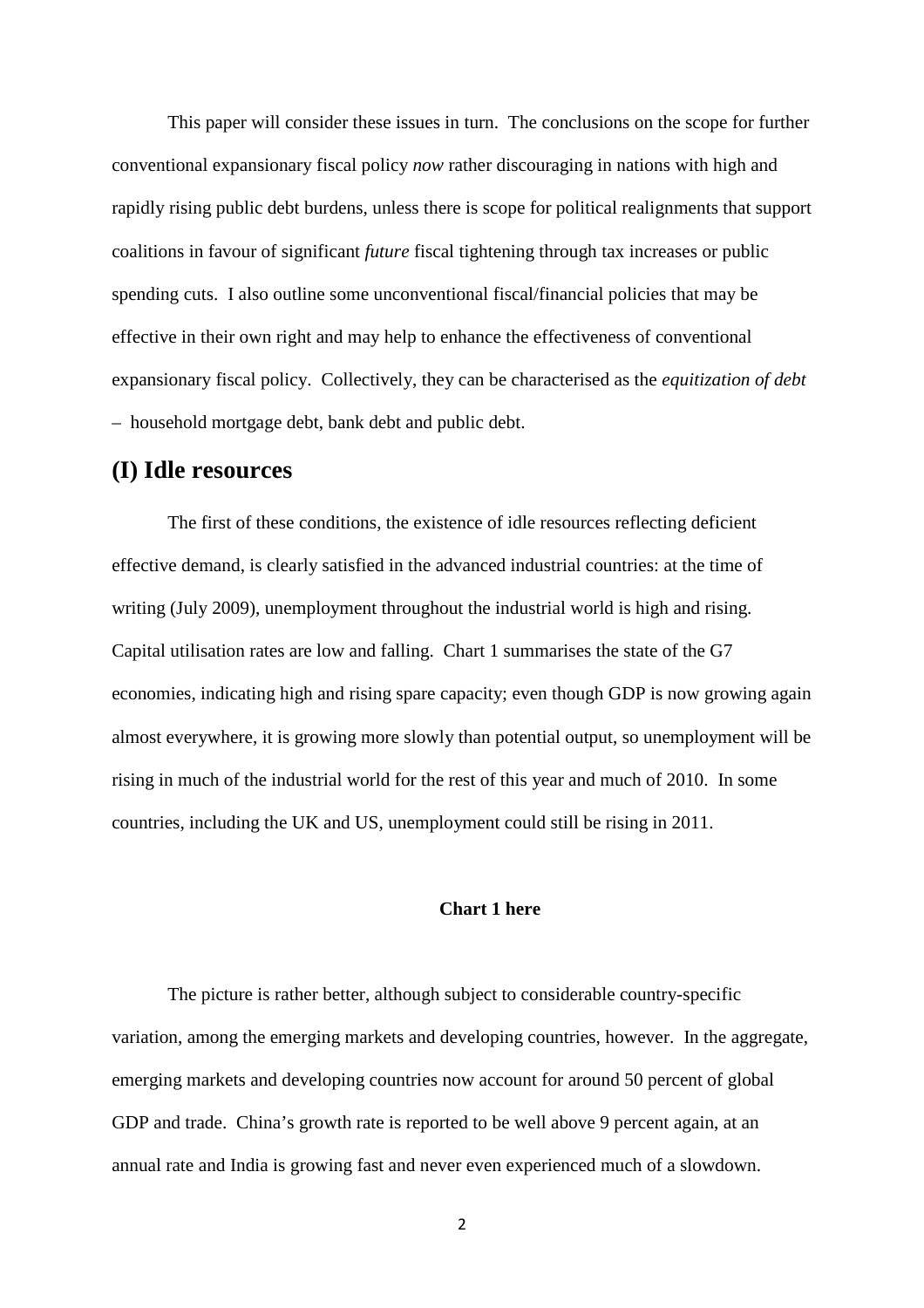This paper will consider these issues in turn. The conclusions on the scope for further conventional expansionary fiscal policy *now* rather discouraging in nations with high and rapidly rising public debt burdens, unless there is scope for political realignments that support coalitions in favour of significant *future* fiscal tightening through tax increases or public spending cuts. I also outline some unconventional fiscal/financial policies that may be effective in their own right and may help to enhance the effectiveness of conventional expansionary fiscal policy. Collectively, they can be characterised as the *equitization of debt* – household mortgage debt, bank debt and public debt.

### **(I) Idle resources**

The first of these conditions, the existence of idle resources reflecting deficient effective demand, is clearly satisfied in the advanced industrial countries: at the time of writing (July 2009), unemployment throughout the industrial world is high and rising. Capital utilisation rates are low and falling. Chart 1 summarises the state of the G7 economies, indicating high and rising spare capacity; even though GDP is now growing again almost everywhere, it is growing more slowly than potential output, so unemployment will be rising in much of the industrial world for the rest of this year and much of 2010. In some countries, including the UK and US, unemployment could still be rising in 2011.

#### **Chart 1 here**

The picture is rather better, although subject to considerable country-specific variation, among the emerging markets and developing countries, however. In the aggregate, emerging markets and developing countries now account for around 50 percent of global GDP and trade. China's growth rate is reported to be well above 9 percent again, at an annual rate and India is growing fast and never even experienced much of a slowdown.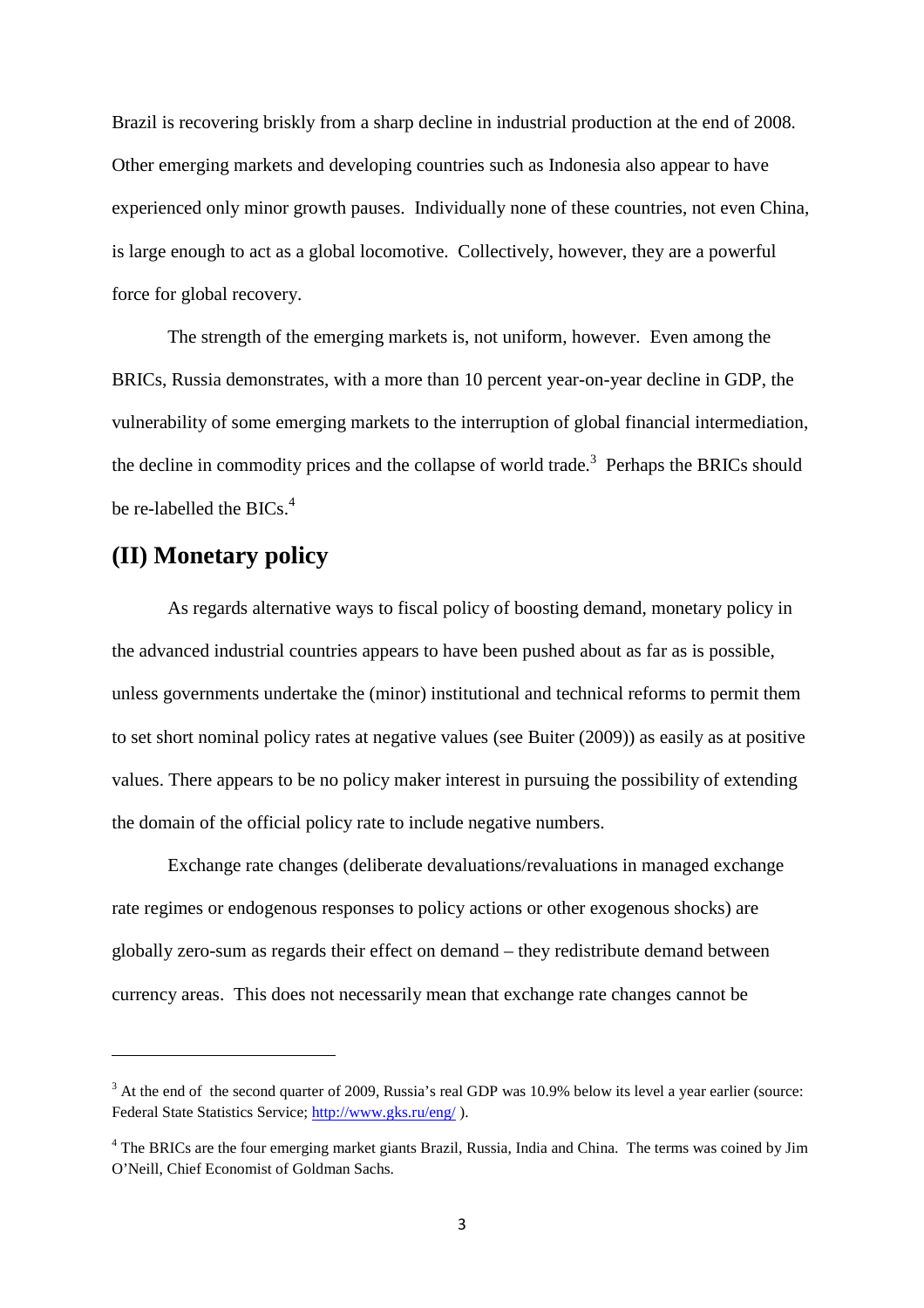Brazil is recovering briskly from a sharp decline in industrial production at the end of 2008. Other emerging markets and developing countries such as Indonesia also appear to have experienced only minor growth pauses. Individually none of these countries, not even China, is large enough to act as a global locomotive. Collectively, however, they are a powerful force for global recovery.

The strength of the emerging markets is, not uniform, however. Even among the BRICs, Russia demonstrates, with a more than 10 percent year-on-year decline in GDP, the vulnerability of some emerging markets to the interruption of global financial intermediation, the decline in commodity prices and the collapse of world trade.<sup>3</sup> Perhaps the BRICs should be re-labelled the BICs.<sup>4</sup>

## **(II) Monetary policy**

l

As regards alternative ways to fiscal policy of boosting demand, monetary policy in the advanced industrial countries appears to have been pushed about as far as is possible, unless governments undertake the (minor) institutional and technical reforms to permit them to set short nominal policy rates at negative values (see Buiter (2009)) as easily as at positive values. There appears to be no policy maker interest in pursuing the possibility of extending the domain of the official policy rate to include negative numbers.

Exchange rate changes (deliberate devaluations/revaluations in managed exchange rate regimes or endogenous responses to policy actions or other exogenous shocks) are globally zero-sum as regards their effect on demand – they redistribute demand between currency areas. This does not necessarily mean that exchange rate changes cannot be

 $3$  At the end of the second quarter of 2009, Russia's real GDP was 10.9% below its level a year earlier (source: Federal State Statistics Service; http://www.gks.ru/eng/ ).

<sup>&</sup>lt;sup>4</sup> The BRICs are the four emerging market giants Brazil, Russia, India and China. The terms was coined by Jim O'Neill, Chief Economist of Goldman Sachs.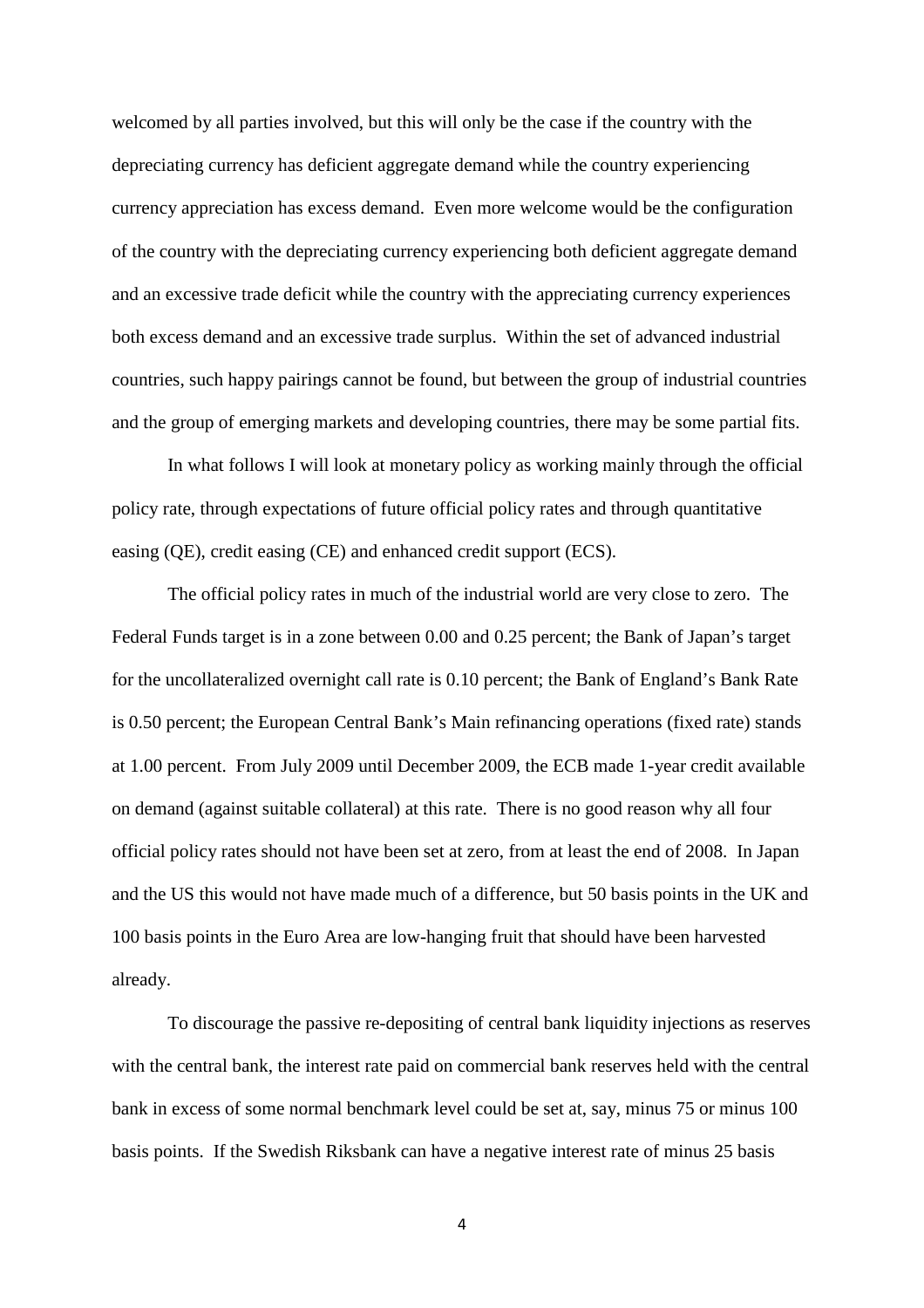welcomed by all parties involved, but this will only be the case if the country with the depreciating currency has deficient aggregate demand while the country experiencing currency appreciation has excess demand. Even more welcome would be the configuration of the country with the depreciating currency experiencing both deficient aggregate demand and an excessive trade deficit while the country with the appreciating currency experiences both excess demand and an excessive trade surplus. Within the set of advanced industrial countries, such happy pairings cannot be found, but between the group of industrial countries and the group of emerging markets and developing countries, there may be some partial fits.

In what follows I will look at monetary policy as working mainly through the official policy rate, through expectations of future official policy rates and through quantitative easing (QE), credit easing (CE) and enhanced credit support (ECS).

 The official policy rates in much of the industrial world are very close to zero. The Federal Funds target is in a zone between 0.00 and 0.25 percent; the Bank of Japan's target for the uncollateralized overnight call rate is 0.10 percent; the Bank of England's Bank Rate is 0.50 percent; the European Central Bank's Main refinancing operations (fixed rate) stands at 1.00 percent. From July 2009 until December 2009, the ECB made 1-year credit available on demand (against suitable collateral) at this rate. There is no good reason why all four official policy rates should not have been set at zero, from at least the end of 2008. In Japan and the US this would not have made much of a difference, but 50 basis points in the UK and 100 basis points in the Euro Area are low-hanging fruit that should have been harvested already.

To discourage the passive re-depositing of central bank liquidity injections as reserves with the central bank, the interest rate paid on commercial bank reserves held with the central bank in excess of some normal benchmark level could be set at, say, minus 75 or minus 100 basis points. If the Swedish Riksbank can have a negative interest rate of minus 25 basis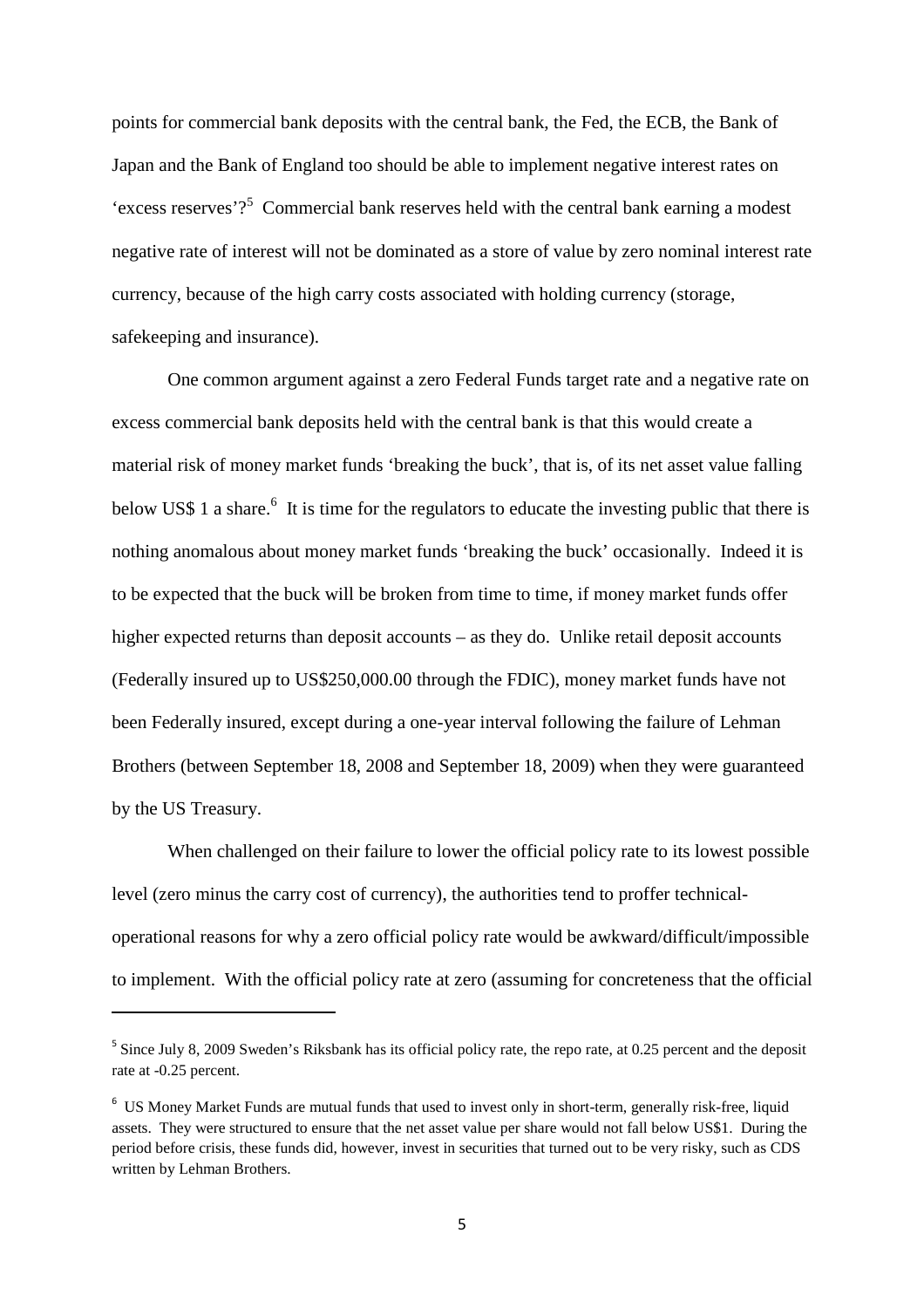points for commercial bank deposits with the central bank, the Fed, the ECB, the Bank of Japan and the Bank of England too should be able to implement negative interest rates on 'excess reserves'?<sup>5</sup> Commercial bank reserves held with the central bank earning a modest negative rate of interest will not be dominated as a store of value by zero nominal interest rate currency, because of the high carry costs associated with holding currency (storage, safekeeping and insurance).

One common argument against a zero Federal Funds target rate and a negative rate on excess commercial bank deposits held with the central bank is that this would create a material risk of money market funds 'breaking the buck', that is, of its net asset value falling below US\$ 1 a share.<sup>6</sup> It is time for the regulators to educate the investing public that there is nothing anomalous about money market funds 'breaking the buck' occasionally. Indeed it is to be expected that the buck will be broken from time to time, if money market funds offer higher expected returns than deposit accounts – as they do. Unlike retail deposit accounts (Federally insured up to US\$250,000.00 through the FDIC), money market funds have not been Federally insured, except during a one-year interval following the failure of Lehman Brothers (between September 18, 2008 and September 18, 2009) when they were guaranteed by the US Treasury.

When challenged on their failure to lower the official policy rate to its lowest possible level (zero minus the carry cost of currency), the authorities tend to proffer technicaloperational reasons for why a zero official policy rate would be awkward/difficult/impossible to implement. With the official policy rate at zero (assuming for concreteness that the official

 $\overline{a}$ 

<sup>&</sup>lt;sup>5</sup> Since July 8, 2009 Sweden's Riksbank has its official policy rate, the repo rate, at 0.25 percent and the deposit rate at -0.25 percent.

<sup>&</sup>lt;sup>6</sup> US Money Market Funds are mutual funds that used to invest only in short-term, generally risk-free, liquid assets. They were structured to ensure that the net asset value per share would not fall below US\$1. During the period before crisis, these funds did, however, invest in securities that turned out to be very risky, such as CDS written by Lehman Brothers.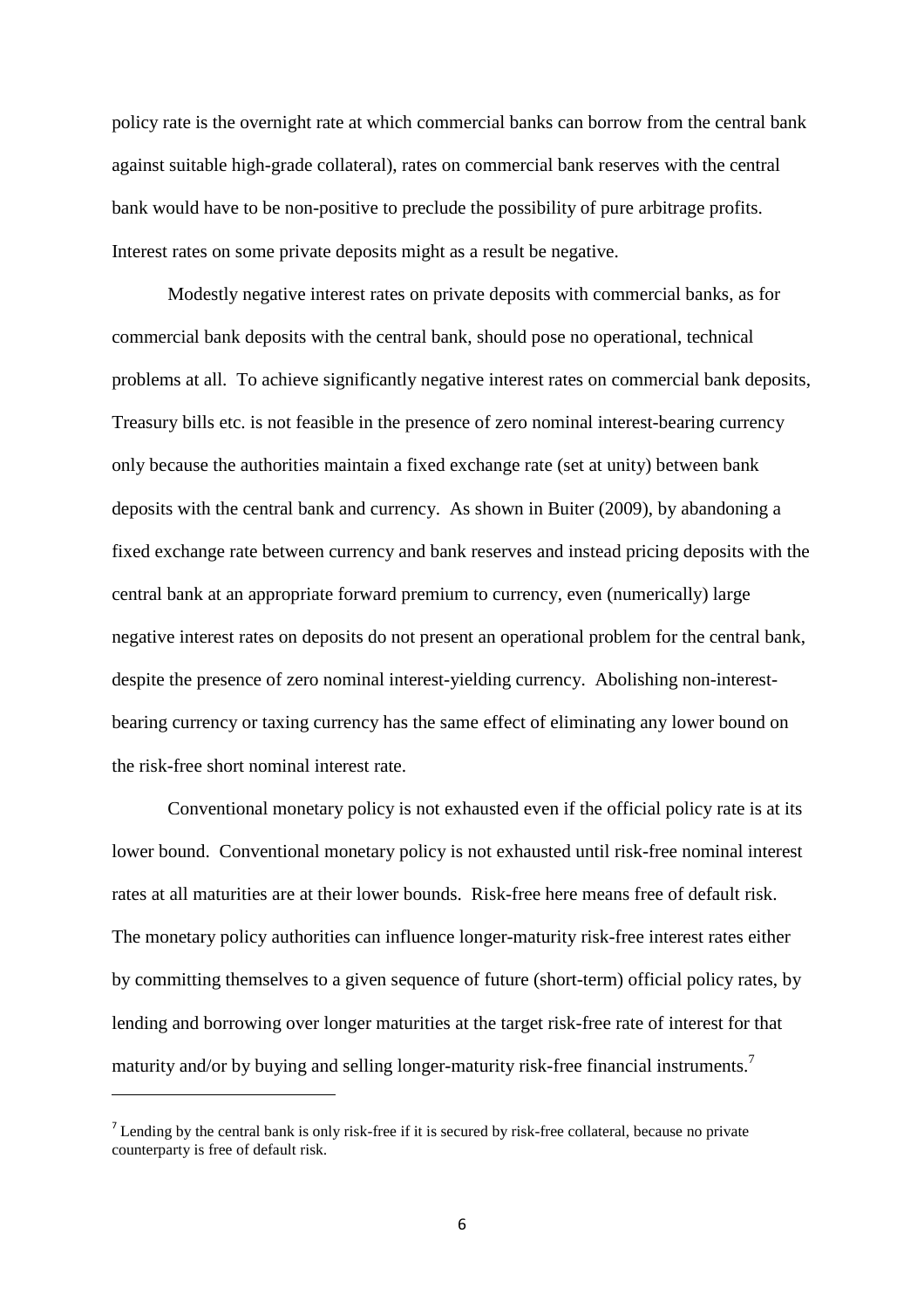policy rate is the overnight rate at which commercial banks can borrow from the central bank against suitable high-grade collateral), rates on commercial bank reserves with the central bank would have to be non-positive to preclude the possibility of pure arbitrage profits. Interest rates on some private deposits might as a result be negative.

Modestly negative interest rates on private deposits with commercial banks, as for commercial bank deposits with the central bank, should pose no operational, technical problems at all. To achieve significantly negative interest rates on commercial bank deposits, Treasury bills etc. is not feasible in the presence of zero nominal interest-bearing currency only because the authorities maintain a fixed exchange rate (set at unity) between bank deposits with the central bank and currency. As shown in Buiter (2009), by abandoning a fixed exchange rate between currency and bank reserves and instead pricing deposits with the central bank at an appropriate forward premium to currency, even (numerically) large negative interest rates on deposits do not present an operational problem for the central bank, despite the presence of zero nominal interest-yielding currency. Abolishing non-interestbearing currency or taxing currency has the same effect of eliminating any lower bound on the risk-free short nominal interest rate.

 Conventional monetary policy is not exhausted even if the official policy rate is at its lower bound. Conventional monetary policy is not exhausted until risk-free nominal interest rates at all maturities are at their lower bounds. Risk-free here means free of default risk. The monetary policy authorities can influence longer-maturity risk-free interest rates either by committing themselves to a given sequence of future (short-term) official policy rates, by lending and borrowing over longer maturities at the target risk-free rate of interest for that maturity and/or by buying and selling longer-maturity risk-free financial instruments.<sup>7</sup>

l

<sup>&</sup>lt;sup>7</sup> Lending by the central bank is only risk-free if it is secured by risk-free collateral, because no private counterparty is free of default risk.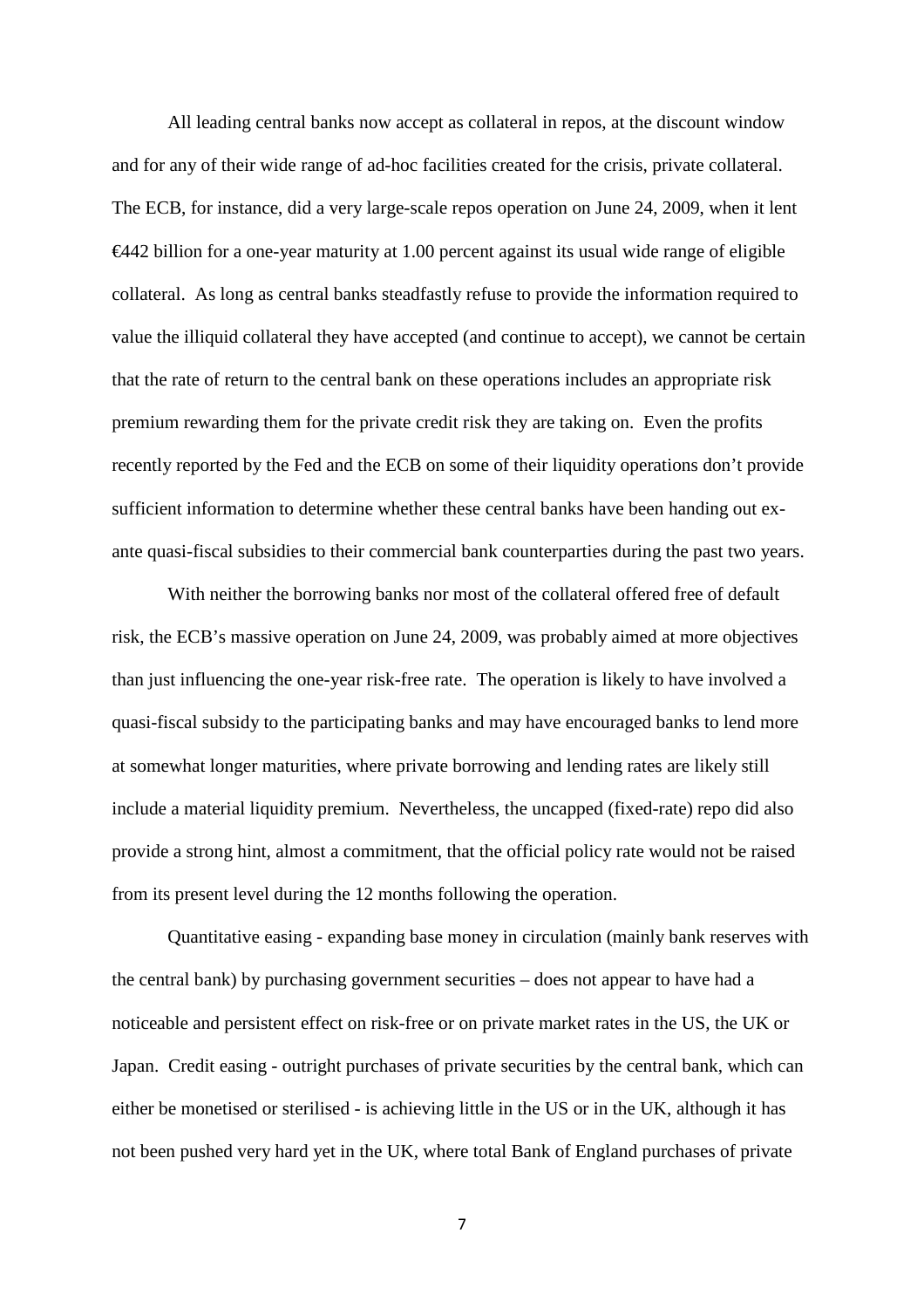All leading central banks now accept as collateral in repos, at the discount window and for any of their wide range of ad-hoc facilities created for the crisis, private collateral. The ECB, for instance, did a very large-scale repos operation on June 24, 2009, when it lent  $\epsilon$ 442 billion for a one-year maturity at 1.00 percent against its usual wide range of eligible collateral. As long as central banks steadfastly refuse to provide the information required to value the illiquid collateral they have accepted (and continue to accept), we cannot be certain that the rate of return to the central bank on these operations includes an appropriate risk premium rewarding them for the private credit risk they are taking on. Even the profits recently reported by the Fed and the ECB on some of their liquidity operations don't provide sufficient information to determine whether these central banks have been handing out exante quasi-fiscal subsidies to their commercial bank counterparties during the past two years.

With neither the borrowing banks nor most of the collateral offered free of default risk, the ECB's massive operation on June 24, 2009, was probably aimed at more objectives than just influencing the one-year risk-free rate. The operation is likely to have involved a quasi-fiscal subsidy to the participating banks and may have encouraged banks to lend more at somewhat longer maturities, where private borrowing and lending rates are likely still include a material liquidity premium. Nevertheless, the uncapped (fixed-rate) repo did also provide a strong hint, almost a commitment, that the official policy rate would not be raised from its present level during the 12 months following the operation.

Quantitative easing - expanding base money in circulation (mainly bank reserves with the central bank) by purchasing government securities – does not appear to have had a noticeable and persistent effect on risk-free or on private market rates in the US, the UK or Japan. Credit easing - outright purchases of private securities by the central bank, which can either be monetised or sterilised - is achieving little in the US or in the UK, although it has not been pushed very hard yet in the UK, where total Bank of England purchases of private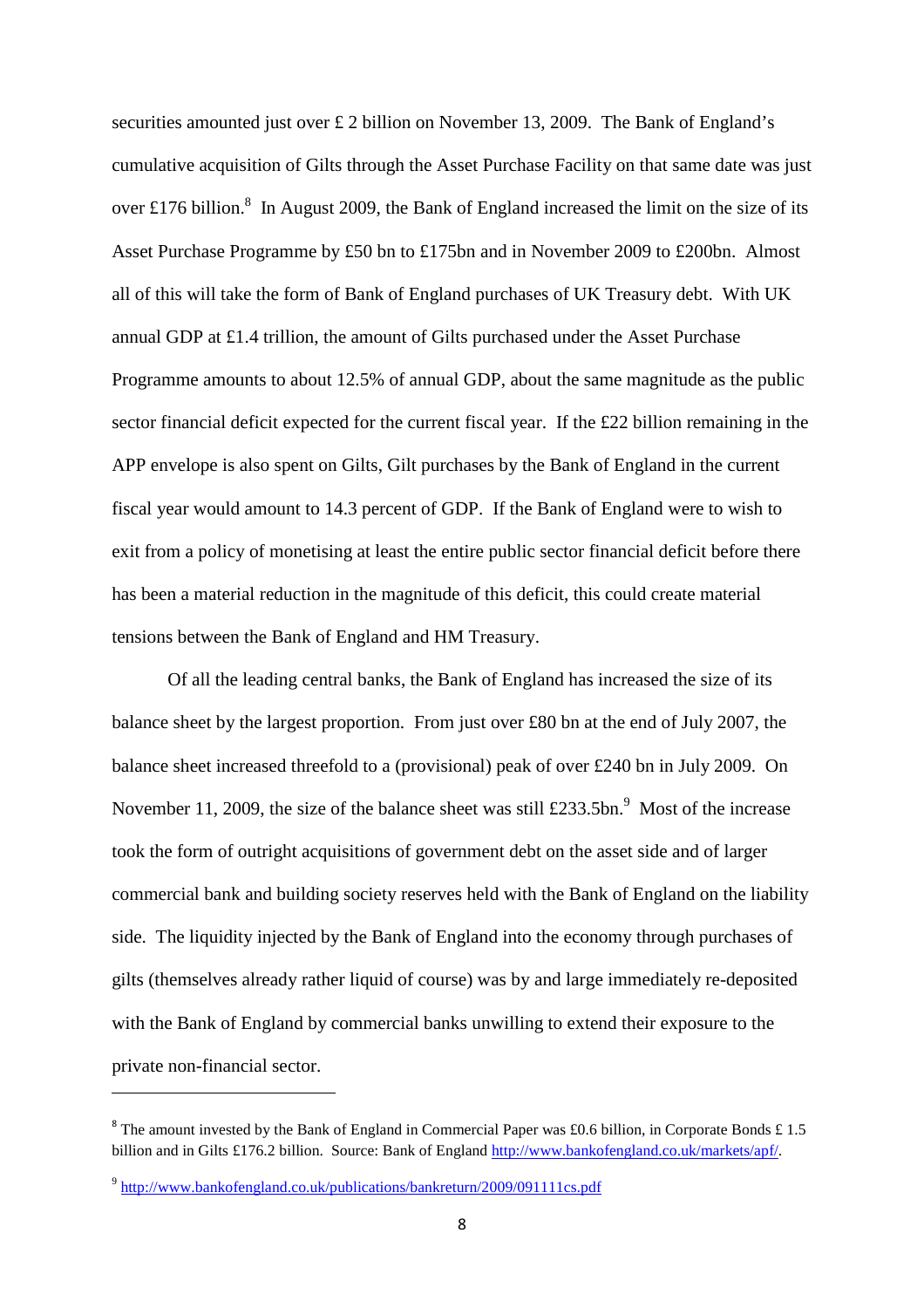securities amounted just over £ 2 billion on November 13, 2009. The Bank of England's cumulative acquisition of Gilts through the Asset Purchase Facility on that same date was just over £176 billion.<sup>8</sup> In August 2009, the Bank of England increased the limit on the size of its Asset Purchase Programme by £50 bn to £175bn and in November 2009 to £200bn. Almost all of this will take the form of Bank of England purchases of UK Treasury debt. With UK annual GDP at £1.4 trillion, the amount of Gilts purchased under the Asset Purchase Programme amounts to about 12.5% of annual GDP, about the same magnitude as the public sector financial deficit expected for the current fiscal year. If the £22 billion remaining in the APP envelope is also spent on Gilts, Gilt purchases by the Bank of England in the current fiscal year would amount to 14.3 percent of GDP. If the Bank of England were to wish to exit from a policy of monetising at least the entire public sector financial deficit before there has been a material reduction in the magnitude of this deficit, this could create material tensions between the Bank of England and HM Treasury.

Of all the leading central banks, the Bank of England has increased the size of its balance sheet by the largest proportion. From just over £80 bn at the end of July 2007, the balance sheet increased threefold to a (provisional) peak of over £240 bn in July 2009. On November 11, 2009, the size of the balance sheet was still  $\pounds 233.5$ bn.<sup>9</sup> Most of the increase took the form of outright acquisitions of government debt on the asset side and of larger commercial bank and building society reserves held with the Bank of England on the liability side. The liquidity injected by the Bank of England into the economy through purchases of gilts (themselves already rather liquid of course) was by and large immediately re-deposited with the Bank of England by commercial banks unwilling to extend their exposure to the private non-financial sector.

 $\overline{a}$ 

<sup>&</sup>lt;sup>8</sup> The amount invested by the Bank of England in Commercial Paper was £0.6 billion, in Corporate Bonds £1.5 billion and in Gilts £176.2 billion. Source: Bank of England http://www.bankofengland.co.uk/markets/apf/.

<sup>&</sup>lt;sup>9</sup> http://www.bankofengland.co.uk/publications/bankreturn/2009/091111cs.pdf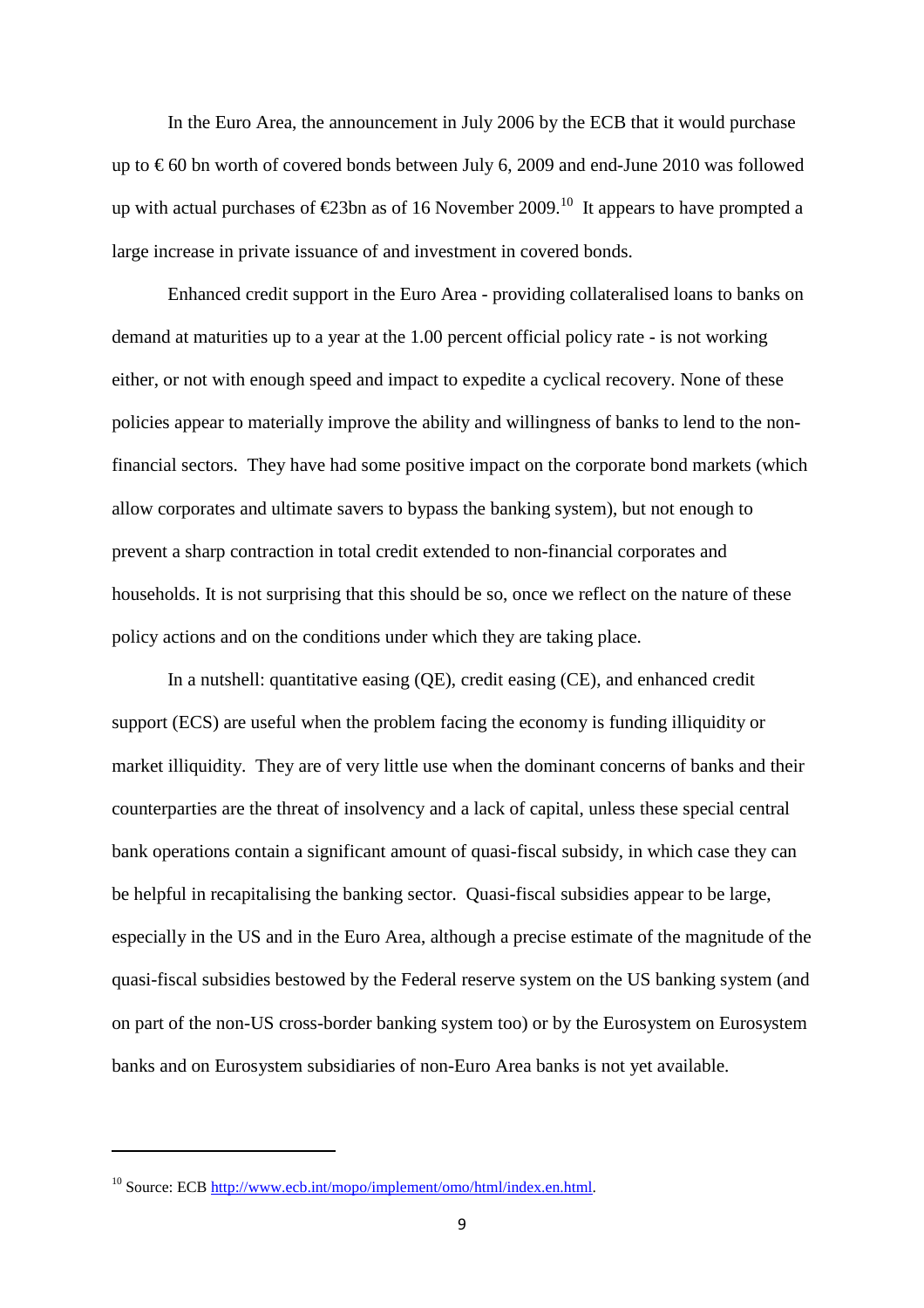In the Euro Area, the announcement in July 2006 by the ECB that it would purchase up to  $\epsilon$  60 bn worth of covered bonds between July 6, 2009 and end-June 2010 was followed up with actual purchases of  $\epsilon$ 23bn as of 16 November 2009.<sup>10</sup> It appears to have prompted a large increase in private issuance of and investment in covered bonds.

Enhanced credit support in the Euro Area - providing collateralised loans to banks on demand at maturities up to a year at the 1.00 percent official policy rate - is not working either, or not with enough speed and impact to expedite a cyclical recovery. None of these policies appear to materially improve the ability and willingness of banks to lend to the nonfinancial sectors. They have had some positive impact on the corporate bond markets (which allow corporates and ultimate savers to bypass the banking system), but not enough to prevent a sharp contraction in total credit extended to non-financial corporates and households. It is not surprising that this should be so, once we reflect on the nature of these policy actions and on the conditions under which they are taking place.

In a nutshell: quantitative easing (QE), credit easing (CE), and enhanced credit support (ECS) are useful when the problem facing the economy is funding illiquidity or market illiquidity. They are of very little use when the dominant concerns of banks and their counterparties are the threat of insolvency and a lack of capital, unless these special central bank operations contain a significant amount of quasi-fiscal subsidy, in which case they can be helpful in recapitalising the banking sector. Quasi-fiscal subsidies appear to be large, especially in the US and in the Euro Area, although a precise estimate of the magnitude of the quasi-fiscal subsidies bestowed by the Federal reserve system on the US banking system (and on part of the non-US cross-border banking system too) or by the Eurosystem on Eurosystem banks and on Eurosystem subsidiaries of non-Euro Area banks is not yet available.

 $\overline{a}$ 

<sup>&</sup>lt;sup>10</sup> Source: ECB http://www.ecb.int/mopo/implement/omo/html/index.en.html.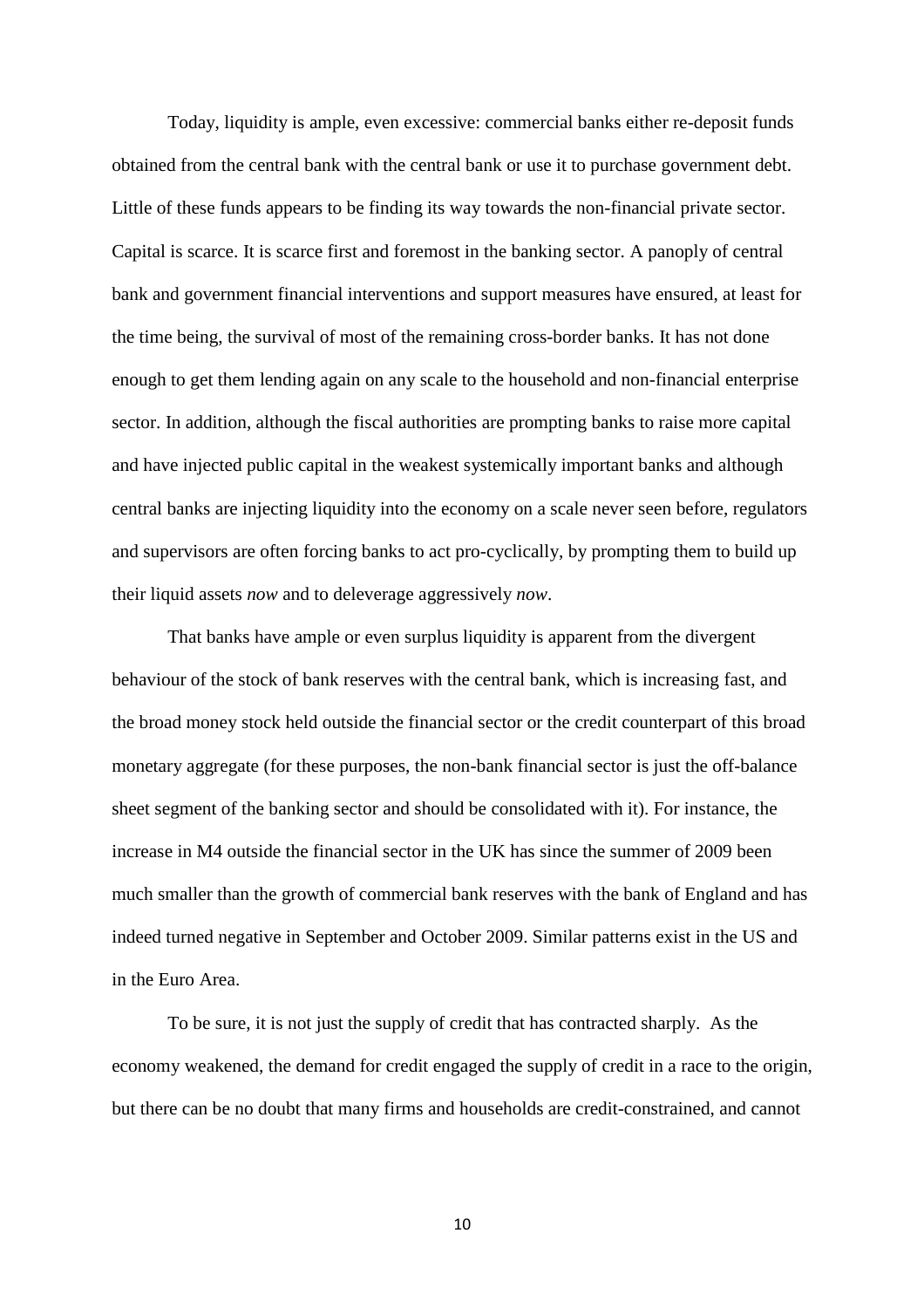Today, liquidity is ample, even excessive: commercial banks either re-deposit funds obtained from the central bank with the central bank or use it to purchase government debt. Little of these funds appears to be finding its way towards the non-financial private sector. Capital is scarce. It is scarce first and foremost in the banking sector. A panoply of central bank and government financial interventions and support measures have ensured, at least for the time being, the survival of most of the remaining cross-border banks. It has not done enough to get them lending again on any scale to the household and non-financial enterprise sector. In addition, although the fiscal authorities are prompting banks to raise more capital and have injected public capital in the weakest systemically important banks and although central banks are injecting liquidity into the economy on a scale never seen before, regulators and supervisors are often forcing banks to act pro-cyclically, by prompting them to build up their liquid assets *now* and to deleverage aggressively *now*.

That banks have ample or even surplus liquidity is apparent from the divergent behaviour of the stock of bank reserves with the central bank, which is increasing fast, and the broad money stock held outside the financial sector or the credit counterpart of this broad monetary aggregate (for these purposes, the non-bank financial sector is just the off-balance sheet segment of the banking sector and should be consolidated with it). For instance, the increase in M4 outside the financial sector in the UK has since the summer of 2009 been much smaller than the growth of commercial bank reserves with the bank of England and has indeed turned negative in September and October 2009. Similar patterns exist in the US and in the Euro Area.

To be sure, it is not just the supply of credit that has contracted sharply. As the economy weakened, the demand for credit engaged the supply of credit in a race to the origin, but there can be no doubt that many firms and households are credit-constrained, and cannot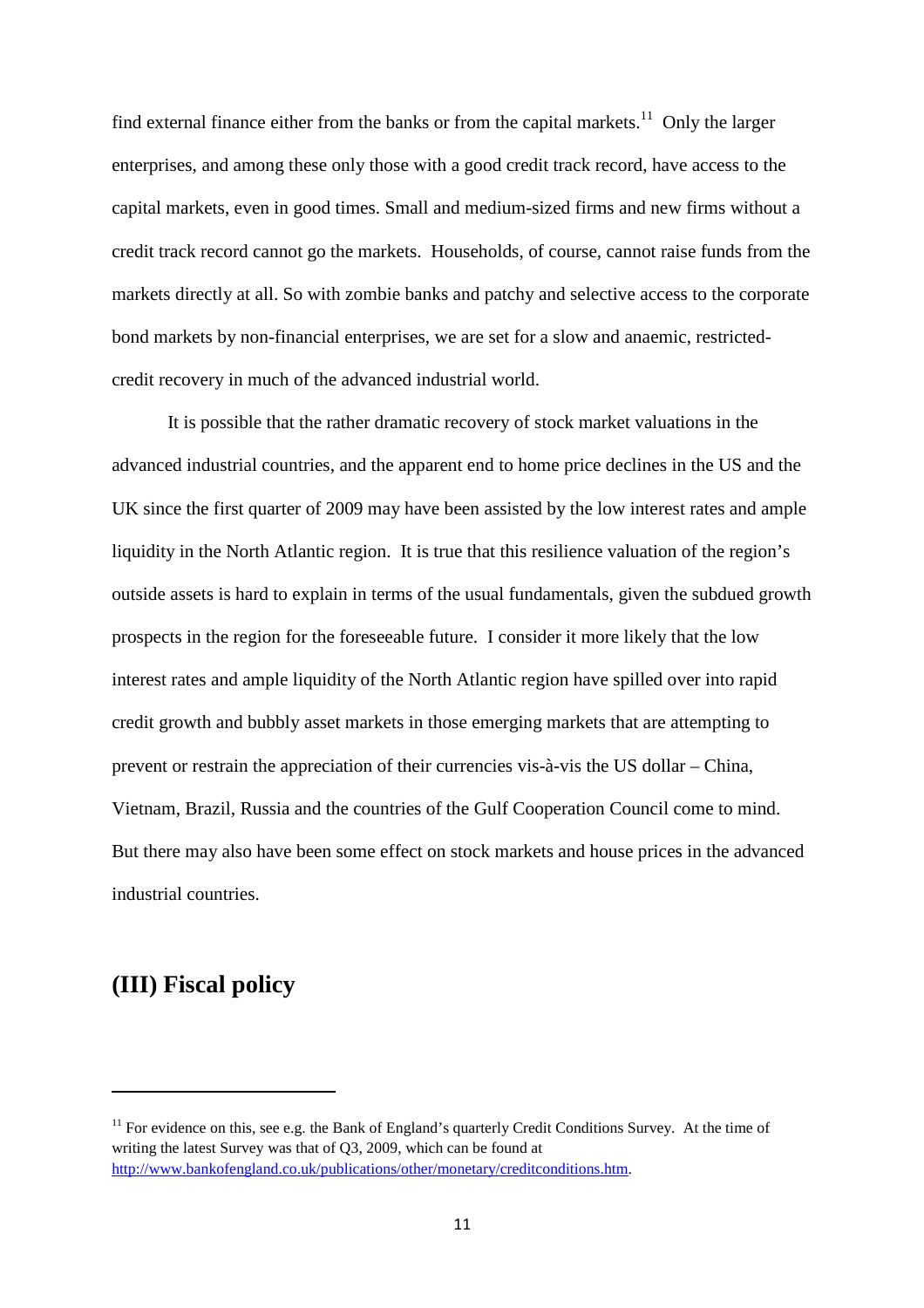find external finance either from the banks or from the capital markets.<sup>11</sup> Only the larger enterprises, and among these only those with a good credit track record, have access to the capital markets, even in good times. Small and medium-sized firms and new firms without a credit track record cannot go the markets. Households, of course, cannot raise funds from the markets directly at all. So with zombie banks and patchy and selective access to the corporate bond markets by non-financial enterprises, we are set for a slow and anaemic, restrictedcredit recovery in much of the advanced industrial world.

It is possible that the rather dramatic recovery of stock market valuations in the advanced industrial countries, and the apparent end to home price declines in the US and the UK since the first quarter of 2009 may have been assisted by the low interest rates and ample liquidity in the North Atlantic region. It is true that this resilience valuation of the region's outside assets is hard to explain in terms of the usual fundamentals, given the subdued growth prospects in the region for the foreseeable future. I consider it more likely that the low interest rates and ample liquidity of the North Atlantic region have spilled over into rapid credit growth and bubbly asset markets in those emerging markets that are attempting to prevent or restrain the appreciation of their currencies vis-à-vis the US dollar – China, Vietnam, Brazil, Russia and the countries of the Gulf Cooperation Council come to mind. But there may also have been some effect on stock markets and house prices in the advanced industrial countries.

# **(III) Fiscal policy**

l

 $11$  For evidence on this, see e.g. the Bank of England's quarterly Credit Conditions Survey. At the time of writing the latest Survey was that of Q3, 2009, which can be found at http://www.bankofengland.co.uk/publications/other/monetary/creditconditions.htm.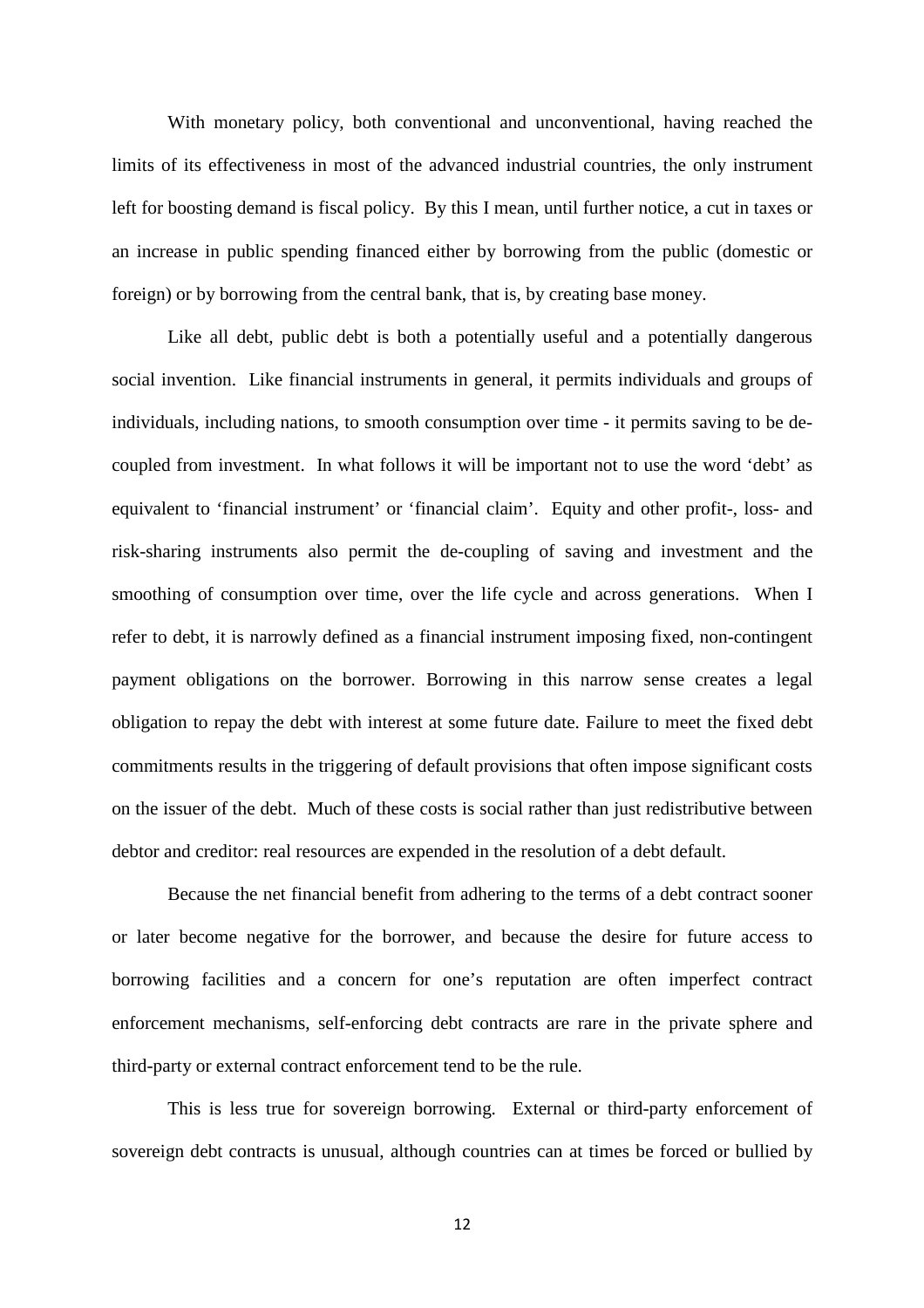With monetary policy, both conventional and unconventional, having reached the limits of its effectiveness in most of the advanced industrial countries, the only instrument left for boosting demand is fiscal policy. By this I mean, until further notice, a cut in taxes or an increase in public spending financed either by borrowing from the public (domestic or foreign) or by borrowing from the central bank, that is, by creating base money.

Like all debt, public debt is both a potentially useful and a potentially dangerous social invention. Like financial instruments in general, it permits individuals and groups of individuals, including nations, to smooth consumption over time - it permits saving to be decoupled from investment. In what follows it will be important not to use the word 'debt' as equivalent to 'financial instrument' or 'financial claim'. Equity and other profit-, loss- and risk-sharing instruments also permit the de-coupling of saving and investment and the smoothing of consumption over time, over the life cycle and across generations. When I refer to debt, it is narrowly defined as a financial instrument imposing fixed, non-contingent payment obligations on the borrower. Borrowing in this narrow sense creates a legal obligation to repay the debt with interest at some future date. Failure to meet the fixed debt commitments results in the triggering of default provisions that often impose significant costs on the issuer of the debt. Much of these costs is social rather than just redistributive between debtor and creditor: real resources are expended in the resolution of a debt default.

Because the net financial benefit from adhering to the terms of a debt contract sooner or later become negative for the borrower, and because the desire for future access to borrowing facilities and a concern for one's reputation are often imperfect contract enforcement mechanisms, self-enforcing debt contracts are rare in the private sphere and third-party or external contract enforcement tend to be the rule.

This is less true for sovereign borrowing. External or third-party enforcement of sovereign debt contracts is unusual, although countries can at times be forced or bullied by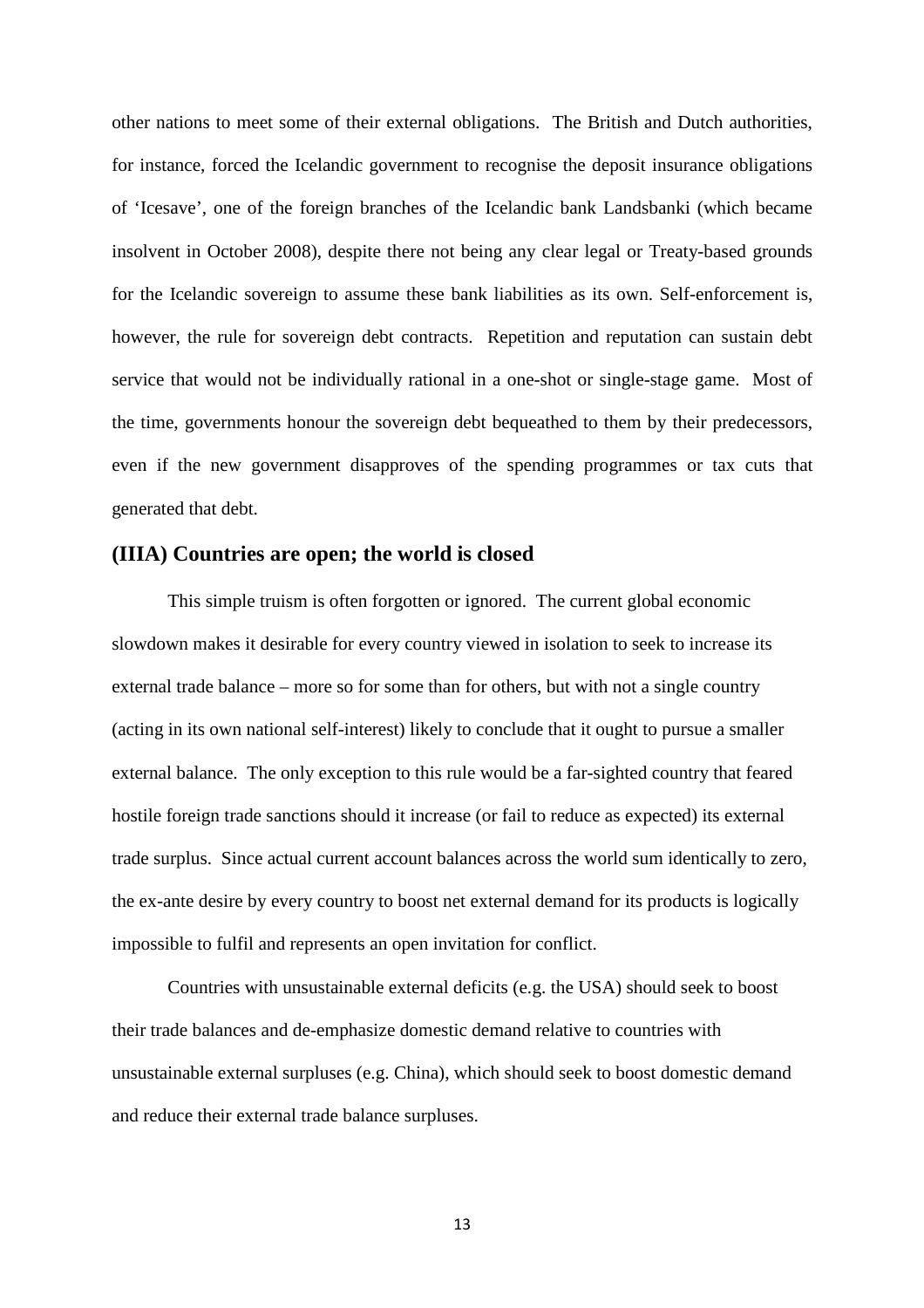other nations to meet some of their external obligations. The British and Dutch authorities, for instance, forced the Icelandic government to recognise the deposit insurance obligations of 'Icesave', one of the foreign branches of the Icelandic bank Landsbanki (which became insolvent in October 2008), despite there not being any clear legal or Treaty-based grounds for the Icelandic sovereign to assume these bank liabilities as its own. Self-enforcement is, however, the rule for sovereign debt contracts. Repetition and reputation can sustain debt service that would not be individually rational in a one-shot or single-stage game. Most of the time, governments honour the sovereign debt bequeathed to them by their predecessors, even if the new government disapproves of the spending programmes or tax cuts that generated that debt.

#### **(IIIA) Countries are open; the world is closed**

This simple truism is often forgotten or ignored. The current global economic slowdown makes it desirable for every country viewed in isolation to seek to increase its external trade balance – more so for some than for others, but with not a single country (acting in its own national self-interest) likely to conclude that it ought to pursue a smaller external balance. The only exception to this rule would be a far-sighted country that feared hostile foreign trade sanctions should it increase (or fail to reduce as expected) its external trade surplus. Since actual current account balances across the world sum identically to zero, the ex-ante desire by every country to boost net external demand for its products is logically impossible to fulfil and represents an open invitation for conflict.

Countries with unsustainable external deficits (e.g. the USA) should seek to boost their trade balances and de-emphasize domestic demand relative to countries with unsustainable external surpluses (e.g. China), which should seek to boost domestic demand and reduce their external trade balance surpluses.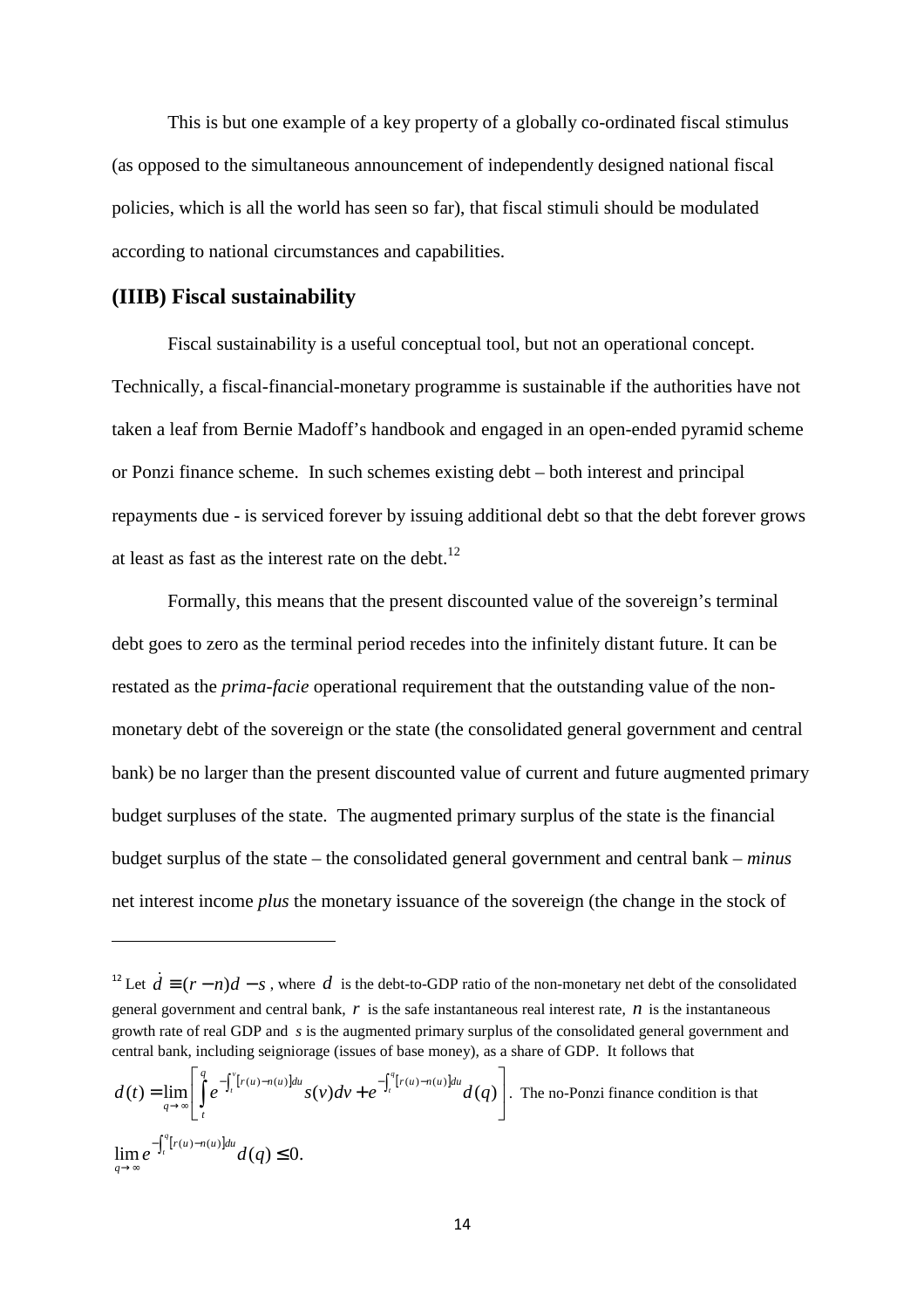This is but one example of a key property of a globally co-ordinated fiscal stimulus (as opposed to the simultaneous announcement of independently designed national fiscal policies, which is all the world has seen so far), that fiscal stimuli should be modulated according to national circumstances and capabilities.

#### **(IIIB) Fiscal sustainability**

 $\overline{a}$ 

Fiscal sustainability is a useful conceptual tool, but not an operational concept. Technically, a fiscal-financial-monetary programme is sustainable if the authorities have not taken a leaf from Bernie Madoff's handbook and engaged in an open-ended pyramid scheme or Ponzi finance scheme. In such schemes existing debt – both interest and principal repayments due - is serviced forever by issuing additional debt so that the debt forever grows at least as fast as the interest rate on the debt. $^{12}$ 

Formally, this means that the present discounted value of the sovereign's terminal debt goes to zero as the terminal period recedes into the infinitely distant future. It can be restated as the *prima-facie* operational requirement that the outstanding value of the nonmonetary debt of the sovereign or the state (the consolidated general government and central bank) be no larger than the present discounted value of current and future augmented primary budget surpluses of the state. The augmented primary surplus of the state is the financial budget surplus of the state – the consolidated general government and central bank – *minus* net interest income *plus* the monetary issuance of the sovereign (the change in the stock of

<sup>&</sup>lt;sup>12</sup> Let  $\dot{d} \equiv (r - n)d - s$ , where  $d$  is the debt-to-GDP ratio of the non-monetary net debt of the consolidated general government and central bank,  $r$  is the safe instantaneous real interest rate,  $n$  is the instantaneous growth rate of real GDP and *s* is the augmented primary surplus of the consolidated general government and central bank, including seigniorage (issues of base money), as a share of GDP. It follows that

 $\mathcal{L}(t) = \lim_{h \to 0} \int_{0}^{4} e^{-\int_{t}^{1} [r(u) - n(u)] du} s(v) dv + e^{-\int_{t}^{4} [r(u) - n(u)] du} d(q)$  $v_r$  **q**  $\alpha$ <sup>t</sup>  $\alpha$   $\alpha$   $\alpha$   $\alpha$   $\alpha$   $\beta$   $\alpha$   $\beta$   $\alpha$  $\int_{0}^{q}$  -  $\int_{0}^{v} [r(u)-n(u)]du$  -  $\int_{0}^{q} [r(u)-n(u)]du$ *q* →∞  $\begin{bmatrix}$  J  $d(t) = \lim_{h \to 0} \int_{0}^{t} e^{-\int_{t}^{t} [r(u) - n(u)]du} s(v) dv + e^{-\int_{t}^{t} [r(u) - n(u)]du} d(q)$  $=\lim_{q\to\infty}\left[\int_{0}^{q}e^{-\int_{t}^{v}[r(u)-n(u)]du}s(v)dv+e^{-\int_{t}^{q}[r(u)-n(u)]du}d(q)\right]$  $\left[\int_{t}e^{-\int_{t}^{\left[r(u)-n(u)\right]du}}s(v)dv + e^{-\int_{t}^{\left[r(u)-n(u)\right]du}}d(q)\right]$ . The no-Ponzi finance condition is that  $\lim_{e^{-\int_{t}^{t}[r(u)-n(u)]du}}d(q) \leq 0.$ *q*  $e^{-\int_t^q [r(u)-n(u)]du} d(q) \le$ *q* →∞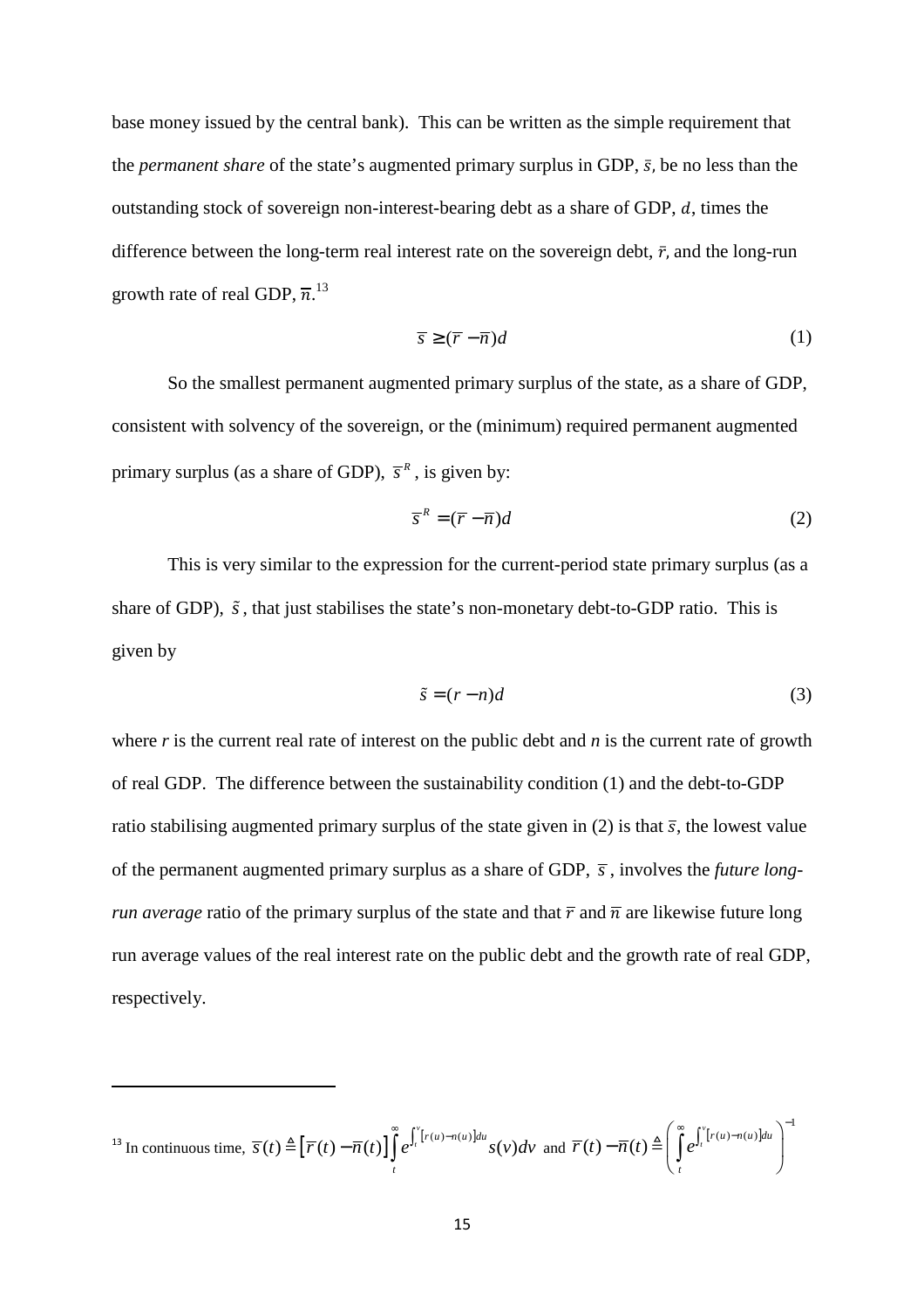base money issued by the central bank). This can be written as the simple requirement that the *permanent share* of the state's augmented primary surplus in GDP,  $\bar{s}$ , be no less than the outstanding stock of sovereign non-interest-bearing debt as a share of GDP,  $d$ , times the difference between the long-term real interest rate on the sovereign debt,  $\bar{r}$ , and the long-run growth rate of real GDP,  $\overline{n}$ .<sup>13</sup>

$$
\overline{s} \ge (\overline{r} - \overline{n})d \tag{1}
$$

So the smallest permanent augmented primary surplus of the state, as a share of GDP, consistent with solvency of the sovereign, or the (minimum) required permanent augmented primary surplus (as a share of GDP),  $\bar{s}^R$ , is given by:

$$
\overline{s}^R = (\overline{r} - \overline{n})d\tag{2}
$$

This is very similar to the expression for the current-period state primary surplus (as a share of GDP),  $\tilde{s}$ , that just stabilises the state's non-monetary debt-to-GDP ratio. This is given by

$$
\tilde{s} = (r - n)d\tag{3}
$$

where *r* is the current real rate of interest on the public debt and *n* is the current rate of growth of real GDP. The difference between the sustainability condition (1) and the debt-to-GDP ratio stabilising augmented primary surplus of the state given in (2) is that  $\overline{s}$ , the lowest value of the permanent augmented primary surplus as a share of GDP, *s* , involves the *future longrun average* ratio of the primary surplus of the state and that  $\bar{r}$  and  $\bar{n}$  are likewise future long run average values of the real interest rate on the public debt and the growth rate of real GDP, respectively.

<sup>13</sup> In continuous time,  $\overline{s}(t) \triangleq [\overline{r}(t) - \overline{n}(t)] \int_{0}^{\infty} e^{\int_{t}^{t} [r(u) - n(u)] du} s(v)$ *v*  $\int_t$   $[r(u)-n(u)]du$ *t*  $\overline{s}(t) \triangleq \left[ \overline{r}(t) - \overline{n}(t) \right] \left[ e^{\int_t^t e^{-(\mu t - \mu_0 t)} g(\nu) d\nu} \right]$  $\triangleq [\overline{r}(t) - \overline{n}(t)] \int_{0}^{\infty} e^{\int_{t}^{v}[r(u) - n(u)]du} s(v) dv$  and  $\overline{r}(t) - \overline{n}(t) \triangleq \left( \int_{0}^{\infty} e^{\int_{t}^{v}[r(u) - n(u)]du} \right)^{-1}$  $(t) - \overline{n}(t) \triangleq \left| \int e^{\int_t [r(u)-n(u)]} dt \right|$ *v*  $\int_t$   $[r(u)-n(u)]du$ *t*  $\overline{r}(t) - \overline{n}(t) \triangleq | \cdot | e$  $-\overline{n}(t) \triangleq \left(\int\limits_{t}^{\infty} e^{\int_{t}^{v}[r(u)-n(u)]du}\right)^{-}$ 

l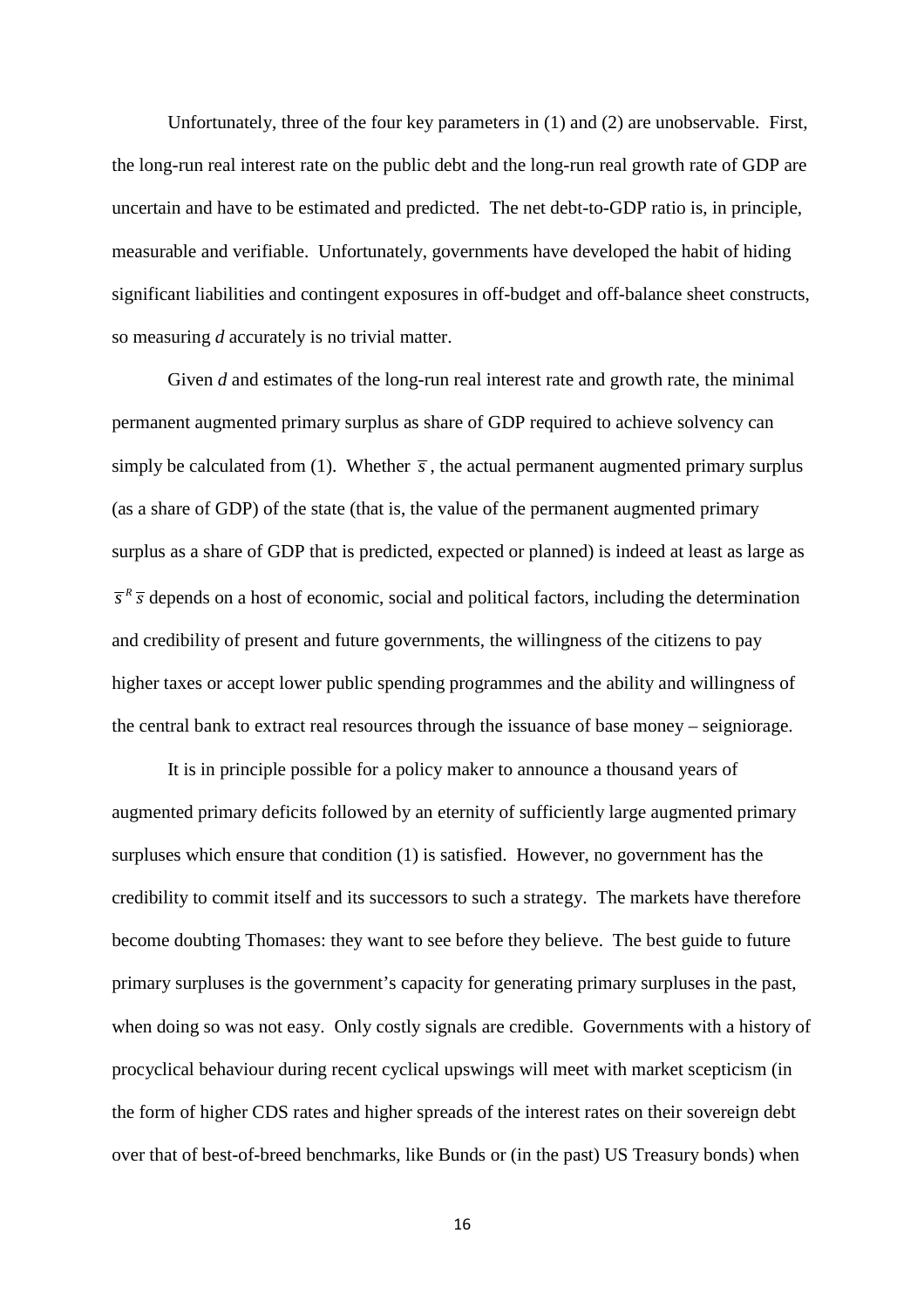Unfortunately, three of the four key parameters in (1) and (2) are unobservable. First, the long-run real interest rate on the public debt and the long-run real growth rate of GDP are uncertain and have to be estimated and predicted. The net debt-to-GDP ratio is, in principle, measurable and verifiable. Unfortunately, governments have developed the habit of hiding significant liabilities and contingent exposures in off-budget and off-balance sheet constructs, so measuring *d* accurately is no trivial matter.

Given *d* and estimates of the long-run real interest rate and growth rate, the minimal permanent augmented primary surplus as share of GDP required to achieve solvency can simply be calculated from (1). Whether  $\bar{s}$ , the actual permanent augmented primary surplus (as a share of GDP) of the state (that is, the value of the permanent augmented primary surplus as a share of GDP that is predicted, expected or planned) is indeed at least as large as  $\bar{s}^R$   $\bar{s}$  depends on a host of economic, social and political factors, including the determination and credibility of present and future governments, the willingness of the citizens to pay higher taxes or accept lower public spending programmes and the ability and willingness of the central bank to extract real resources through the issuance of base money – seigniorage.

It is in principle possible for a policy maker to announce a thousand years of augmented primary deficits followed by an eternity of sufficiently large augmented primary surpluses which ensure that condition (1) is satisfied. However, no government has the credibility to commit itself and its successors to such a strategy. The markets have therefore become doubting Thomases: they want to see before they believe. The best guide to future primary surpluses is the government's capacity for generating primary surpluses in the past, when doing so was not easy. Only costly signals are credible. Governments with a history of procyclical behaviour during recent cyclical upswings will meet with market scepticism (in the form of higher CDS rates and higher spreads of the interest rates on their sovereign debt over that of best-of-breed benchmarks, like Bunds or (in the past) US Treasury bonds) when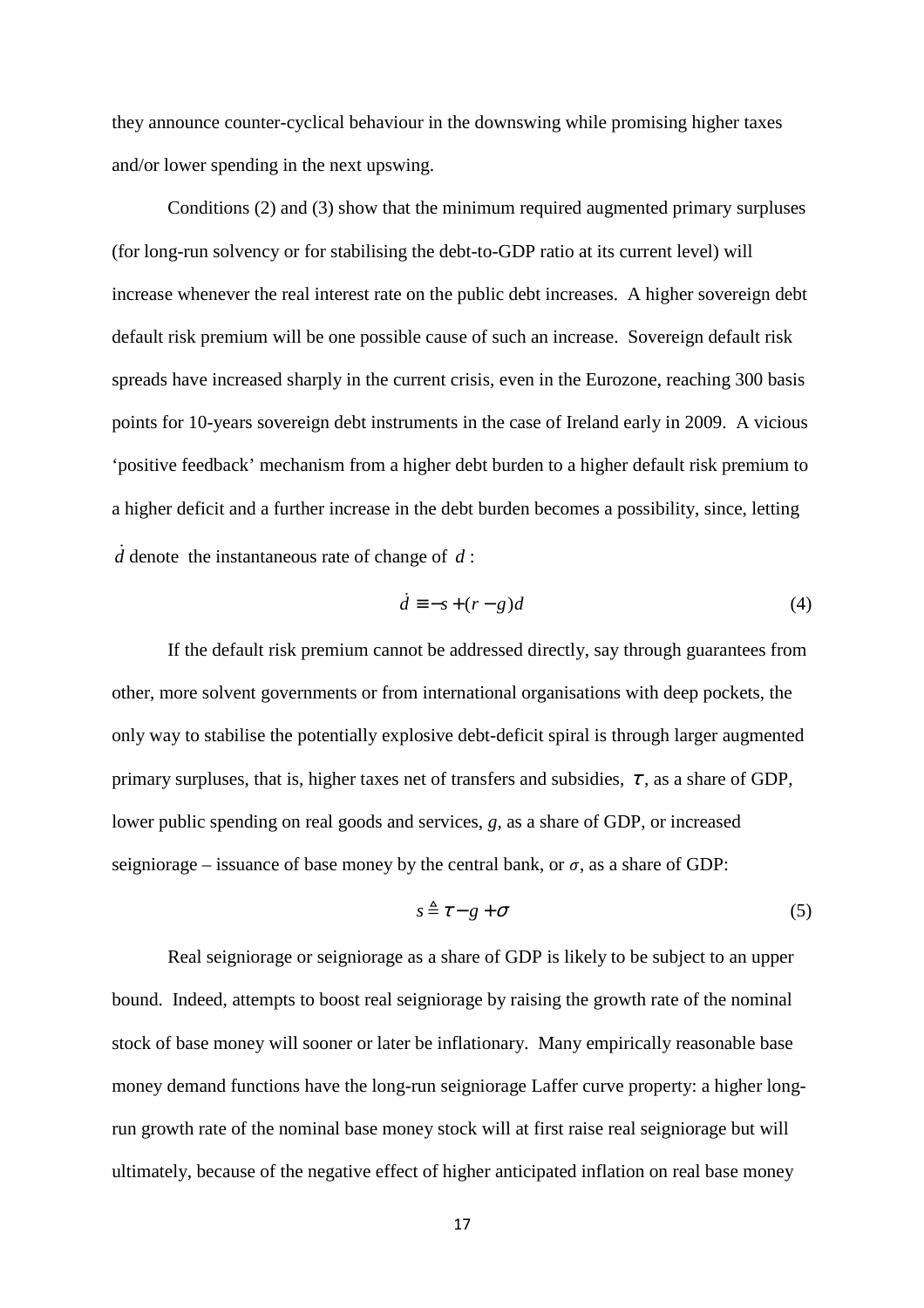they announce counter-cyclical behaviour in the downswing while promising higher taxes and/or lower spending in the next upswing.

Conditions (2) and (3) show that the minimum required augmented primary surpluses (for long-run solvency or for stabilising the debt-to-GDP ratio at its current level) will increase whenever the real interest rate on the public debt increases. A higher sovereign debt default risk premium will be one possible cause of such an increase. Sovereign default risk spreads have increased sharply in the current crisis, even in the Eurozone, reaching 300 basis points for 10-years sovereign debt instruments in the case of Ireland early in 2009. A vicious 'positive feedback' mechanism from a higher debt burden to a higher default risk premium to a higher deficit and a further increase in the debt burden becomes a possibility, since, letting  $\dot{d}$  denote the instantaneous rate of change of  $d$ :

$$
\dot{d} \equiv -s + (r - g)d\tag{4}
$$

If the default risk premium cannot be addressed directly, say through guarantees from other, more solvent governments or from international organisations with deep pockets, the only way to stabilise the potentially explosive debt-deficit spiral is through larger augmented primary surpluses, that is, higher taxes net of transfers and subsidies,  $\tau$ , as a share of GDP, lower public spending on real goods and services, *g,* as a share of GDP, or increased seigniorage – issuance of base money by the central bank, or  $\sigma$ , as a share of GDP:

$$
s \triangleq \tau - g + \sigma \tag{5}
$$

 Real seigniorage or seigniorage as a share of GDP is likely to be subject to an upper bound. Indeed, attempts to boost real seigniorage by raising the growth rate of the nominal stock of base money will sooner or later be inflationary. Many empirically reasonable base money demand functions have the long-run seigniorage Laffer curve property: a higher longrun growth rate of the nominal base money stock will at first raise real seigniorage but will ultimately, because of the negative effect of higher anticipated inflation on real base money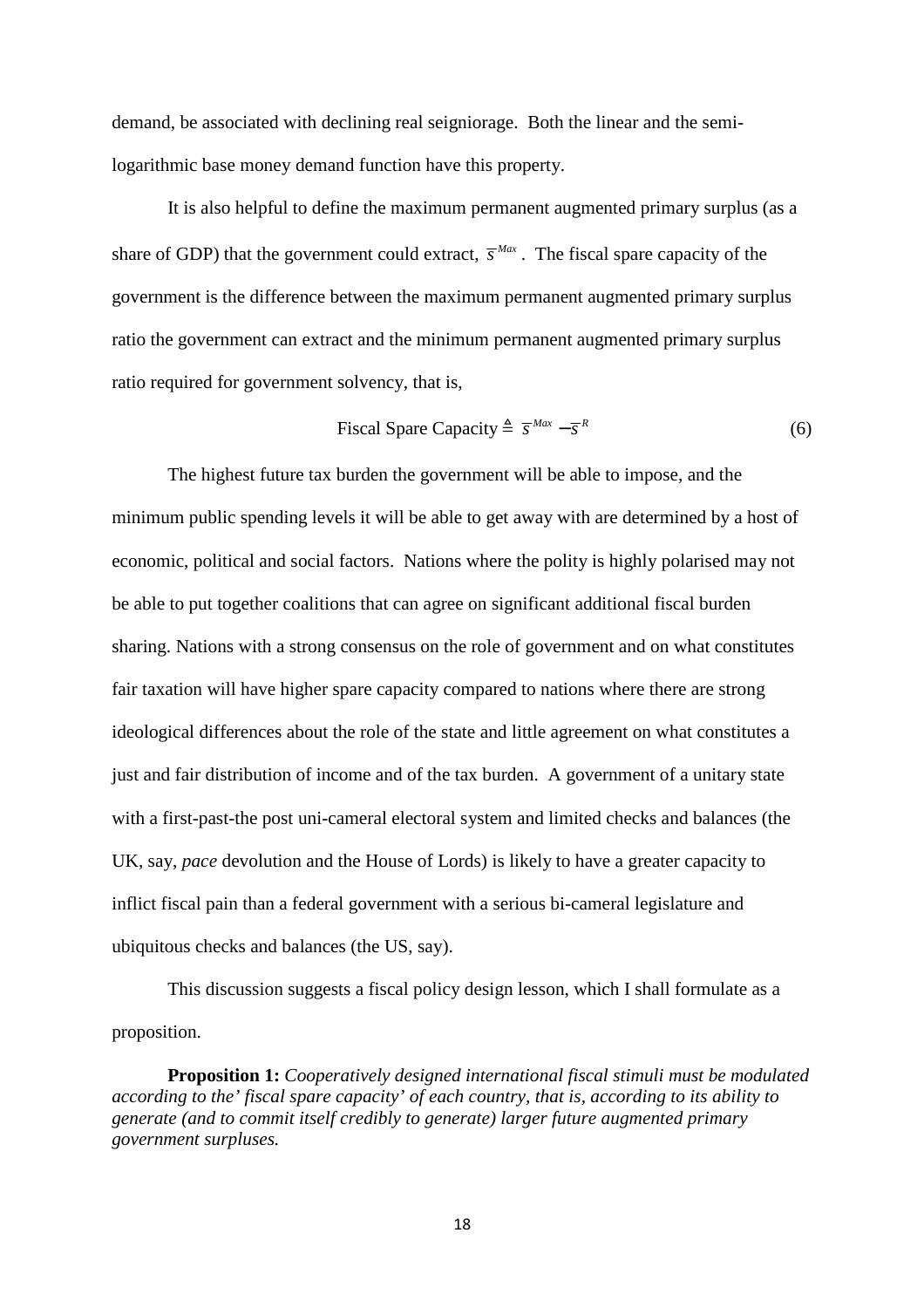demand, be associated with declining real seigniorage. Both the linear and the semilogarithmic base money demand function have this property.

It is also helpful to define the maximum permanent augmented primary surplus (as a share of GDP) that the government could extract,  $\bar{s}^{Max}$ . The fiscal spare capacity of the government is the difference between the maximum permanent augmented primary surplus ratio the government can extract and the minimum permanent augmented primary surplus ratio required for government solvency, that is,

$$
\text{Fiscal Space Capacity} \triangleq \overline{s}^{Max} - \overline{s}^{R} \tag{6}
$$

 The highest future tax burden the government will be able to impose, and the minimum public spending levels it will be able to get away with are determined by a host of economic, political and social factors. Nations where the polity is highly polarised may not be able to put together coalitions that can agree on significant additional fiscal burden sharing. Nations with a strong consensus on the role of government and on what constitutes fair taxation will have higher spare capacity compared to nations where there are strong ideological differences about the role of the state and little agreement on what constitutes a just and fair distribution of income and of the tax burden. A government of a unitary state with a first-past-the post uni-cameral electoral system and limited checks and balances (the UK, say, *pace* devolution and the House of Lords) is likely to have a greater capacity to inflict fiscal pain than a federal government with a serious bi-cameral legislature and ubiquitous checks and balances (the US, say).

 This discussion suggests a fiscal policy design lesson, which I shall formulate as a proposition.

**Proposition 1:** *Cooperatively designed international fiscal stimuli must be modulated according to the' fiscal spare capacity' of each country, that is, according to its ability to generate (and to commit itself credibly to generate) larger future augmented primary government surpluses.*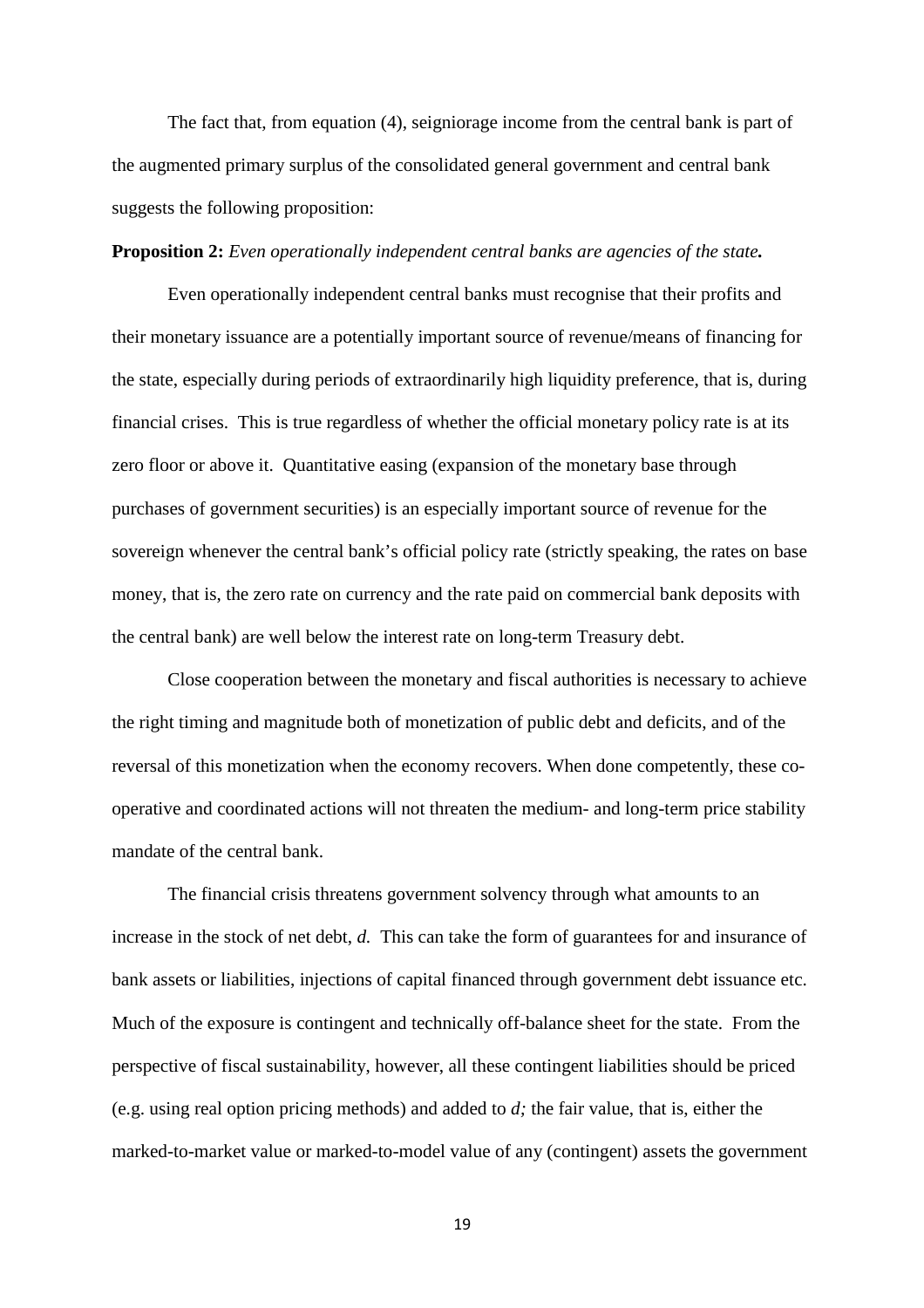The fact that, from equation (4), seigniorage income from the central bank is part of the augmented primary surplus of the consolidated general government and central bank suggests the following proposition:

#### **Proposition 2:** *Even operationally independent central banks are agencies of the state.*

Even operationally independent central banks must recognise that their profits and their monetary issuance are a potentially important source of revenue/means of financing for the state, especially during periods of extraordinarily high liquidity preference, that is, during financial crises. This is true regardless of whether the official monetary policy rate is at its zero floor or above it. Quantitative easing (expansion of the monetary base through purchases of government securities) is an especially important source of revenue for the sovereign whenever the central bank's official policy rate (strictly speaking, the rates on base money, that is, the zero rate on currency and the rate paid on commercial bank deposits with the central bank) are well below the interest rate on long-term Treasury debt.

Close cooperation between the monetary and fiscal authorities is necessary to achieve the right timing and magnitude both of monetization of public debt and deficits, and of the reversal of this monetization when the economy recovers. When done competently, these cooperative and coordinated actions will not threaten the medium- and long-term price stability mandate of the central bank.

The financial crisis threatens government solvency through what amounts to an increase in the stock of net debt, *d.* This can take the form of guarantees for and insurance of bank assets or liabilities, injections of capital financed through government debt issuance etc. Much of the exposure is contingent and technically off-balance sheet for the state. From the perspective of fiscal sustainability, however, all these contingent liabilities should be priced (e.g. using real option pricing methods) and added to *d;* the fair value, that is, either the marked-to-market value or marked-to-model value of any (contingent) assets the government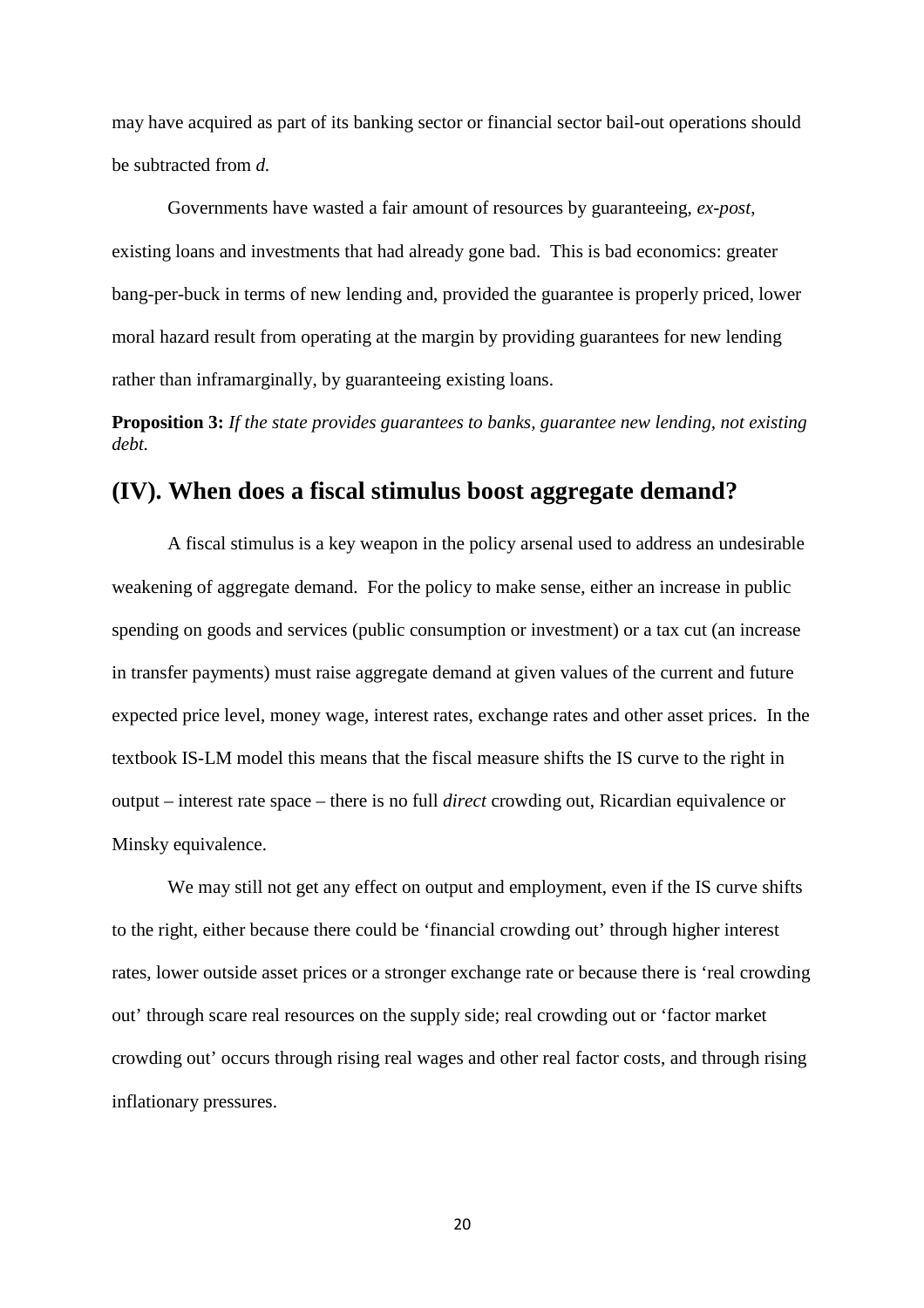may have acquired as part of its banking sector or financial sector bail-out operations should be subtracted from *d.*

Governments have wasted a fair amount of resources by guaranteeing, *ex-post*, existing loans and investments that had already gone bad. This is bad economics: greater bang-per-buck in terms of new lending and, provided the guarantee is properly priced, lower moral hazard result from operating at the margin by providing guarantees for new lending rather than inframarginally, by guaranteeing existing loans.

**Proposition 3:** *If the state provides guarantees to banks, guarantee new lending, not existing debt.* 

## **(IV). When does a fiscal stimulus boost aggregate demand?**

A fiscal stimulus is a key weapon in the policy arsenal used to address an undesirable weakening of aggregate demand. For the policy to make sense, either an increase in public spending on goods and services (public consumption or investment) or a tax cut (an increase in transfer payments) must raise aggregate demand at given values of the current and future expected price level, money wage, interest rates, exchange rates and other asset prices. In the textbook IS-LM model this means that the fiscal measure shifts the IS curve to the right in output – interest rate space – there is no full *direct* crowding out, Ricardian equivalence or Minsky equivalence.

We may still not get any effect on output and employment, even if the IS curve shifts to the right, either because there could be 'financial crowding out' through higher interest rates, lower outside asset prices or a stronger exchange rate or because there is 'real crowding out' through scare real resources on the supply side; real crowding out or 'factor market crowding out' occurs through rising real wages and other real factor costs, and through rising inflationary pressures.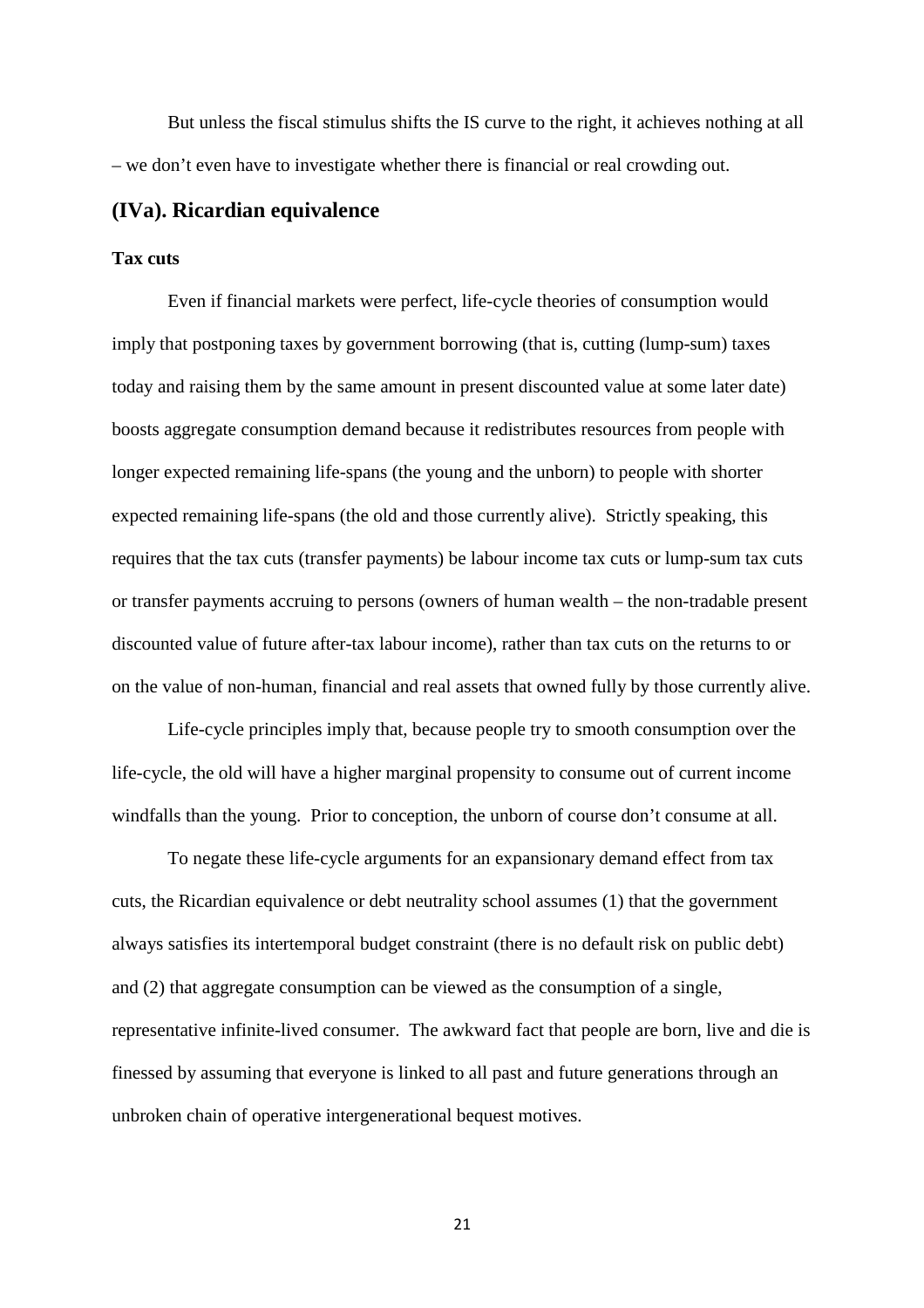But unless the fiscal stimulus shifts the IS curve to the right, it achieves nothing at all – we don't even have to investigate whether there is financial or real crowding out.

#### **(IVa). Ricardian equivalence**

#### **Tax cuts**

Even if financial markets were perfect, life-cycle theories of consumption would imply that postponing taxes by government borrowing (that is, cutting (lump-sum) taxes today and raising them by the same amount in present discounted value at some later date) boosts aggregate consumption demand because it redistributes resources from people with longer expected remaining life-spans (the young and the unborn) to people with shorter expected remaining life-spans (the old and those currently alive). Strictly speaking, this requires that the tax cuts (transfer payments) be labour income tax cuts or lump-sum tax cuts or transfer payments accruing to persons (owners of human wealth – the non-tradable present discounted value of future after-tax labour income), rather than tax cuts on the returns to or on the value of non-human, financial and real assets that owned fully by those currently alive.

Life-cycle principles imply that, because people try to smooth consumption over the life-cycle, the old will have a higher marginal propensity to consume out of current income windfalls than the young. Prior to conception, the unborn of course don't consume at all.

 To negate these life-cycle arguments for an expansionary demand effect from tax cuts, the Ricardian equivalence or debt neutrality school assumes (1) that the government always satisfies its intertemporal budget constraint (there is no default risk on public debt) and (2) that aggregate consumption can be viewed as the consumption of a single, representative infinite-lived consumer. The awkward fact that people are born, live and die is finessed by assuming that everyone is linked to all past and future generations through an unbroken chain of operative intergenerational bequest motives.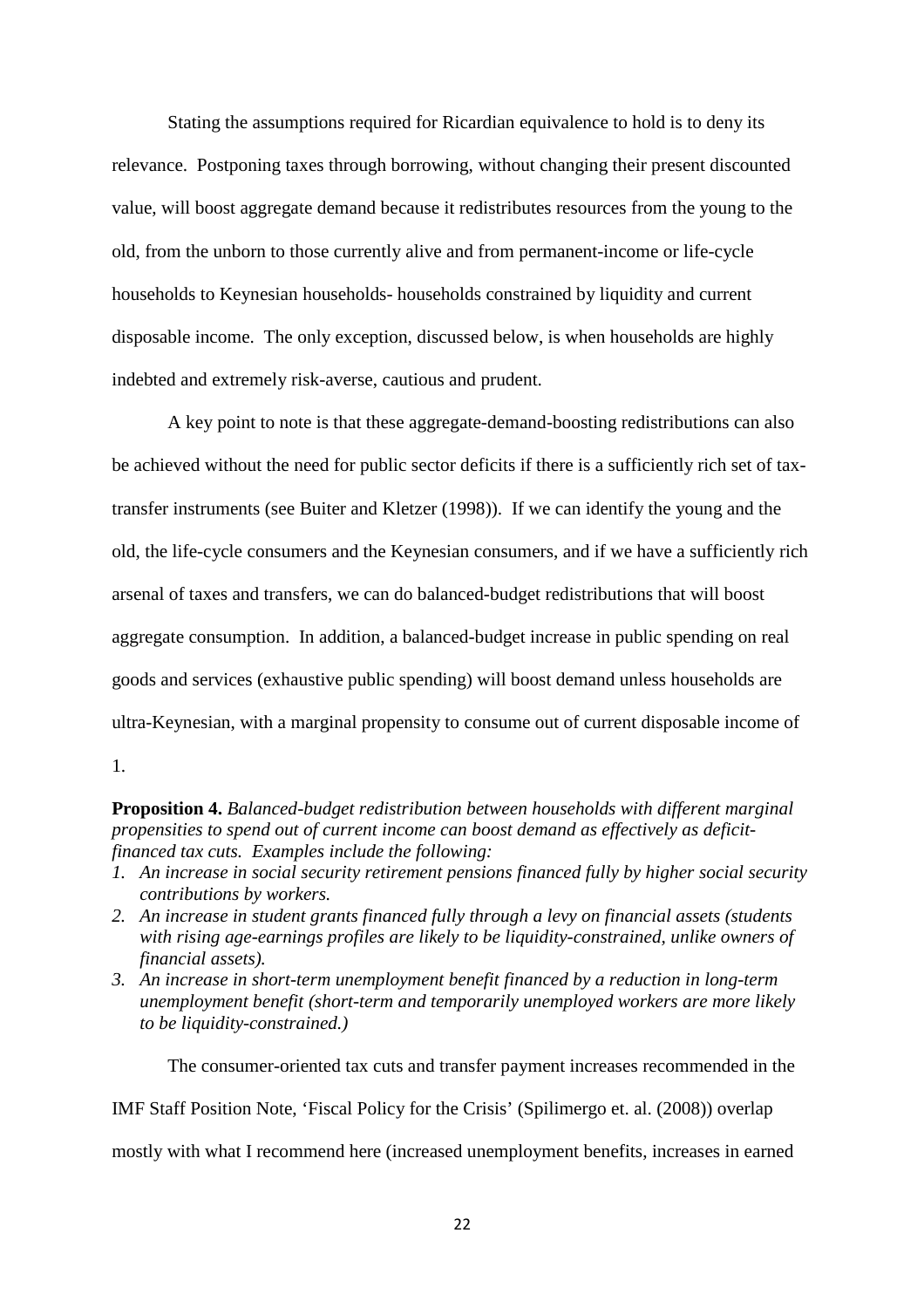Stating the assumptions required for Ricardian equivalence to hold is to deny its relevance. Postponing taxes through borrowing, without changing their present discounted value, will boost aggregate demand because it redistributes resources from the young to the old, from the unborn to those currently alive and from permanent-income or life-cycle households to Keynesian households- households constrained by liquidity and current disposable income. The only exception, discussed below, is when households are highly indebted and extremely risk-averse, cautious and prudent.

A key point to note is that these aggregate-demand-boosting redistributions can also be achieved without the need for public sector deficits if there is a sufficiently rich set of taxtransfer instruments (see Buiter and Kletzer (1998)). If we can identify the young and the old, the life-cycle consumers and the Keynesian consumers, and if we have a sufficiently rich arsenal of taxes and transfers, we can do balanced-budget redistributions that will boost aggregate consumption. In addition, a balanced-budget increase in public spending on real goods and services (exhaustive public spending) will boost demand unless households are ultra-Keynesian, with a marginal propensity to consume out of current disposable income of

1.

**Proposition 4.** *Balanced-budget redistribution between households with different marginal propensities to spend out of current income can boost demand as effectively as deficitfinanced tax cuts. Examples include the following:*

- *1. An increase in social security retirement pensions financed fully by higher social security contributions by workers.*
- *2. An increase in student grants financed fully through a levy on financial assets (students with rising age-earnings profiles are likely to be liquidity-constrained, unlike owners of financial assets).*
- *3. An increase in short-term unemployment benefit financed by a reduction in long-term unemployment benefit (short-term and temporarily unemployed workers are more likely to be liquidity-constrained.)*

The consumer-oriented tax cuts and transfer payment increases recommended in the

IMF Staff Position Note, 'Fiscal Policy for the Crisis' (Spilimergo et. al. (2008)) overlap

mostly with what I recommend here (increased unemployment benefits, increases in earned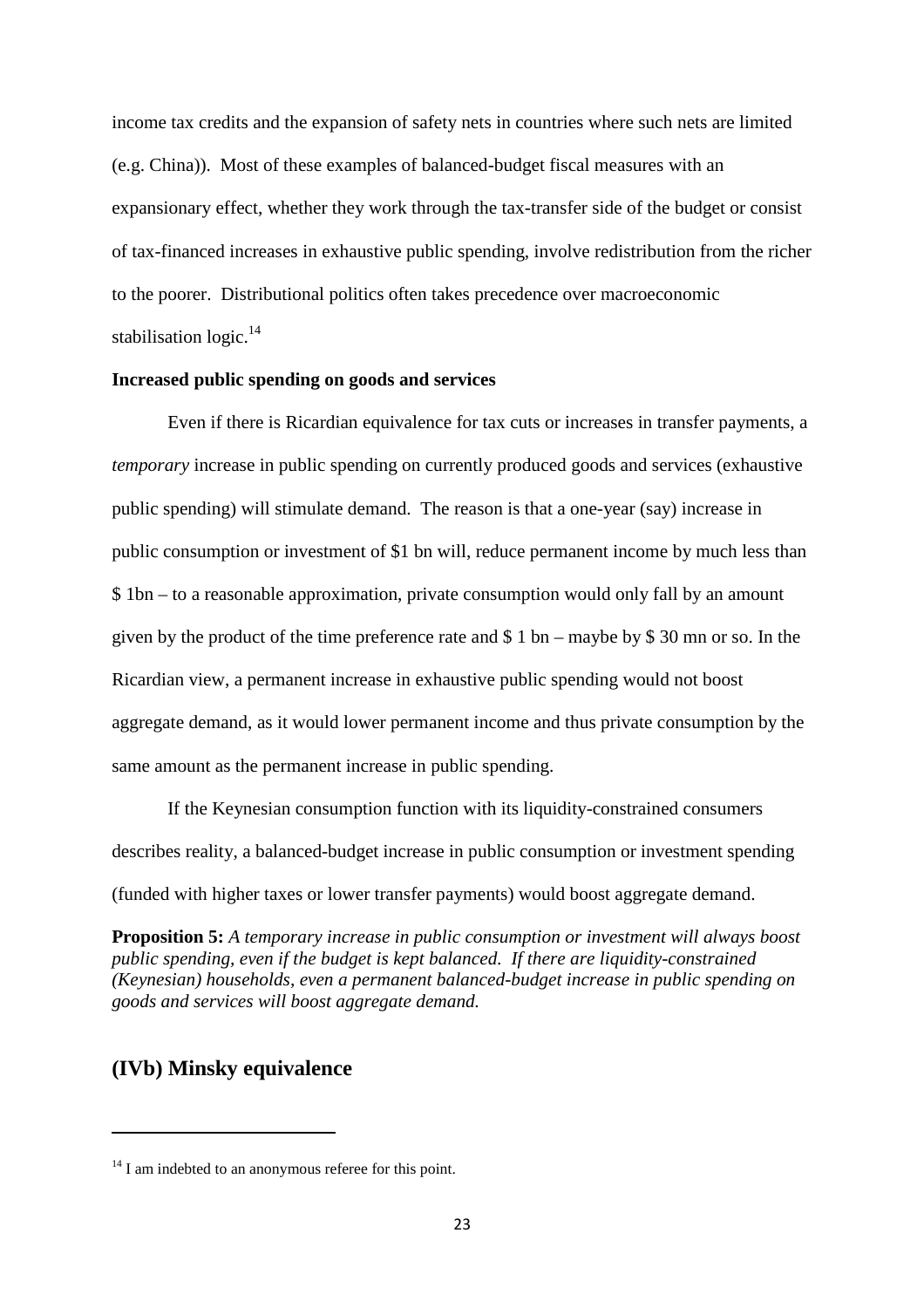income tax credits and the expansion of safety nets in countries where such nets are limited (e.g. China)). Most of these examples of balanced-budget fiscal measures with an expansionary effect, whether they work through the tax-transfer side of the budget or consist of tax-financed increases in exhaustive public spending, involve redistribution from the richer to the poorer. Distributional politics often takes precedence over macroeconomic stabilisation logic.<sup>14</sup>

#### **Increased public spending on goods and services**

Even if there is Ricardian equivalence for tax cuts or increases in transfer payments, a *temporary* increase in public spending on currently produced goods and services (exhaustive public spending) will stimulate demand. The reason is that a one-year (say) increase in public consumption or investment of \$1 bn will, reduce permanent income by much less than \$ 1bn – to a reasonable approximation, private consumption would only fall by an amount given by the product of the time preference rate and  $\$$  1 bn – maybe by  $\$$  30 mn or so. In the Ricardian view, a permanent increase in exhaustive public spending would not boost aggregate demand, as it would lower permanent income and thus private consumption by the same amount as the permanent increase in public spending.

 If the Keynesian consumption function with its liquidity-constrained consumers describes reality, a balanced-budget increase in public consumption or investment spending (funded with higher taxes or lower transfer payments) would boost aggregate demand.

**Proposition 5:** *A temporary increase in public consumption or investment will always boost public spending, even if the budget is kept balanced. If there are liquidity-constrained (Keynesian) households, even a permanent balanced-budget increase in public spending on goods and services will boost aggregate demand.*

### **(IVb) Minsky equivalence**

 $\overline{a}$ 

<sup>&</sup>lt;sup>14</sup> I am indebted to an anonymous referee for this point.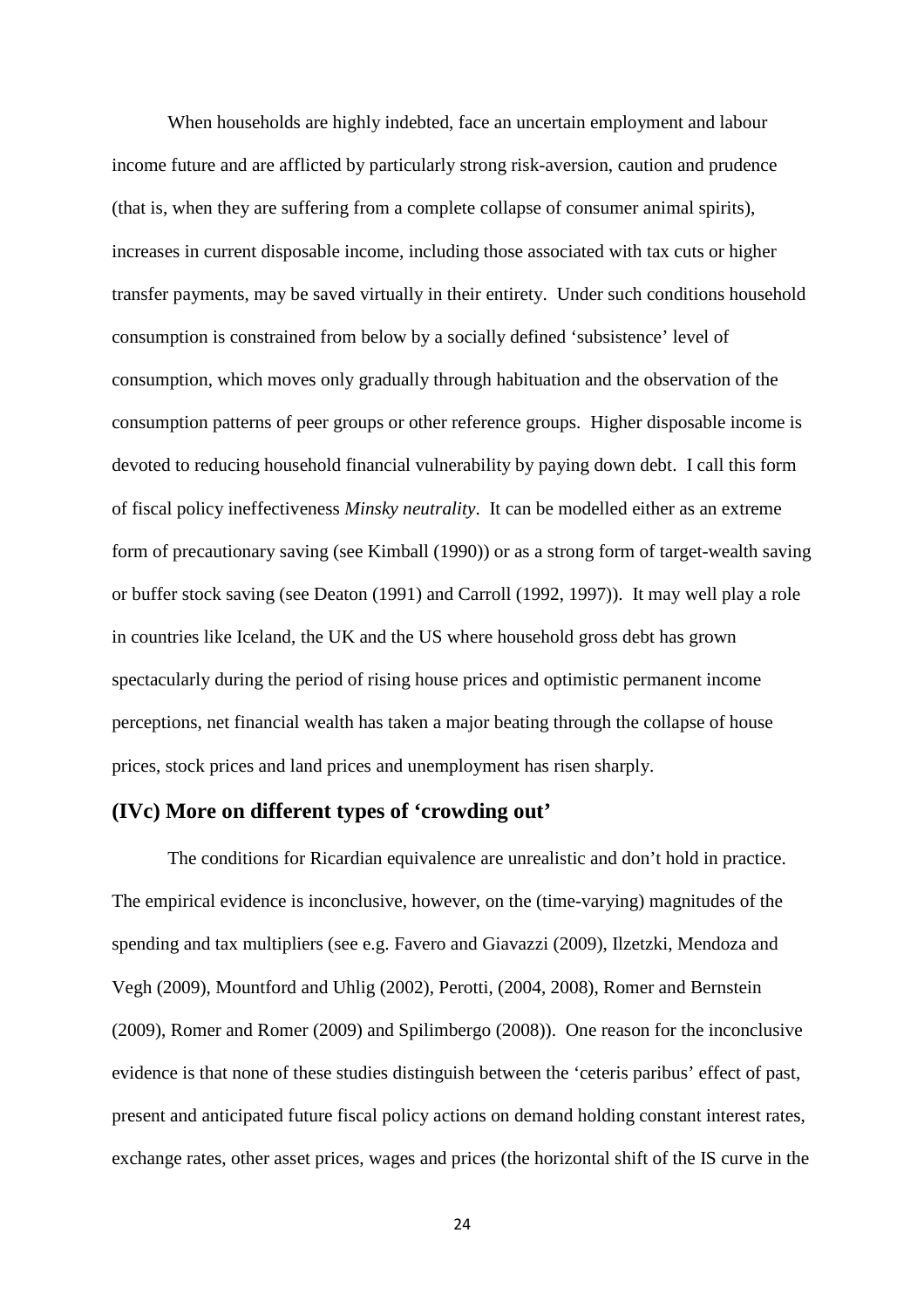When households are highly indebted, face an uncertain employment and labour income future and are afflicted by particularly strong risk-aversion, caution and prudence (that is, when they are suffering from a complete collapse of consumer animal spirits), increases in current disposable income, including those associated with tax cuts or higher transfer payments, may be saved virtually in their entirety. Under such conditions household consumption is constrained from below by a socially defined 'subsistence' level of consumption, which moves only gradually through habituation and the observation of the consumption patterns of peer groups or other reference groups. Higher disposable income is devoted to reducing household financial vulnerability by paying down debt. I call this form of fiscal policy ineffectiveness *Minsky neutrality*. It can be modelled either as an extreme form of precautionary saving (see Kimball (1990)) or as a strong form of target-wealth saving or buffer stock saving (see Deaton (1991) and Carroll (1992, 1997)). It may well play a role in countries like Iceland, the UK and the US where household gross debt has grown spectacularly during the period of rising house prices and optimistic permanent income perceptions, net financial wealth has taken a major beating through the collapse of house prices, stock prices and land prices and unemployment has risen sharply.

### **(IVc) More on different types of 'crowding out'**

The conditions for Ricardian equivalence are unrealistic and don't hold in practice. The empirical evidence is inconclusive, however, on the (time-varying) magnitudes of the spending and tax multipliers (see e.g. Favero and Giavazzi (2009), Ilzetzki, Mendoza and Vegh (2009), Mountford and Uhlig (2002), Perotti, (2004, 2008), Romer and Bernstein (2009), Romer and Romer (2009) and Spilimbergo (2008)). One reason for the inconclusive evidence is that none of these studies distinguish between the 'ceteris paribus' effect of past, present and anticipated future fiscal policy actions on demand holding constant interest rates, exchange rates, other asset prices, wages and prices (the horizontal shift of the IS curve in the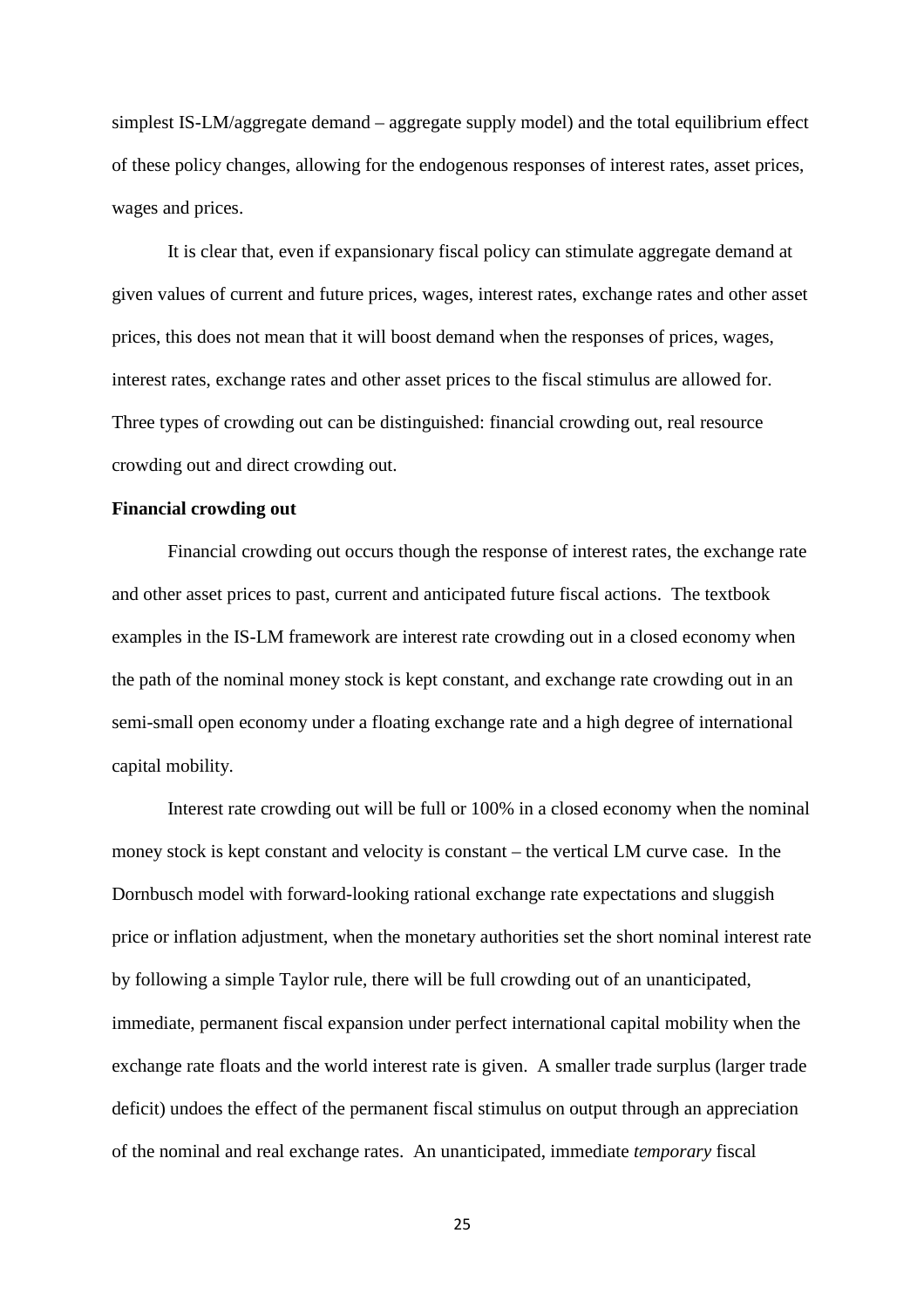simplest IS-LM/aggregate demand – aggregate supply model) and the total equilibrium effect of these policy changes, allowing for the endogenous responses of interest rates, asset prices, wages and prices.

It is clear that, even if expansionary fiscal policy can stimulate aggregate demand at given values of current and future prices, wages, interest rates, exchange rates and other asset prices, this does not mean that it will boost demand when the responses of prices, wages, interest rates, exchange rates and other asset prices to the fiscal stimulus are allowed for. Three types of crowding out can be distinguished: financial crowding out, real resource crowding out and direct crowding out.

#### **Financial crowding out**

 Financial crowding out occurs though the response of interest rates, the exchange rate and other asset prices to past, current and anticipated future fiscal actions. The textbook examples in the IS-LM framework are interest rate crowding out in a closed economy when the path of the nominal money stock is kept constant, and exchange rate crowding out in an semi-small open economy under a floating exchange rate and a high degree of international capital mobility.

Interest rate crowding out will be full or 100% in a closed economy when the nominal money stock is kept constant and velocity is constant – the vertical LM curve case. In the Dornbusch model with forward-looking rational exchange rate expectations and sluggish price or inflation adjustment, when the monetary authorities set the short nominal interest rate by following a simple Taylor rule, there will be full crowding out of an unanticipated, immediate, permanent fiscal expansion under perfect international capital mobility when the exchange rate floats and the world interest rate is given. A smaller trade surplus (larger trade deficit) undoes the effect of the permanent fiscal stimulus on output through an appreciation of the nominal and real exchange rates. An unanticipated, immediate *temporary* fiscal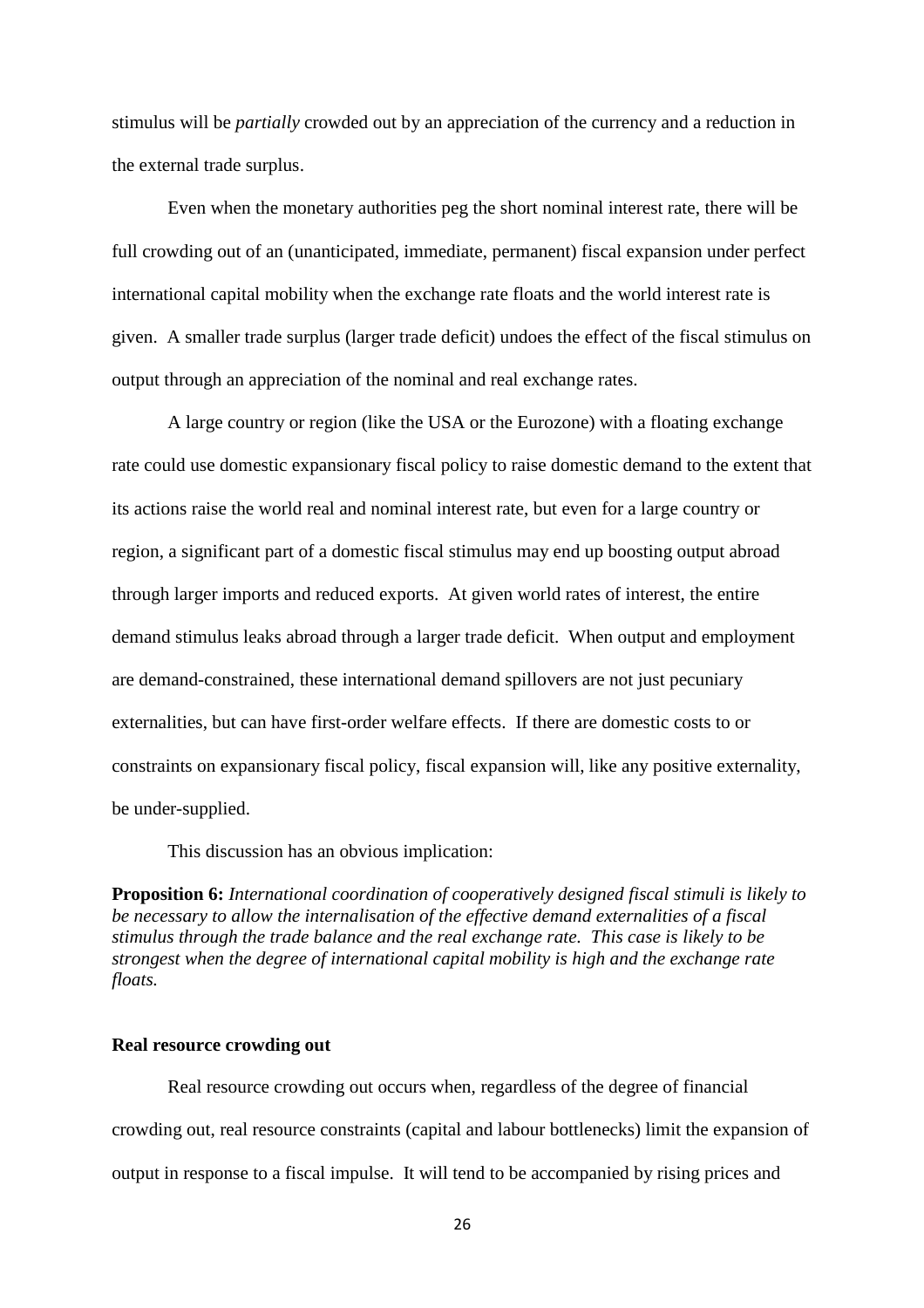stimulus will be *partially* crowded out by an appreciation of the currency and a reduction in the external trade surplus.

Even when the monetary authorities peg the short nominal interest rate, there will be full crowding out of an (unanticipated, immediate, permanent) fiscal expansion under perfect international capital mobility when the exchange rate floats and the world interest rate is given. A smaller trade surplus (larger trade deficit) undoes the effect of the fiscal stimulus on output through an appreciation of the nominal and real exchange rates.

 A large country or region (like the USA or the Eurozone) with a floating exchange rate could use domestic expansionary fiscal policy to raise domestic demand to the extent that its actions raise the world real and nominal interest rate, but even for a large country or region, a significant part of a domestic fiscal stimulus may end up boosting output abroad through larger imports and reduced exports. At given world rates of interest, the entire demand stimulus leaks abroad through a larger trade deficit. When output and employment are demand-constrained, these international demand spillovers are not just pecuniary externalities, but can have first-order welfare effects. If there are domestic costs to or constraints on expansionary fiscal policy, fiscal expansion will, like any positive externality, be under-supplied.

This discussion has an obvious implication:

**Proposition 6:** *International coordination of cooperatively designed fiscal stimuli is likely to be necessary to allow the internalisation of the effective demand externalities of a fiscal stimulus through the trade balance and the real exchange rate. This case is likely to be strongest when the degree of international capital mobility is high and the exchange rate floats.*

#### **Real resource crowding out**

Real resource crowding out occurs when, regardless of the degree of financial crowding out, real resource constraints (capital and labour bottlenecks) limit the expansion of output in response to a fiscal impulse. It will tend to be accompanied by rising prices and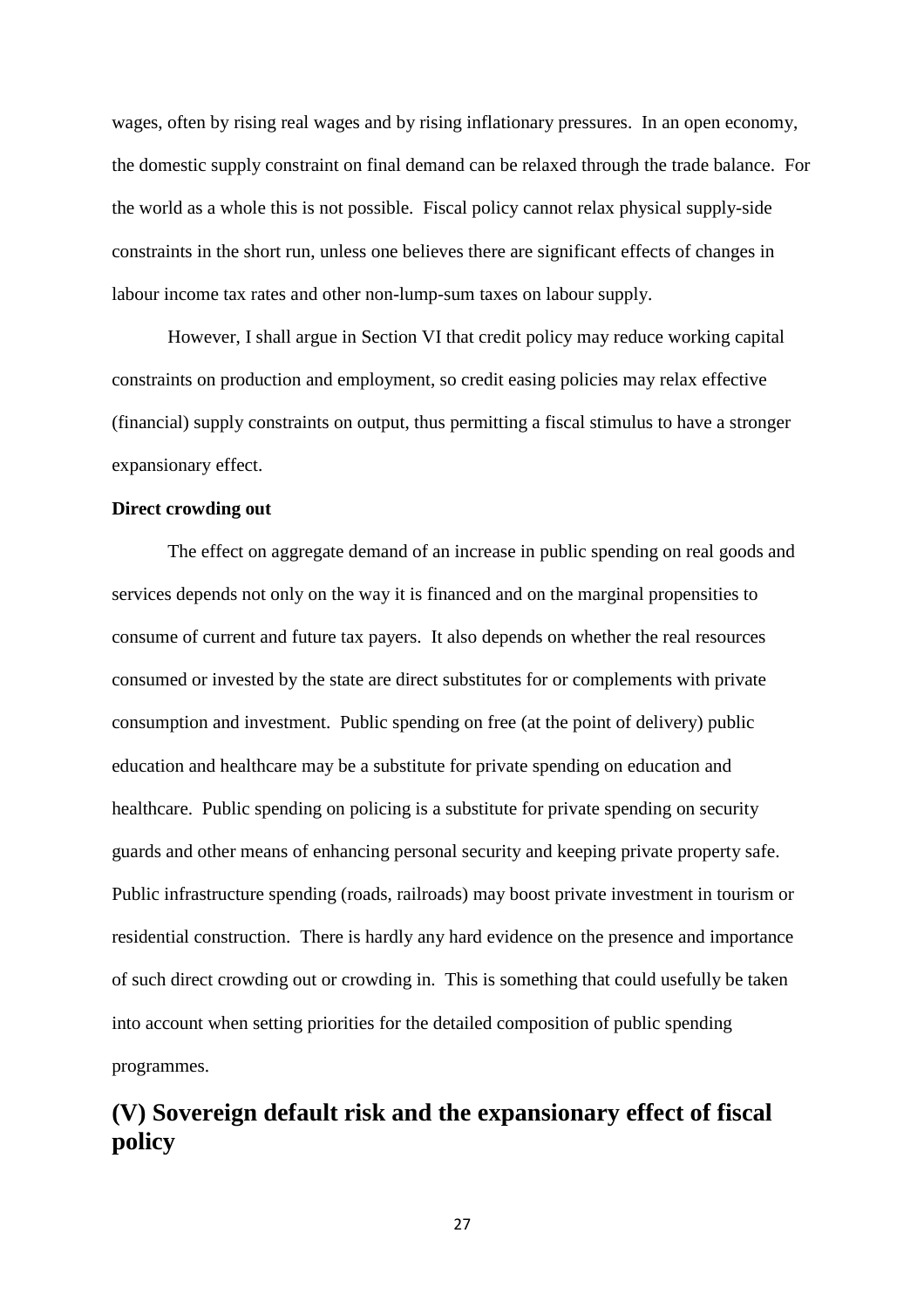wages, often by rising real wages and by rising inflationary pressures. In an open economy, the domestic supply constraint on final demand can be relaxed through the trade balance. For the world as a whole this is not possible. Fiscal policy cannot relax physical supply-side constraints in the short run, unless one believes there are significant effects of changes in labour income tax rates and other non-lump-sum taxes on labour supply.

However, I shall argue in Section VI that credit policy may reduce working capital constraints on production and employment, so credit easing policies may relax effective (financial) supply constraints on output, thus permitting a fiscal stimulus to have a stronger expansionary effect.

#### **Direct crowding out**

The effect on aggregate demand of an increase in public spending on real goods and services depends not only on the way it is financed and on the marginal propensities to consume of current and future tax payers. It also depends on whether the real resources consumed or invested by the state are direct substitutes for or complements with private consumption and investment. Public spending on free (at the point of delivery) public education and healthcare may be a substitute for private spending on education and healthcare. Public spending on policing is a substitute for private spending on security guards and other means of enhancing personal security and keeping private property safe. Public infrastructure spending (roads, railroads) may boost private investment in tourism or residential construction. There is hardly any hard evidence on the presence and importance of such direct crowding out or crowding in. This is something that could usefully be taken into account when setting priorities for the detailed composition of public spending programmes.

# **(V) Sovereign default risk and the expansionary effect of fiscal policy**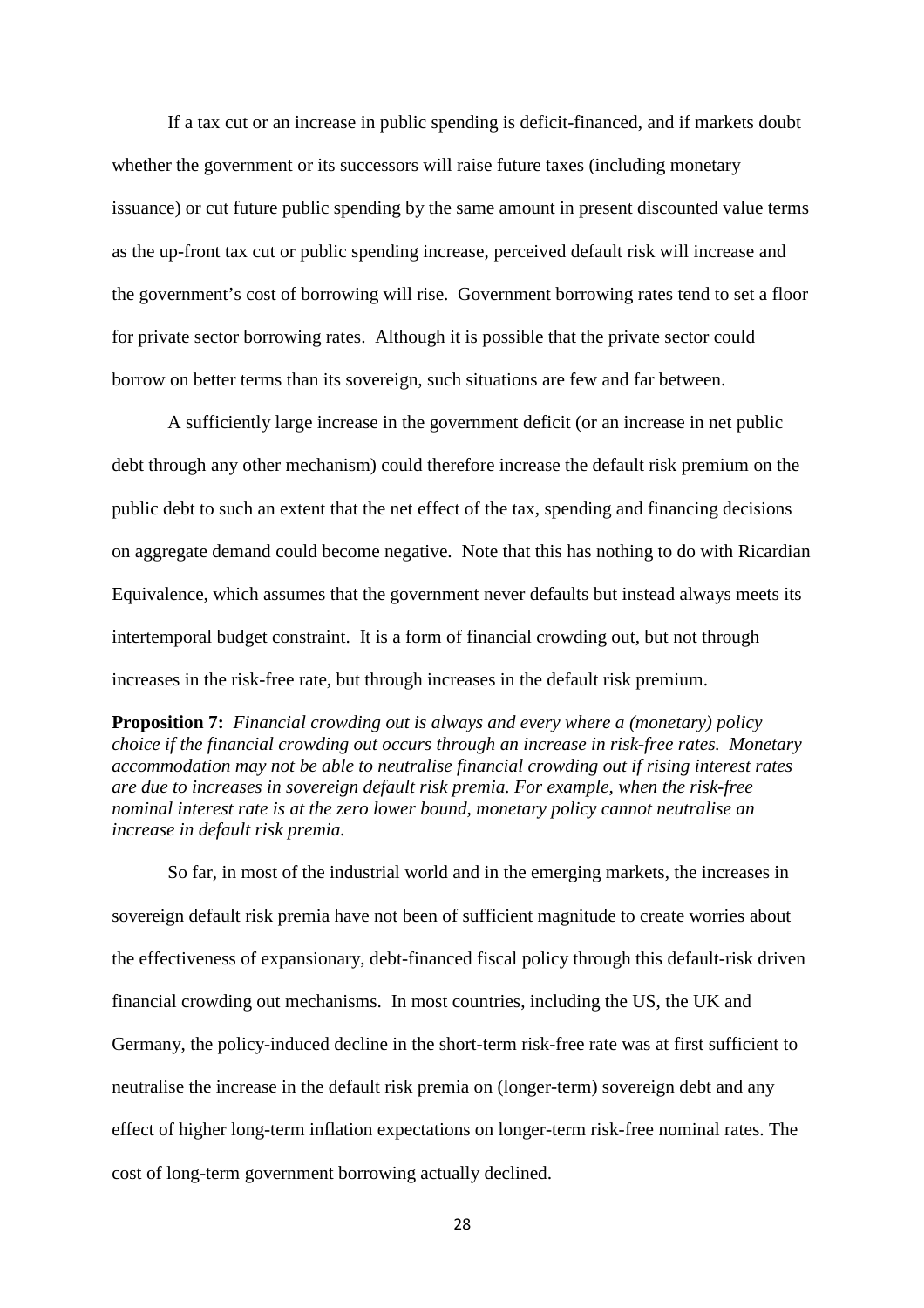If a tax cut or an increase in public spending is deficit-financed, and if markets doubt whether the government or its successors will raise future taxes (including monetary issuance) or cut future public spending by the same amount in present discounted value terms as the up-front tax cut or public spending increase, perceived default risk will increase and the government's cost of borrowing will rise. Government borrowing rates tend to set a floor for private sector borrowing rates. Although it is possible that the private sector could borrow on better terms than its sovereign, such situations are few and far between.

 A sufficiently large increase in the government deficit (or an increase in net public debt through any other mechanism) could therefore increase the default risk premium on the public debt to such an extent that the net effect of the tax, spending and financing decisions on aggregate demand could become negative. Note that this has nothing to do with Ricardian Equivalence, which assumes that the government never defaults but instead always meets its intertemporal budget constraint. It is a form of financial crowding out, but not through increases in the risk-free rate, but through increases in the default risk premium.

**Proposition 7:** *Financial crowding out is always and every where a (monetary) policy choice if the financial crowding out occurs through an increase in risk-free rates. Monetary accommodation may not be able to neutralise financial crowding out if rising interest rates are due to increases in sovereign default risk premia. For example, when the risk-free nominal interest rate is at the zero lower bound, monetary policy cannot neutralise an increase in default risk premia.* 

 So far, in most of the industrial world and in the emerging markets, the increases in sovereign default risk premia have not been of sufficient magnitude to create worries about the effectiveness of expansionary, debt-financed fiscal policy through this default-risk driven financial crowding out mechanisms. In most countries, including the US, the UK and Germany, the policy-induced decline in the short-term risk-free rate was at first sufficient to neutralise the increase in the default risk premia on (longer-term) sovereign debt and any effect of higher long-term inflation expectations on longer-term risk-free nominal rates. The cost of long-term government borrowing actually declined.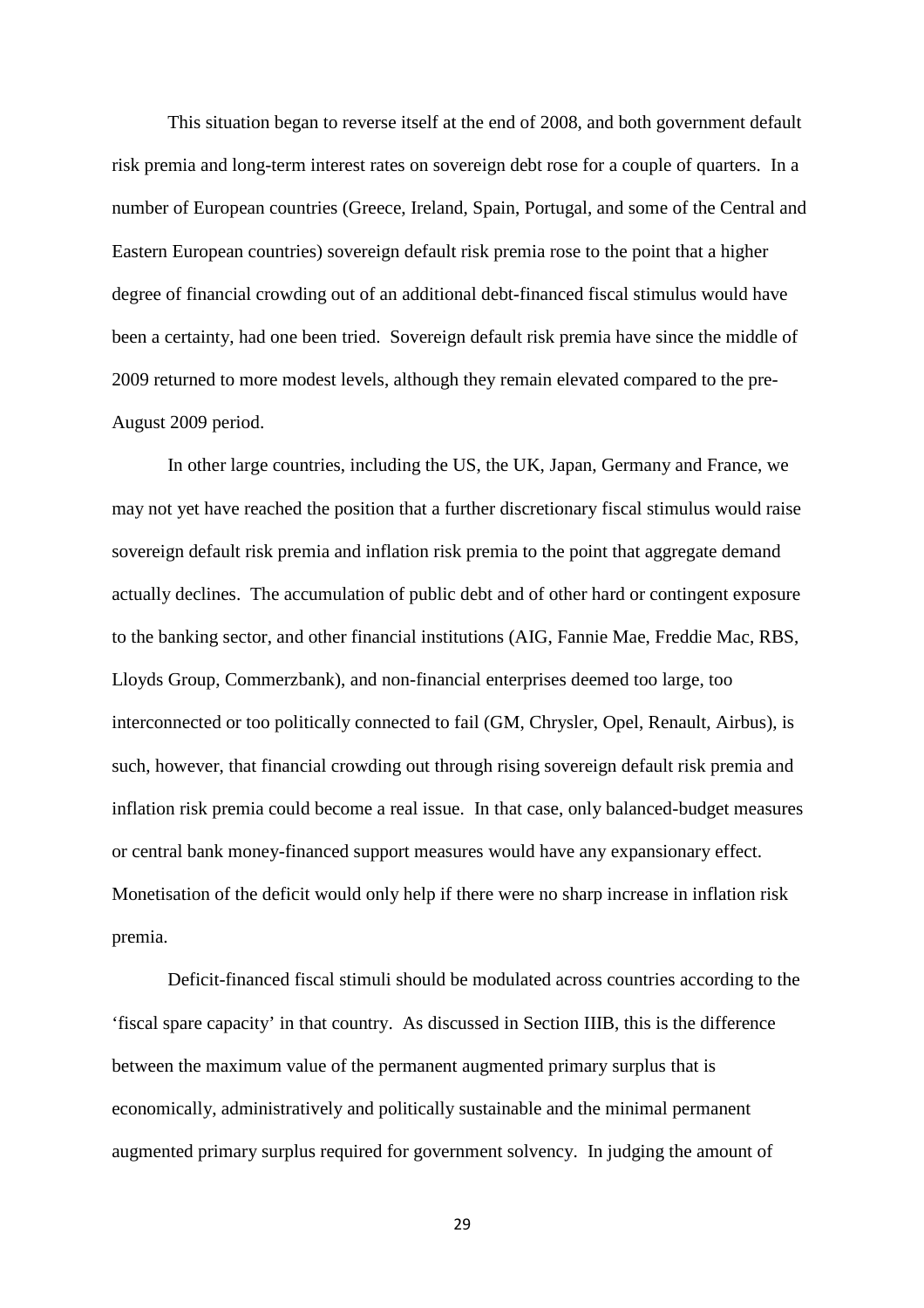This situation began to reverse itself at the end of 2008, and both government default risk premia and long-term interest rates on sovereign debt rose for a couple of quarters. In a number of European countries (Greece, Ireland, Spain, Portugal, and some of the Central and Eastern European countries) sovereign default risk premia rose to the point that a higher degree of financial crowding out of an additional debt-financed fiscal stimulus would have been a certainty, had one been tried. Sovereign default risk premia have since the middle of 2009 returned to more modest levels, although they remain elevated compared to the pre-August 2009 period.

 In other large countries, including the US, the UK, Japan, Germany and France, we may not yet have reached the position that a further discretionary fiscal stimulus would raise sovereign default risk premia and inflation risk premia to the point that aggregate demand actually declines. The accumulation of public debt and of other hard or contingent exposure to the banking sector, and other financial institutions (AIG, Fannie Mae, Freddie Mac, RBS, Lloyds Group, Commerzbank), and non-financial enterprises deemed too large, too interconnected or too politically connected to fail (GM, Chrysler, Opel, Renault, Airbus), is such, however, that financial crowding out through rising sovereign default risk premia and inflation risk premia could become a real issue. In that case, only balanced-budget measures or central bank money-financed support measures would have any expansionary effect. Monetisation of the deficit would only help if there were no sharp increase in inflation risk premia.

 Deficit-financed fiscal stimuli should be modulated across countries according to the 'fiscal spare capacity' in that country. As discussed in Section IIIB, this is the difference between the maximum value of the permanent augmented primary surplus that is economically, administratively and politically sustainable and the minimal permanent augmented primary surplus required for government solvency. In judging the amount of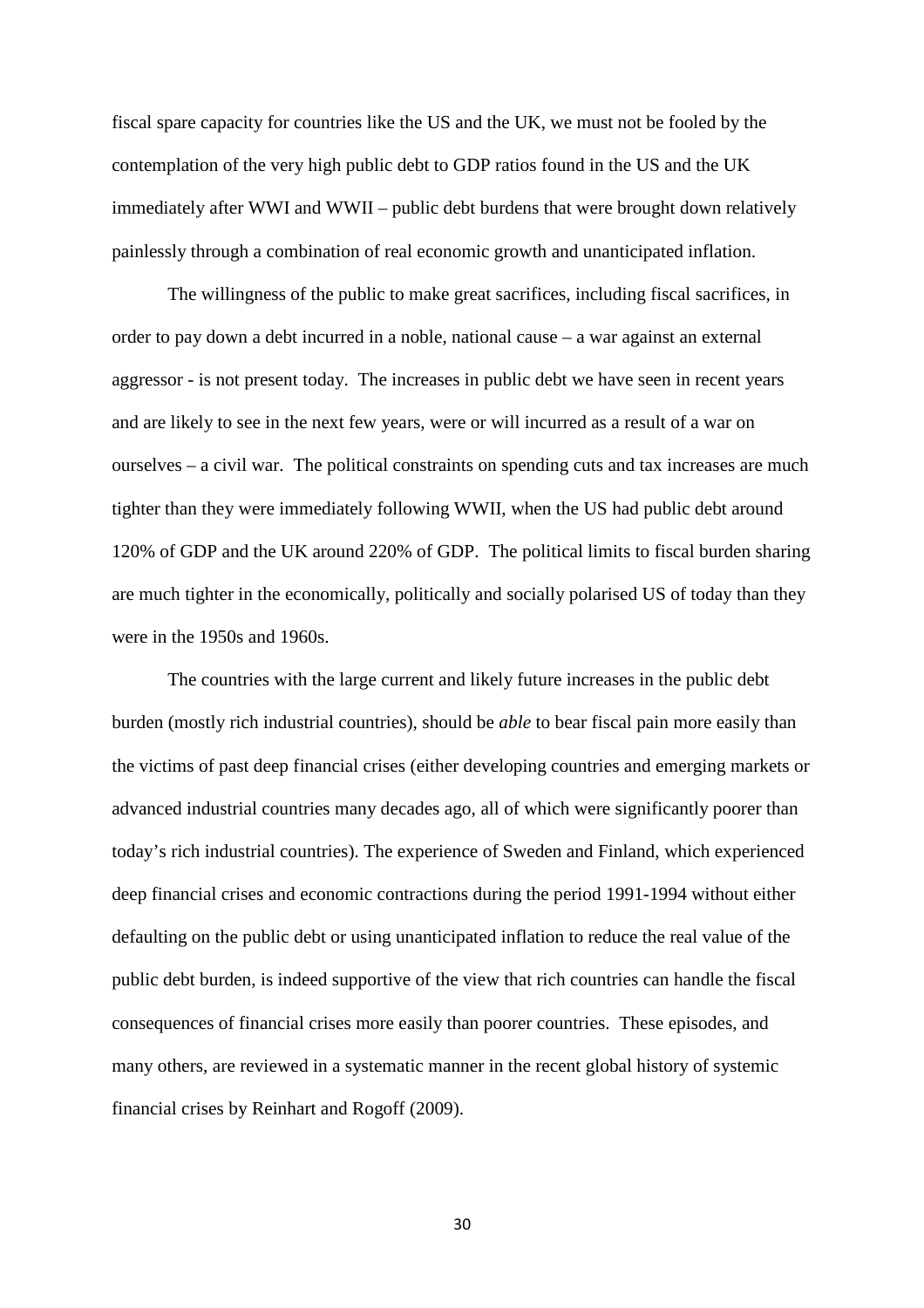fiscal spare capacity for countries like the US and the UK, we must not be fooled by the contemplation of the very high public debt to GDP ratios found in the US and the UK immediately after WWI and WWII – public debt burdens that were brought down relatively painlessly through a combination of real economic growth and unanticipated inflation.

The willingness of the public to make great sacrifices, including fiscal sacrifices, in order to pay down a debt incurred in a noble, national cause – a war against an external aggressor - is not present today. The increases in public debt we have seen in recent years and are likely to see in the next few years, were or will incurred as a result of a war on ourselves – a civil war. The political constraints on spending cuts and tax increases are much tighter than they were immediately following WWII, when the US had public debt around 120% of GDP and the UK around 220% of GDP. The political limits to fiscal burden sharing are much tighter in the economically, politically and socially polarised US of today than they were in the 1950s and 1960s.

The countries with the large current and likely future increases in the public debt burden (mostly rich industrial countries), should be *able* to bear fiscal pain more easily than the victims of past deep financial crises (either developing countries and emerging markets or advanced industrial countries many decades ago, all of which were significantly poorer than today's rich industrial countries). The experience of Sweden and Finland, which experienced deep financial crises and economic contractions during the period 1991-1994 without either defaulting on the public debt or using unanticipated inflation to reduce the real value of the public debt burden, is indeed supportive of the view that rich countries can handle the fiscal consequences of financial crises more easily than poorer countries. These episodes, and many others, are reviewed in a systematic manner in the recent global history of systemic financial crises by Reinhart and Rogoff (2009).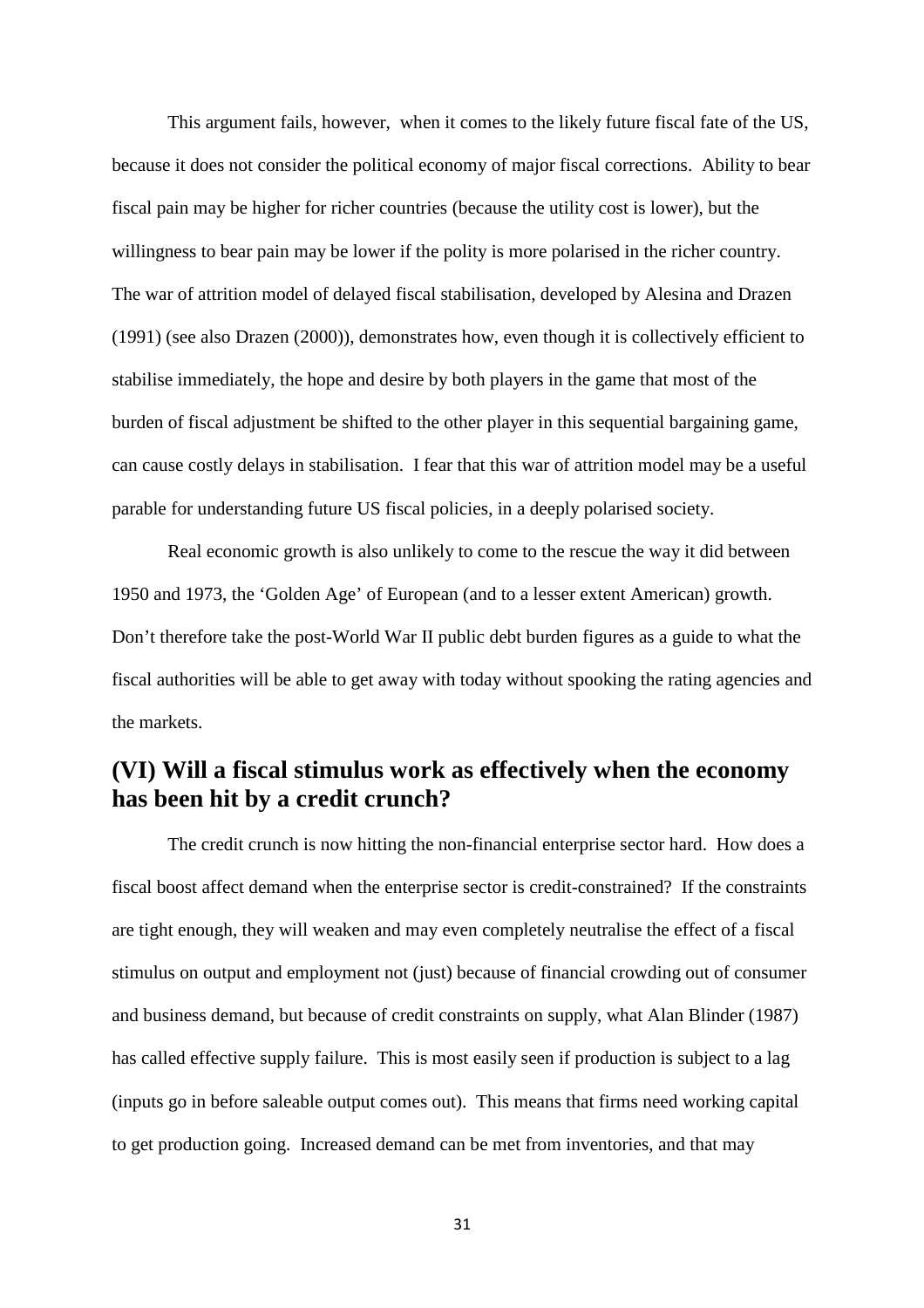This argument fails, however, when it comes to the likely future fiscal fate of the US, because it does not consider the political economy of major fiscal corrections. Ability to bear fiscal pain may be higher for richer countries (because the utility cost is lower), but the willingness to bear pain may be lower if the polity is more polarised in the richer country. The war of attrition model of delayed fiscal stabilisation, developed by Alesina and Drazen (1991) (see also Drazen (2000)), demonstrates how, even though it is collectively efficient to stabilise immediately, the hope and desire by both players in the game that most of the burden of fiscal adjustment be shifted to the other player in this sequential bargaining game, can cause costly delays in stabilisation. I fear that this war of attrition model may be a useful parable for understanding future US fiscal policies, in a deeply polarised society.

Real economic growth is also unlikely to come to the rescue the way it did between 1950 and 1973, the 'Golden Age' of European (and to a lesser extent American) growth. Don't therefore take the post-World War II public debt burden figures as a guide to what the fiscal authorities will be able to get away with today without spooking the rating agencies and the markets.

# **(VI) Will a fiscal stimulus work as effectively when the economy has been hit by a credit crunch?**

The credit crunch is now hitting the non-financial enterprise sector hard. How does a fiscal boost affect demand when the enterprise sector is credit-constrained? If the constraints are tight enough, they will weaken and may even completely neutralise the effect of a fiscal stimulus on output and employment not (just) because of financial crowding out of consumer and business demand, but because of credit constraints on supply, what Alan Blinder (1987) has called effective supply failure. This is most easily seen if production is subject to a lag (inputs go in before saleable output comes out). This means that firms need working capital to get production going. Increased demand can be met from inventories, and that may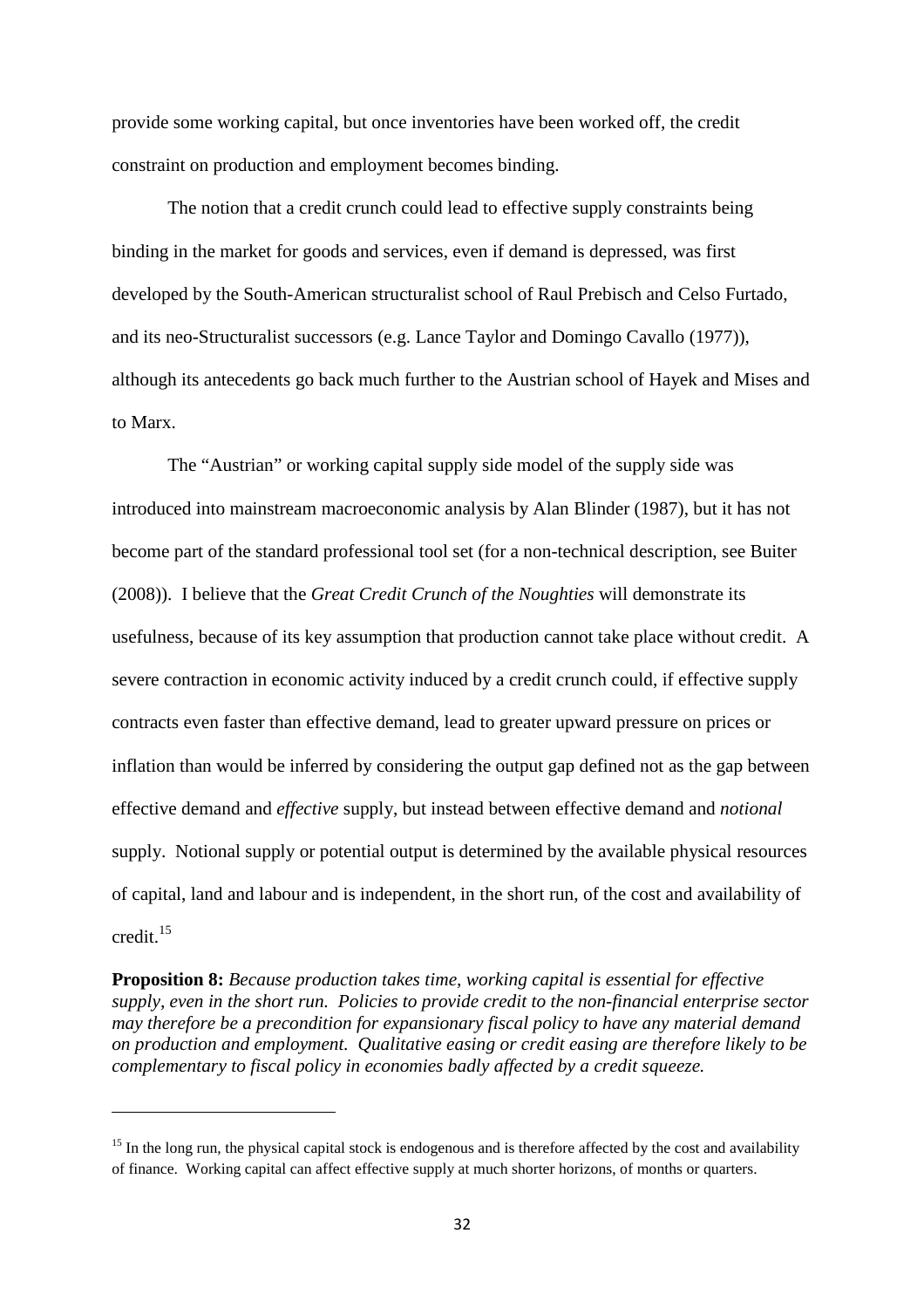provide some working capital, but once inventories have been worked off, the credit constraint on production and employment becomes binding.

 The notion that a credit crunch could lead to effective supply constraints being binding in the market for goods and services, even if demand is depressed, was first developed by the South-American structuralist school of Raul Prebisch and Celso Furtado, and its neo-Structuralist successors (e.g. Lance Taylor and Domingo Cavallo (1977)), although its antecedents go back much further to the Austrian school of Hayek and Mises and to Marx.

 The "Austrian" or working capital supply side model of the supply side was introduced into mainstream macroeconomic analysis by Alan Blinder (1987), but it has not become part of the standard professional tool set (for a non-technical description, see Buiter (2008)). I believe that the *Great Credit Crunch of the Noughties* will demonstrate its usefulness, because of its key assumption that production cannot take place without credit. A severe contraction in economic activity induced by a credit crunch could, if effective supply contracts even faster than effective demand, lead to greater upward pressure on prices or inflation than would be inferred by considering the output gap defined not as the gap between effective demand and *effective* supply, but instead between effective demand and *notional* supply. Notional supply or potential output is determined by the available physical resources of capital, land and labour and is independent, in the short run, of the cost and availability of credit.<sup>15</sup>

**Proposition 8:** *Because production takes time, working capital is essential for effective supply, even in the short run. Policies to provide credit to the non-financial enterprise sector may therefore be a precondition for expansionary fiscal policy to have any material demand on production and employment. Qualitative easing or credit easing are therefore likely to be complementary to fiscal policy in economies badly affected by a credit squeeze.*

l

 $15$  In the long run, the physical capital stock is endogenous and is therefore affected by the cost and availability of finance. Working capital can affect effective supply at much shorter horizons, of months or quarters.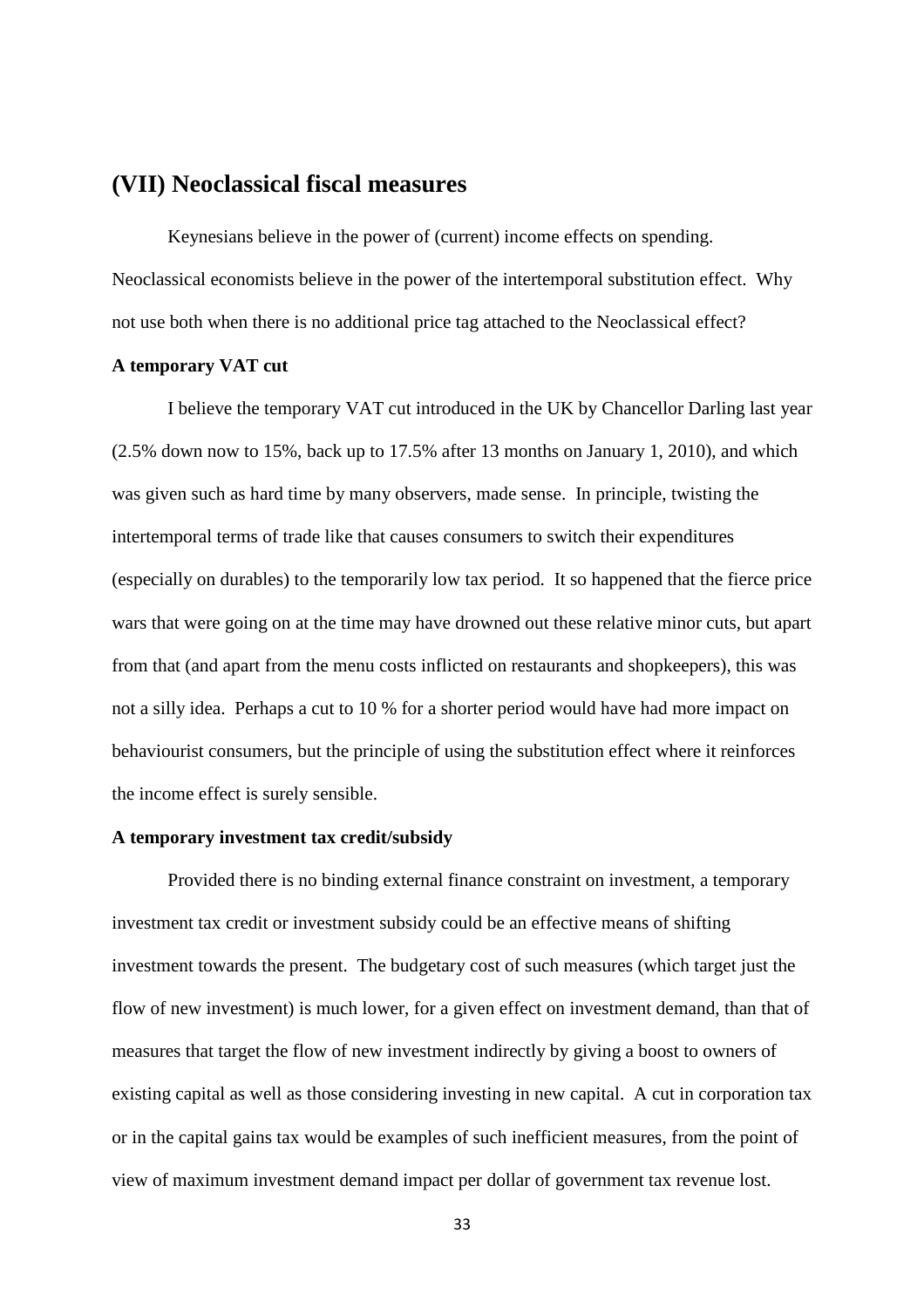### **(VII) Neoclassical fiscal measures**

Keynesians believe in the power of (current) income effects on spending. Neoclassical economists believe in the power of the intertemporal substitution effect. Why not use both when there is no additional price tag attached to the Neoclassical effect?

#### **A temporary VAT cut**

I believe the temporary VAT cut introduced in the UK by Chancellor Darling last year (2.5% down now to 15%, back up to 17.5% after 13 months on January 1, 2010), and which was given such as hard time by many observers, made sense. In principle, twisting the intertemporal terms of trade like that causes consumers to switch their expenditures (especially on durables) to the temporarily low tax period. It so happened that the fierce price wars that were going on at the time may have drowned out these relative minor cuts, but apart from that (and apart from the menu costs inflicted on restaurants and shopkeepers), this was not a silly idea. Perhaps a cut to 10 % for a shorter period would have had more impact on behaviourist consumers, but the principle of using the substitution effect where it reinforces the income effect is surely sensible.

#### **A temporary investment tax credit/subsidy**

Provided there is no binding external finance constraint on investment, a temporary investment tax credit or investment subsidy could be an effective means of shifting investment towards the present. The budgetary cost of such measures (which target just the flow of new investment) is much lower, for a given effect on investment demand, than that of measures that target the flow of new investment indirectly by giving a boost to owners of existing capital as well as those considering investing in new capital. A cut in corporation tax or in the capital gains tax would be examples of such inefficient measures, from the point of view of maximum investment demand impact per dollar of government tax revenue lost.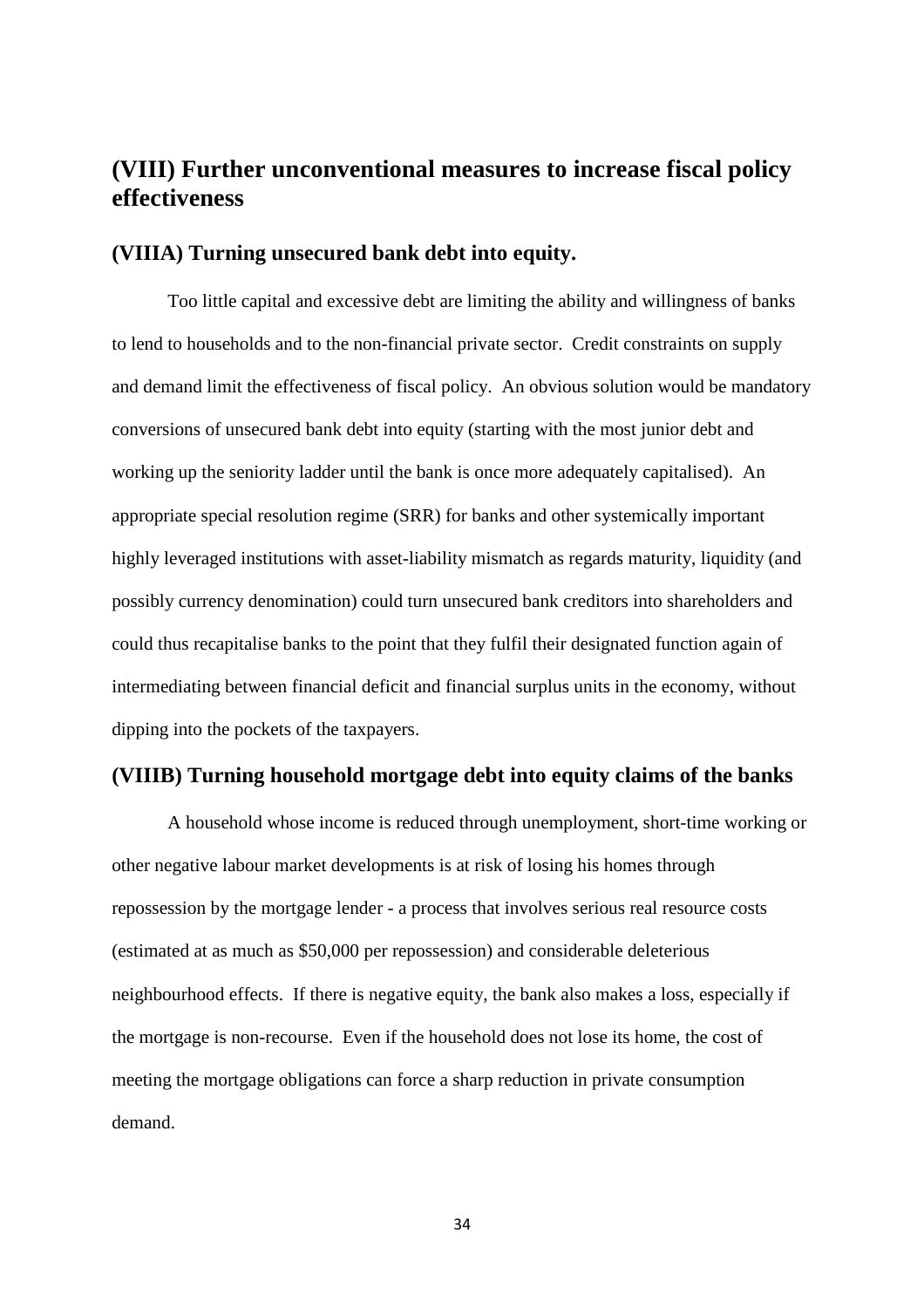# **(VIII) Further unconventional measures to increase fiscal policy effectiveness**

#### **(VIIIA) Turning unsecured bank debt into equity.**

Too little capital and excessive debt are limiting the ability and willingness of banks to lend to households and to the non-financial private sector. Credit constraints on supply and demand limit the effectiveness of fiscal policy. An obvious solution would be mandatory conversions of unsecured bank debt into equity (starting with the most junior debt and working up the seniority ladder until the bank is once more adequately capitalised). An appropriate special resolution regime (SRR) for banks and other systemically important highly leveraged institutions with asset-liability mismatch as regards maturity, liquidity (and possibly currency denomination) could turn unsecured bank creditors into shareholders and could thus recapitalise banks to the point that they fulfil their designated function again of intermediating between financial deficit and financial surplus units in the economy, without dipping into the pockets of the taxpayers.

#### **(VIIIB) Turning household mortgage debt into equity claims of the banks**

A household whose income is reduced through unemployment, short-time working or other negative labour market developments is at risk of losing his homes through repossession by the mortgage lender - a process that involves serious real resource costs (estimated at as much as \$50,000 per repossession) and considerable deleterious neighbourhood effects. If there is negative equity, the bank also makes a loss, especially if the mortgage is non-recourse. Even if the household does not lose its home, the cost of meeting the mortgage obligations can force a sharp reduction in private consumption demand.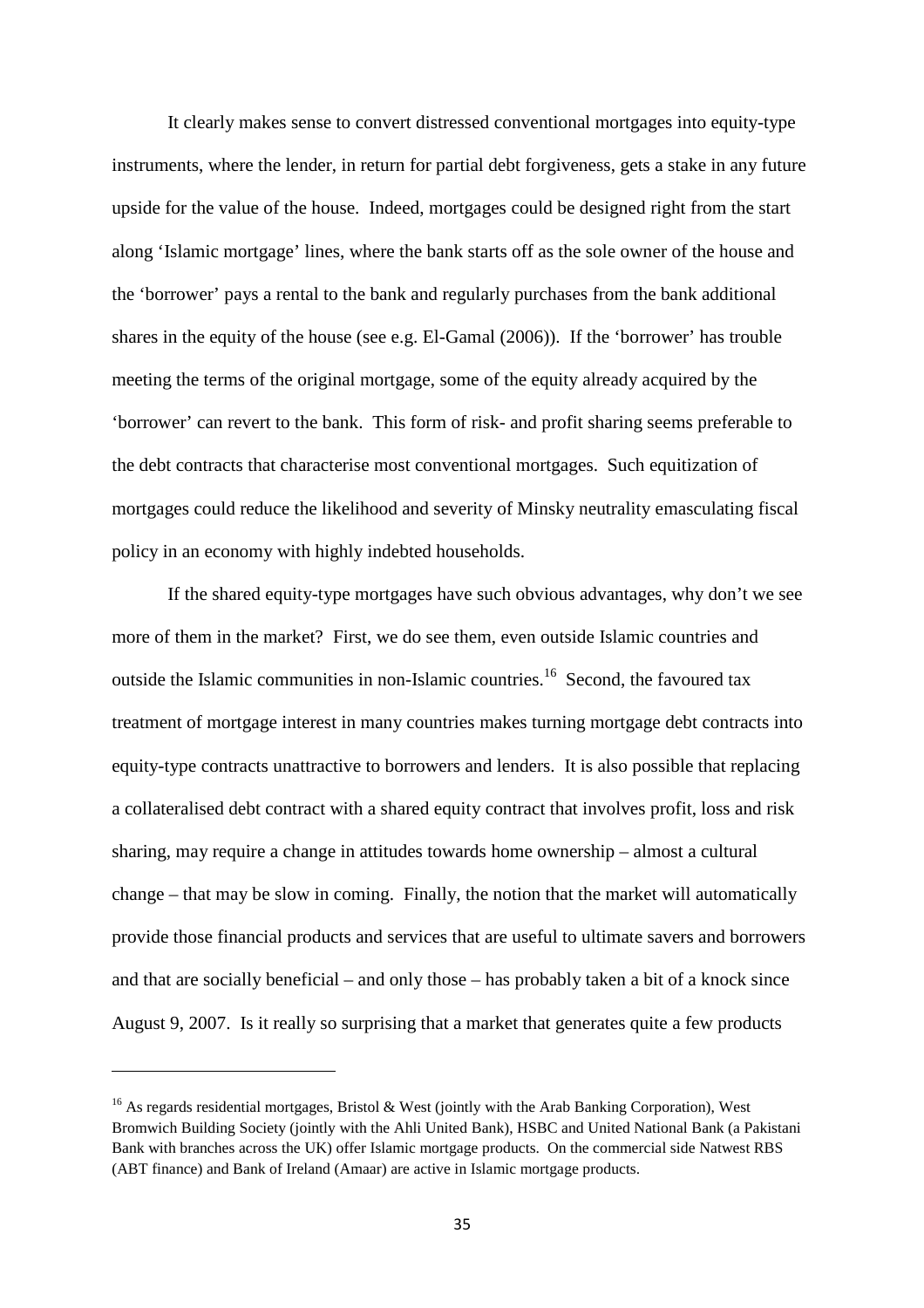It clearly makes sense to convert distressed conventional mortgages into equity-type instruments, where the lender, in return for partial debt forgiveness, gets a stake in any future upside for the value of the house. Indeed, mortgages could be designed right from the start along 'Islamic mortgage' lines, where the bank starts off as the sole owner of the house and the 'borrower' pays a rental to the bank and regularly purchases from the bank additional shares in the equity of the house (see e.g. El-Gamal (2006)). If the 'borrower' has trouble meeting the terms of the original mortgage, some of the equity already acquired by the 'borrower' can revert to the bank. This form of risk- and profit sharing seems preferable to the debt contracts that characterise most conventional mortgages. Such equitization of mortgages could reduce the likelihood and severity of Minsky neutrality emasculating fiscal policy in an economy with highly indebted households.

If the shared equity-type mortgages have such obvious advantages, why don't we see more of them in the market? First, we do see them, even outside Islamic countries and outside the Islamic communities in non-Islamic countries.<sup>16</sup> Second, the favoured tax treatment of mortgage interest in many countries makes turning mortgage debt contracts into equity-type contracts unattractive to borrowers and lenders. It is also possible that replacing a collateralised debt contract with a shared equity contract that involves profit, loss and risk sharing, may require a change in attitudes towards home ownership – almost a cultural change – that may be slow in coming. Finally, the notion that the market will automatically provide those financial products and services that are useful to ultimate savers and borrowers and that are socially beneficial – and only those – has probably taken a bit of a knock since August 9, 2007. Is it really so surprising that a market that generates quite a few products

 $\overline{a}$ 

<sup>&</sup>lt;sup>16</sup> As regards residential mortgages, Bristol & West (jointly with the Arab Banking Corporation), West Bromwich Building Society (jointly with the Ahli United Bank), HSBC and United National Bank (a Pakistani Bank with branches across the UK) offer Islamic mortgage products. On the commercial side Natwest RBS (ABT finance) and Bank of Ireland (Amaar) are active in Islamic mortgage products.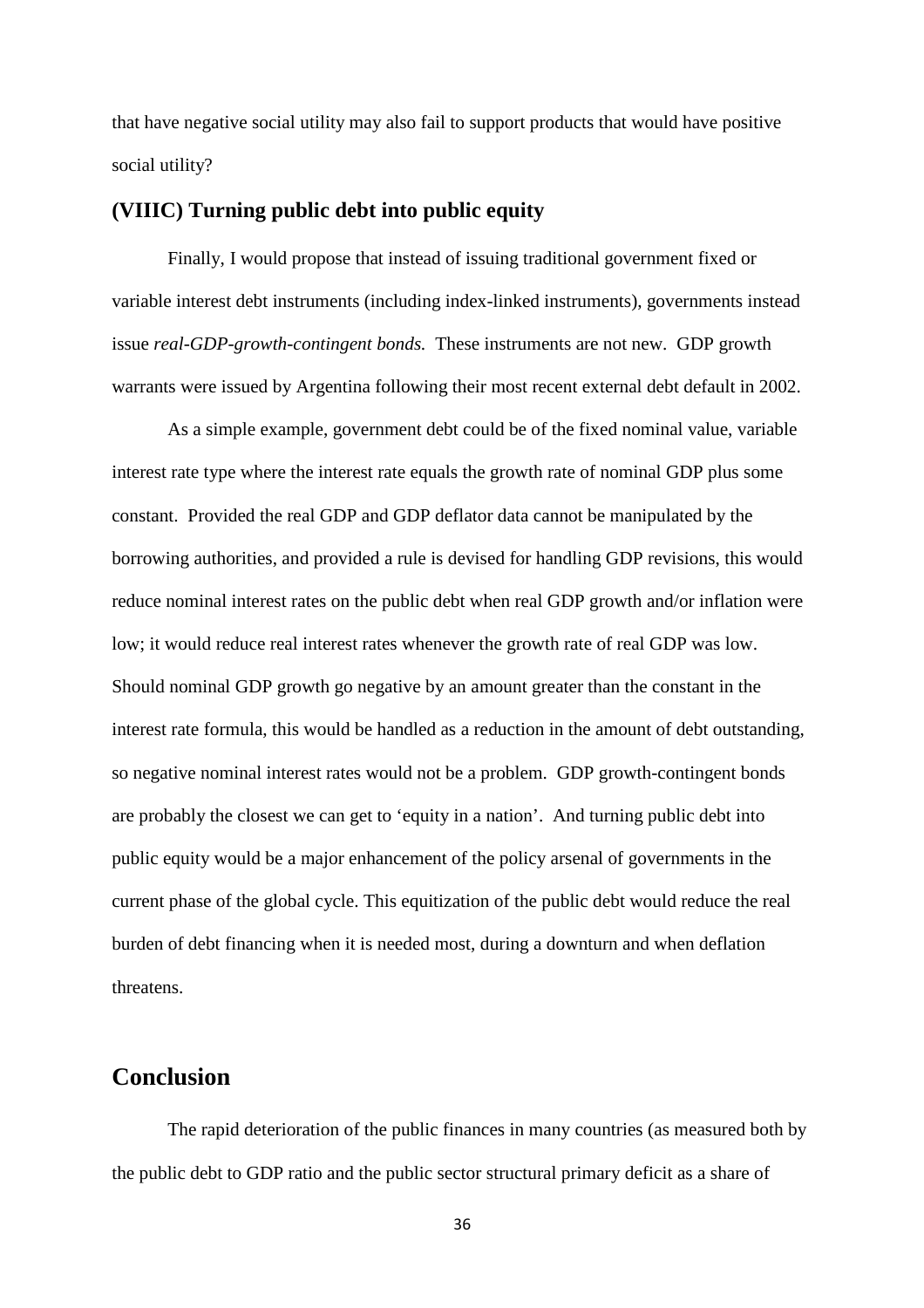that have negative social utility may also fail to support products that would have positive social utility?

#### **(VIIIC) Turning public debt into public equity**

Finally, I would propose that instead of issuing traditional government fixed or variable interest debt instruments (including index-linked instruments), governments instead issue *real-GDP-growth-contingent bonds.* These instruments are not new. GDP growth warrants were issued by Argentina following their most recent external debt default in 2002.

As a simple example, government debt could be of the fixed nominal value, variable interest rate type where the interest rate equals the growth rate of nominal GDP plus some constant. Provided the real GDP and GDP deflator data cannot be manipulated by the borrowing authorities, and provided a rule is devised for handling GDP revisions, this would reduce nominal interest rates on the public debt when real GDP growth and/or inflation were low; it would reduce real interest rates whenever the growth rate of real GDP was low. Should nominal GDP growth go negative by an amount greater than the constant in the interest rate formula, this would be handled as a reduction in the amount of debt outstanding, so negative nominal interest rates would not be a problem. GDP growth-contingent bonds are probably the closest we can get to 'equity in a nation'. And turning public debt into public equity would be a major enhancement of the policy arsenal of governments in the current phase of the global cycle. This equitization of the public debt would reduce the real burden of debt financing when it is needed most, during a downturn and when deflation threatens.

### **Conclusion**

The rapid deterioration of the public finances in many countries (as measured both by the public debt to GDP ratio and the public sector structural primary deficit as a share of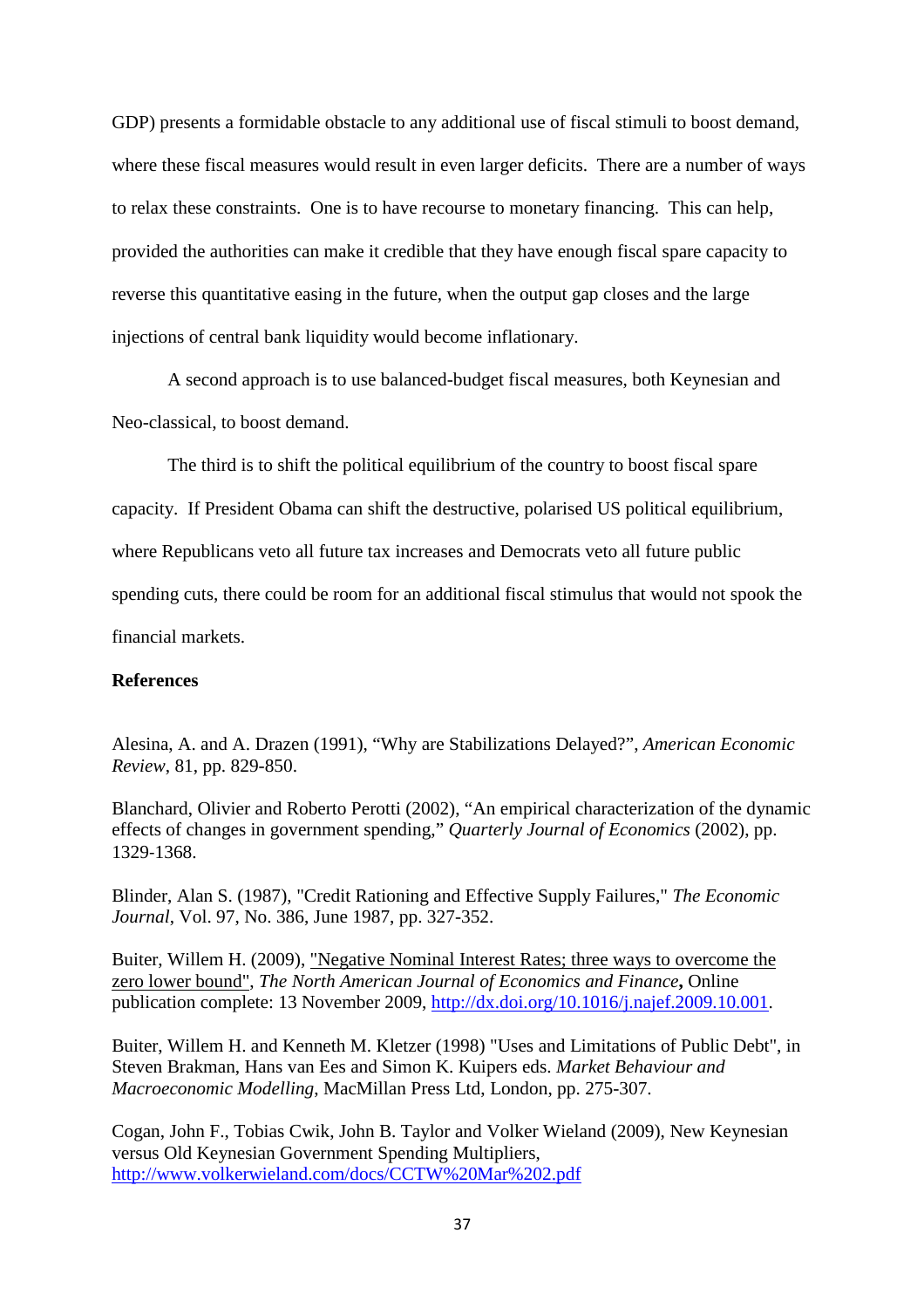GDP) presents a formidable obstacle to any additional use of fiscal stimuli to boost demand, where these fiscal measures would result in even larger deficits. There are a number of ways to relax these constraints. One is to have recourse to monetary financing. This can help, provided the authorities can make it credible that they have enough fiscal spare capacity to reverse this quantitative easing in the future, when the output gap closes and the large injections of central bank liquidity would become inflationary.

 A second approach is to use balanced-budget fiscal measures, both Keynesian and Neo-classical, to boost demand.

The third is to shift the political equilibrium of the country to boost fiscal spare

capacity. If President Obama can shift the destructive, polarised US political equilibrium,

where Republicans veto all future tax increases and Democrats veto all future public

spending cuts, there could be room for an additional fiscal stimulus that would not spook the

financial markets.

#### **References**

Alesina, A. and A. Drazen (1991), "Why are Stabilizations Delayed?", *American Economic Review*, 81, pp. 829-850.

Blanchard, Olivier and Roberto Perotti (2002), "An empirical characterization of the dynamic effects of changes in government spending," *Quarterly Journal of Economics* (2002), pp. 1329‐1368.

Blinder, Alan S. (1987), "Credit Rationing and Effective Supply Failures," *The Economic Journal*, Vol. 97, No. 386, June 1987, pp. 327-352.

Buiter, Willem H. (2009), "Negative Nominal Interest Rates; three ways to overcome the zero lower bound", *The North American Journal of Economics and Finance***,** Online publication complete: 13 November 2009, http://dx.doi.org/10.1016/j.najef.2009.10.001.

Buiter, Willem H. and Kenneth M. Kletzer (1998) "Uses and Limitations of Public Debt", in Steven Brakman, Hans van Ees and Simon K. Kuipers eds. *Market Behaviour and Macroeconomic Modelling*, MacMillan Press Ltd, London, pp. 275-307.

Cogan, John F., Tobias Cwik, John B. Taylor and Volker Wieland (2009), New Keynesian versus Old Keynesian Government Spending Multipliers, http://www.volkerwieland.com/docs/CCTW%20Mar%202.pdf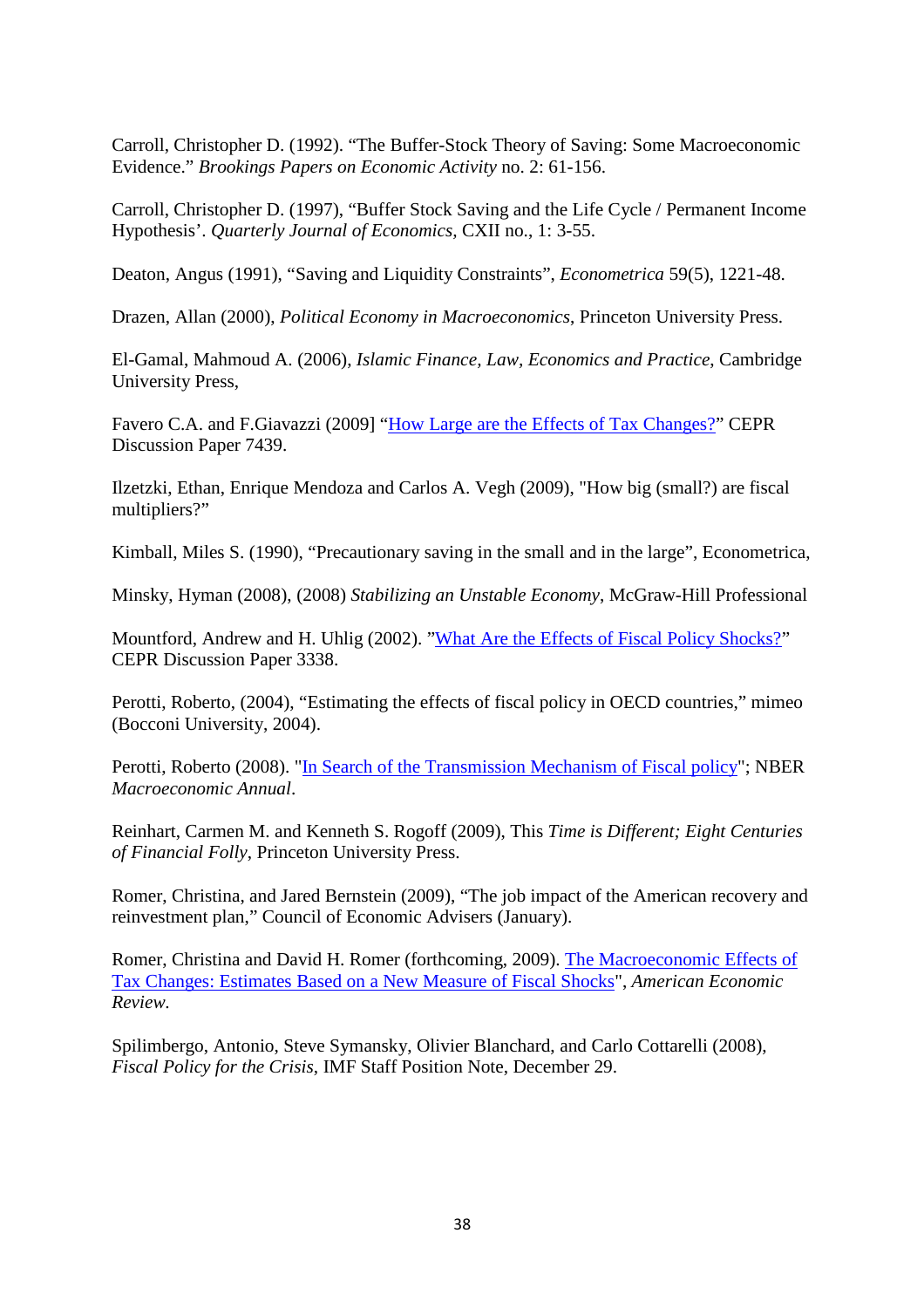Carroll, Christopher D. (1992). "The Buffer-Stock Theory of Saving: Some Macroeconomic Evidence." *Brookings Papers on Economic Activity* no. 2: 61-156.

Carroll, Christopher D. (1997), "Buffer Stock Saving and the Life Cycle / Permanent Income Hypothesis'. *Quarterly Journal of Economics,* CXII no., 1: 3-55.

Deaton, Angus (1991), "Saving and Liquidity Constraints", *Econometrica* 59(5), 1221-48.

Drazen, Allan (2000), *Political Economy in Macroeconomics*, Princeton University Press.

El-Gamal, Mahmoud A. (2006), *Islamic Finance, Law, Economics and Practice*, Cambridge University Press,

Favero C.A. and F.Giavazzi (2009] "How Large are the Effects of Tax Changes?" CEPR Discussion Paper 7439.

Ilzetzki, Ethan, Enrique Mendoza and Carlos A. Vegh (2009), "How big (small?) are fiscal multipliers?"

Kimball, Miles S. (1990), "Precautionary saving in the small and in the large", Econometrica,

Minsky, Hyman (2008), (2008) *Stabilizing an Unstable Economy*, McGraw-Hill Professional

Mountford, Andrew and H. Uhlig (2002). "What Are the Effects of Fiscal Policy Shocks?" CEPR Discussion Paper 3338.

Perotti, Roberto, (2004), "Estimating the effects of fiscal policy in OECD countries," mimeo (Bocconi University, 2004).

Perotti, Roberto (2008). "In Search of the Transmission Mechanism of Fiscal policy"; NBER *Macroeconomic Annual*.

Reinhart, Carmen M. and Kenneth S. Rogoff (2009), This *Time is Different; Eight Centuries of Financial Folly*, Princeton University Press.

Romer, Christina, and Jared Bernstein (2009), "The job impact of the American recovery and reinvestment plan," Council of Economic Advisers (January).

Romer, Christina and David H. Romer (forthcoming, 2009). The Macroeconomic Effects of Tax Changes: Estimates Based on a New Measure of Fiscal Shocks", *American Economic Review.*

Spilimbergo, Antonio, Steve Symansky, Olivier Blanchard, and Carlo Cottarelli (2008), *Fiscal Policy for the Crisis*, IMF Staff Position Note, December 29.